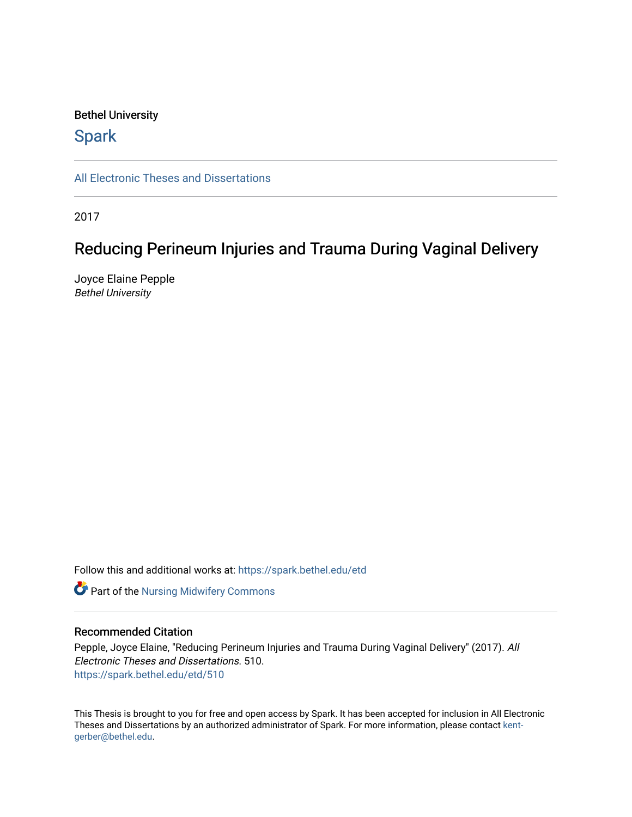#### Bethel University

## **Spark**

[All Electronic Theses and Dissertations](https://spark.bethel.edu/etd) 

2017

## Reducing Perineum Injuries and Trauma During Vaginal Delivery

Joyce Elaine Pepple Bethel University

Follow this and additional works at: [https://spark.bethel.edu/etd](https://spark.bethel.edu/etd?utm_source=spark.bethel.edu%2Fetd%2F510&utm_medium=PDF&utm_campaign=PDFCoverPages)

**Part of the Nursing Midwifery Commons** 

#### Recommended Citation

Pepple, Joyce Elaine, "Reducing Perineum Injuries and Trauma During Vaginal Delivery" (2017). All Electronic Theses and Dissertations. 510. [https://spark.bethel.edu/etd/510](https://spark.bethel.edu/etd/510?utm_source=spark.bethel.edu%2Fetd%2F510&utm_medium=PDF&utm_campaign=PDFCoverPages)

This Thesis is brought to you for free and open access by Spark. It has been accepted for inclusion in All Electronic Theses and Dissertations by an authorized administrator of Spark. For more information, please contact [kent](mailto:kent-gerber@bethel.edu)[gerber@bethel.edu.](mailto:kent-gerber@bethel.edu)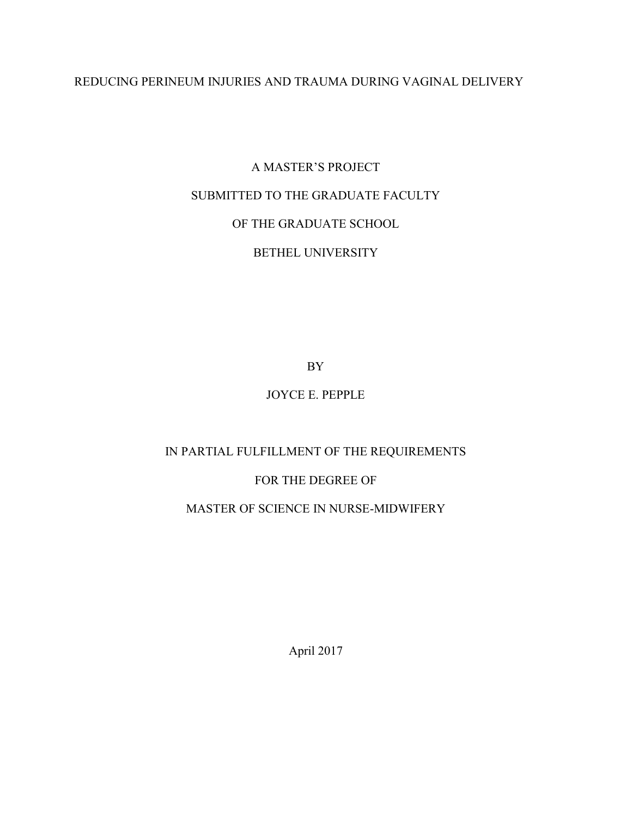## REDUCING PERINEUM INJURIES AND TRAUMA DURING VAGINAL DELIVERY

# A MASTER'S PROJECT SUBMITTED TO THE GRADUATE FACULTY OF THE GRADUATE SCHOOL BETHEL UNIVERSITY

BY

## JOYCE E. PEPPLE

## IN PARTIAL FULFILLMENT OF THE REQUIREMENTS

### FOR THE DEGREE OF

### MASTER OF SCIENCE IN NURSE-MIDWIFERY

April 2017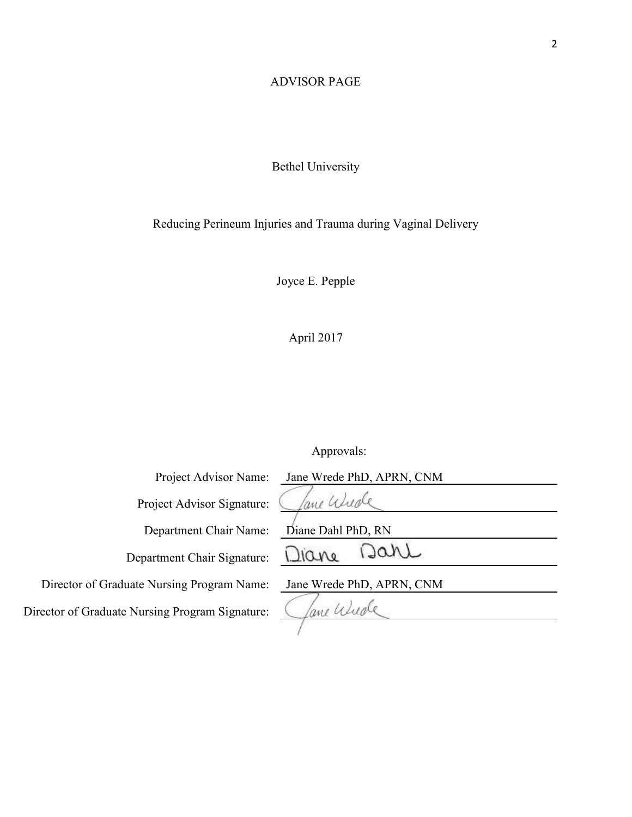## ADVISOR PAGE

## Bethel University

## Reducing Perineum Injuries and Trauma during Vaginal Delivery

Joyce E. Pepple

April 2017

## Approvals:

| Project Advisor Name:                        | Jane Wrede PhD, APRN, CNM |
|----------------------------------------------|---------------------------|
| Project Advisor Signature:                   | ane Wude                  |
| Department Chair Name:                       | Diane Dahl PhD, RN        |
| Department Chair Signature:                  | Dare<br>Diane             |
| Director of Graduate Nursing Program Name:   | Jane Wrede PhD, APRN, CNM |
| ector of Graduate Nursing Program Signature: | ane Wude                  |
|                                              |                           |

Director of Graduate Nursing Program Signature: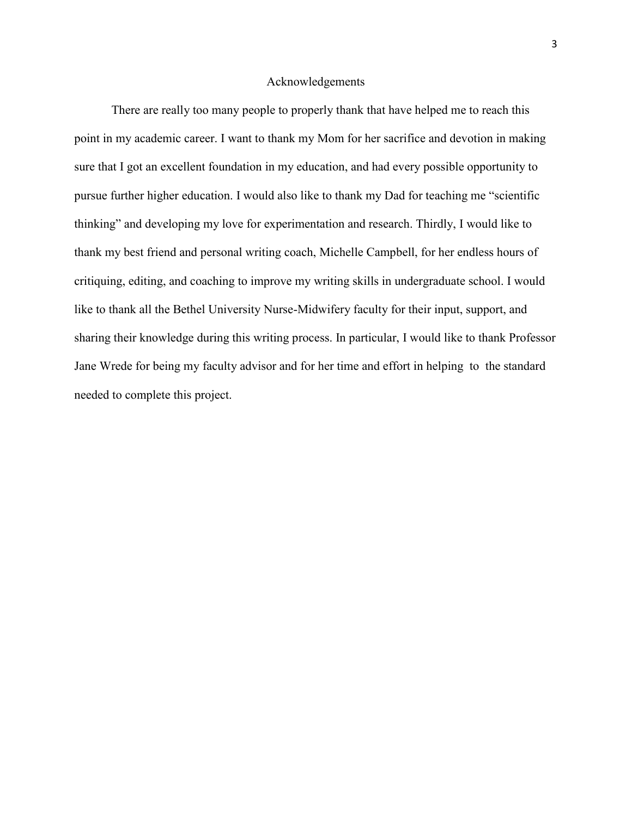#### Acknowledgements

There are really too many people to properly thank that have helped me to reach this point in my academic career. I want to thank my Mom for her sacrifice and devotion in making sure that I got an excellent foundation in my education, and had every possible opportunity to pursue further higher education. I would also like to thank my Dad for teaching me "scientific thinking" and developing my love for experimentation and research. Thirdly, I would like to thank my best friend and personal writing coach, Michelle Campbell, for her endless hours of critiquing, editing, and coaching to improve my writing skills in undergraduate school. I would like to thank all the Bethel University Nurse-Midwifery faculty for their input, support, and sharing their knowledge during this writing process. In particular, I would like to thank Professor Jane Wrede for being my faculty advisor and for her time and effort in helping to the standard needed to complete this project.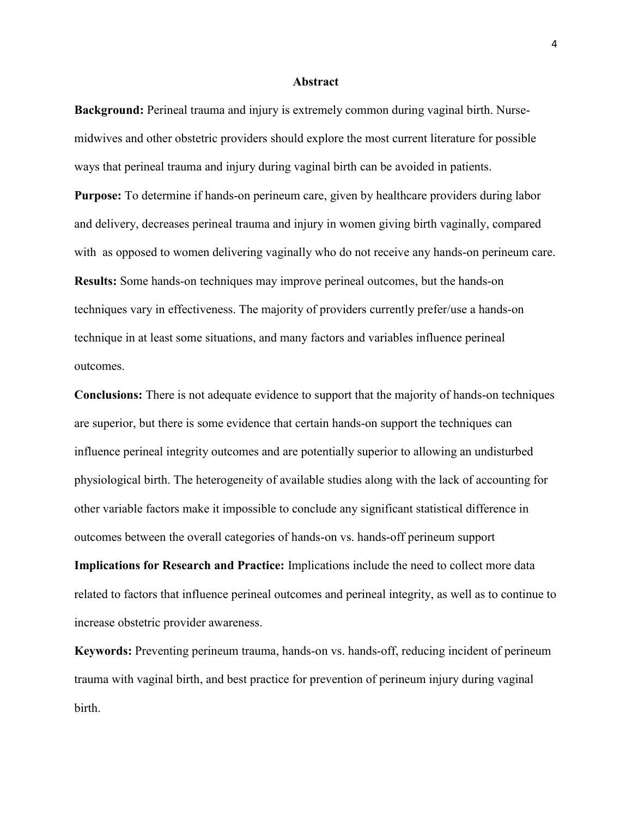#### **Abstract**

**Background:** Perineal trauma and injury is extremely common during vaginal birth. Nursemidwives and other obstetric providers should explore the most current literature for possible ways that perineal trauma and injury during vaginal birth can be avoided in patients.

**Purpose:** To determine if hands-on perineum care, given by healthcare providers during labor and delivery, decreases perineal trauma and injury in women giving birth vaginally, compared with as opposed to women delivering vaginally who do not receive any hands-on perineum care. **Results:** Some hands-on techniques may improve perineal outcomes, but the hands-on techniques vary in effectiveness. The majority of providers currently prefer/use a hands-on technique in at least some situations, and many factors and variables influence perineal outcomes.

**Conclusions:** There is not adequate evidence to support that the majority of hands-on techniques are superior, but there is some evidence that certain hands-on support the techniques can influence perineal integrity outcomes and are potentially superior to allowing an undisturbed physiological birth. The heterogeneity of available studies along with the lack of accounting for other variable factors make it impossible to conclude any significant statistical difference in outcomes between the overall categories of hands-on vs. hands-off perineum support

**Implications for Research and Practice:** Implications include the need to collect more data related to factors that influence perineal outcomes and perineal integrity, as well as to continue to increase obstetric provider awareness.

**Keywords:** Preventing perineum trauma, hands-on vs. hands-off, reducing incident of perineum trauma with vaginal birth, and best practice for prevention of perineum injury during vaginal birth.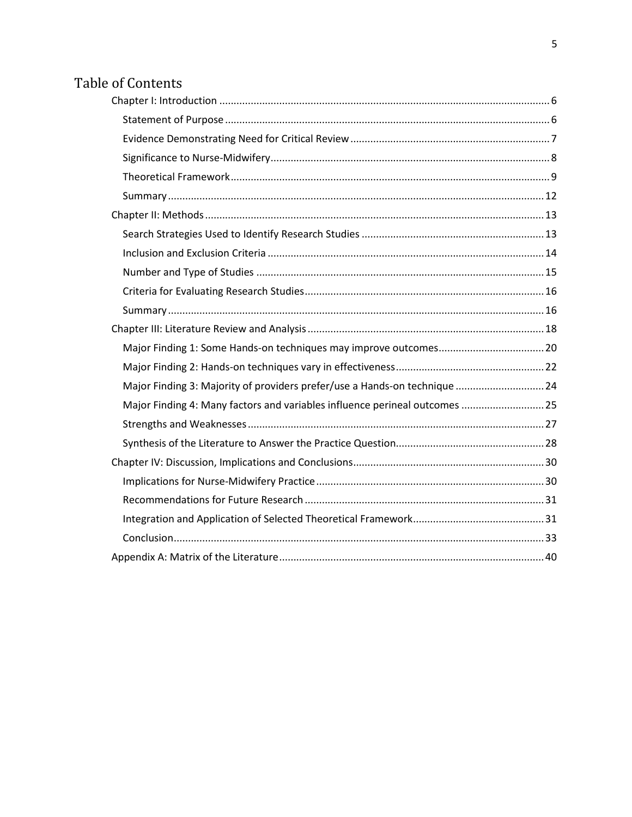## Table of Contents

| Major Finding 3: Majority of providers prefer/use a Hands-on technique  24  |  |
|-----------------------------------------------------------------------------|--|
| Major Finding 4: Many factors and variables influence perineal outcomes  25 |  |
|                                                                             |  |
|                                                                             |  |
|                                                                             |  |
|                                                                             |  |
|                                                                             |  |
|                                                                             |  |
|                                                                             |  |
|                                                                             |  |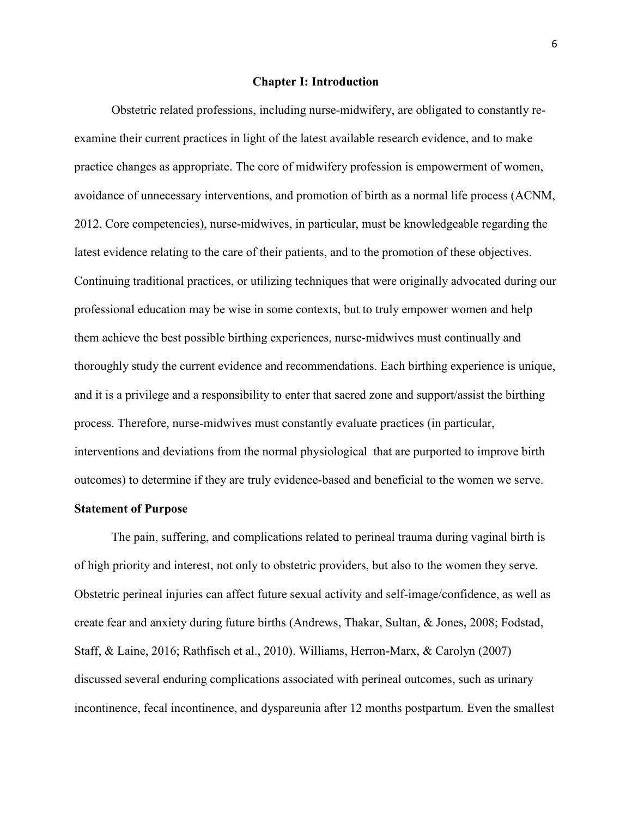#### **Chapter I: Introduction**

<span id="page-6-0"></span>Obstetric related professions, including nurse-midwifery, are obligated to constantly reexamine their current practices in light of the latest available research evidence, and to make practice changes as appropriate. The core of midwifery profession is empowerment of women, avoidance of unnecessary interventions, and promotion of birth as a normal life process (ACNM, 2012, Core competencies), nurse-midwives, in particular, must be knowledgeable regarding the latest evidence relating to the care of their patients, and to the promotion of these objectives. Continuing traditional practices, or utilizing techniques that were originally advocated during our professional education may be wise in some contexts, but to truly empower women and help them achieve the best possible birthing experiences, nurse-midwives must continually and thoroughly study the current evidence and recommendations. Each birthing experience is unique, and it is a privilege and a responsibility to enter that sacred zone and support/assist the birthing process. Therefore, nurse-midwives must constantly evaluate practices (in particular, interventions and deviations from the normal physiological that are purported to improve birth outcomes) to determine if they are truly evidence-based and beneficial to the women we serve.

#### <span id="page-6-1"></span>**Statement of Purpose**

The pain, suffering, and complications related to perineal trauma during vaginal birth is of high priority and interest, not only to obstetric providers, but also to the women they serve. Obstetric perineal injuries can affect future sexual activity and self-image/confidence, as well as create fear and anxiety during future births (Andrews, Thakar, Sultan, & Jones, 2008; Fodstad, Staff, & Laine, 2016; Rathfisch et al., 2010). Williams, Herron-Marx, & Carolyn (2007) discussed several enduring complications associated with perineal outcomes, such as urinary incontinence, fecal incontinence, and dyspareunia after 12 months postpartum. Even the smallest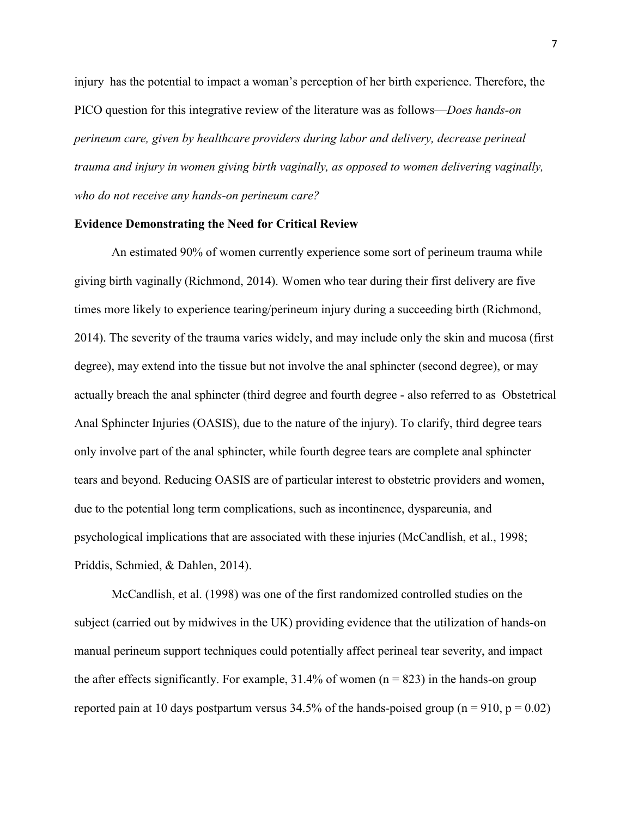injury has the potential to impact a woman's perception of her birth experience. Therefore, the PICO question for this integrative review of the literature was as follows—*Does hands-on perineum care, given by healthcare providers during labor and delivery, decrease perineal trauma and injury in women giving birth vaginally, as opposed to women delivering vaginally, who do not receive any hands-on perineum care?*

#### <span id="page-7-0"></span>**Evidence Demonstrating the Need for Critical Review**

An estimated 90% of women currently experience some sort of perineum trauma while giving birth vaginally (Richmond, 2014). Women who tear during their first delivery are five times more likely to experience tearing/perineum injury during a succeeding birth (Richmond, 2014). The severity of the trauma varies widely, and may include only the skin and mucosa (first degree), may extend into the tissue but not involve the anal sphincter (second degree), or may actually breach the anal sphincter (third degree and fourth degree - also referred to as Obstetrical Anal Sphincter Injuries (OASIS), due to the nature of the injury). To clarify, third degree tears only involve part of the anal sphincter, while fourth degree tears are complete anal sphincter tears and beyond. Reducing OASIS are of particular interest to obstetric providers and women, due to the potential long term complications, such as incontinence, dyspareunia, and psychological implications that are associated with these injuries (McCandlish, et al., 1998; Priddis, Schmied, & Dahlen, 2014).

McCandlish, et al. (1998) was one of the first randomized controlled studies on the subject (carried out by midwives in the UK) providing evidence that the utilization of hands-on manual perineum support techniques could potentially affect perineal tear severity, and impact the after effects significantly. For example,  $31.4\%$  of women (n = 823) in the hands-on group reported pain at 10 days postpartum versus 34.5% of the hands-poised group ( $n = 910$ ,  $p = 0.02$ )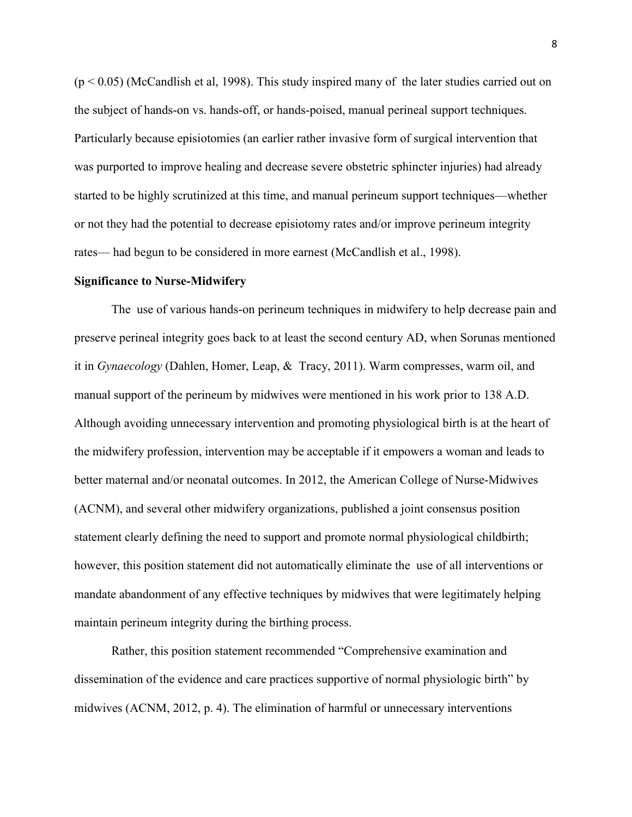$(p < 0.05)$  (McCandlish et al, 1998). This study inspired many of the later studies carried out on the subject of hands-on vs. hands-off, or hands-poised, manual perineal support techniques. Particularly because episiotomies (an earlier rather invasive form of surgical intervention that was purported to improve healing and decrease severe obstetric sphincter injuries) had already started to be highly scrutinized at this time, and manual perineum support techniques—whether or not they had the potential to decrease episiotomy rates and/or improve perineum integrity rates— had begun to be considered in more earnest (McCandlish et al., 1998).

#### <span id="page-8-0"></span>**Significance to Nurse-Midwifery**

The use of various hands-on perineum techniques in midwifery to help decrease pain and preserve perineal integrity goes back to at least the second century AD, when Sorunas mentioned it in *Gynaecology* (Dahlen, Homer, Leap, & Tracy, 2011). Warm compresses, warm oil, and manual support of the perineum by midwives were mentioned in his work prior to 138 A.D. Although avoiding unnecessary intervention and promoting physiological birth is at the heart of the midwifery profession, intervention may be acceptable if it empowers a woman and leads to better maternal and/or neonatal outcomes. In 2012, the American College of Nurse-Midwives (ACNM), and several other midwifery organizations, published a joint consensus position statement clearly defining the need to support and promote normal physiological childbirth; however, this position statement did not automatically eliminate the use of all interventions or mandate abandonment of any effective techniques by midwives that were legitimately helping maintain perineum integrity during the birthing process.

Rather, this position statement recommended "Comprehensive examination and dissemination of the evidence and care practices supportive of normal physiologic birth" by midwives (ACNM, 2012, p. 4). The elimination of harmful or unnecessary interventions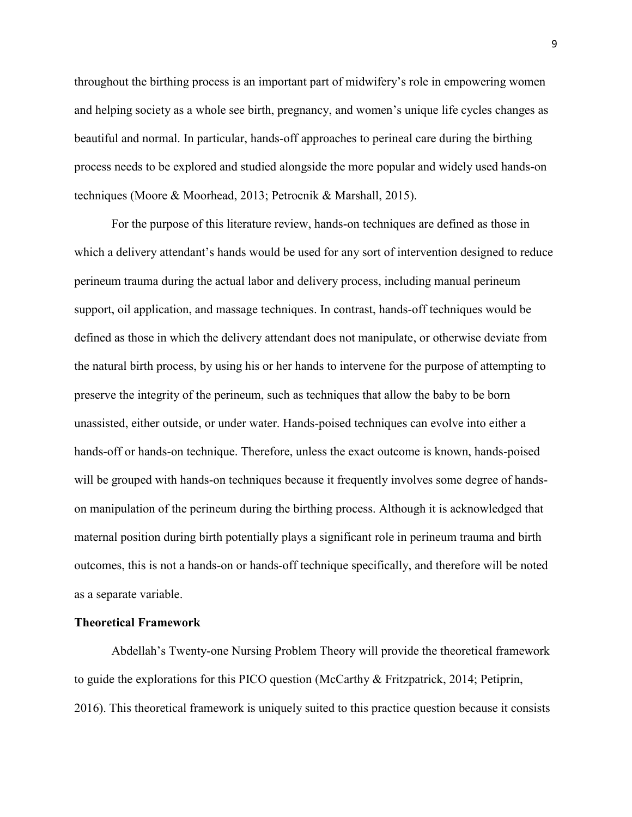throughout the birthing process is an important part of midwifery's role in empowering women and helping society as a whole see birth, pregnancy, and women's unique life cycles changes as beautiful and normal. In particular, hands-off approaches to perineal care during the birthing process needs to be explored and studied alongside the more popular and widely used hands-on techniques (Moore & Moorhead, 2013; Petrocnik & Marshall, 2015).

For the purpose of this literature review, hands-on techniques are defined as those in which a delivery attendant's hands would be used for any sort of intervention designed to reduce perineum trauma during the actual labor and delivery process, including manual perineum support, oil application, and massage techniques. In contrast, hands-off techniques would be defined as those in which the delivery attendant does not manipulate, or otherwise deviate from the natural birth process, by using his or her hands to intervene for the purpose of attempting to preserve the integrity of the perineum, such as techniques that allow the baby to be born unassisted, either outside, or under water. Hands-poised techniques can evolve into either a hands-off or hands-on technique. Therefore, unless the exact outcome is known, hands-poised will be grouped with hands-on techniques because it frequently involves some degree of handson manipulation of the perineum during the birthing process. Although it is acknowledged that maternal position during birth potentially plays a significant role in perineum trauma and birth outcomes, this is not a hands-on or hands-off technique specifically, and therefore will be noted as a separate variable.

#### <span id="page-9-0"></span>**Theoretical Framework**

Abdellah's Twenty-one Nursing Problem Theory will provide the theoretical framework to guide the explorations for this PICO question (McCarthy & Fritzpatrick, 2014; Petiprin, 2016). This theoretical framework is uniquely suited to this practice question because it consists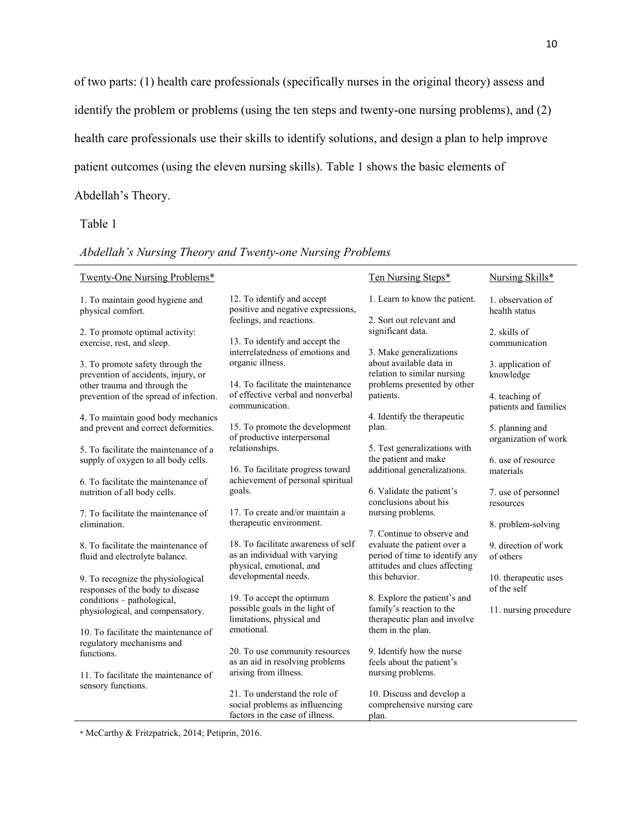of two parts: (1) health care professionals (specifically nurses in the original theory) assess and identify the problem or problems (using the ten steps and twenty-one nursing problems), and (2) health care professionals use their skills to identify solutions, and design a plan to help improve patient outcomes (using the eleven nursing skills). Table 1 shows the basic elements of Abdellah's Theory.

Table 1

|  | Abdellah's Nursing Theory and Twenty-one Nursing Problems |  |  |  |  |
|--|-----------------------------------------------------------|--|--|--|--|
|--|-----------------------------------------------------------|--|--|--|--|

| <b>Twenty-One Nursing Problems*</b>                                                                     |                                                                                                    | Ten Nursing Steps*                                                                                                           | Nursing Skills*                         |
|---------------------------------------------------------------------------------------------------------|----------------------------------------------------------------------------------------------------|------------------------------------------------------------------------------------------------------------------------------|-----------------------------------------|
| 1. To maintain good hygiene and<br>physical comfort.                                                    | 12. To identify and accept<br>positive and negative expressions,<br>feelings, and reactions.       | 1. Learn to know the patient.<br>2. Sort out relevant and                                                                    | 1. observation of<br>health status      |
| 2. To promote optimal activity:<br>exercise, rest, and sleep.                                           | 13. To identify and accept the<br>interrelatedness of emotions and                                 | significant data.                                                                                                            | 2. skills of<br>communication           |
| 3. To promote safety through the<br>prevention of accidents, injury, or<br>other trauma and through the | organic illness.<br>14. To facilitate the maintenance                                              | 3. Make generalizations<br>about available data in<br>relation to similar nursing<br>problems presented by other             | 3. application of<br>knowledge          |
| prevention of the spread of infection.                                                                  | of effective verbal and nonverbal<br>communication.                                                | patients.                                                                                                                    | 4. teaching of<br>patients and families |
| 4. To maintain good body mechanics<br>and prevent and correct deformities.                              | 15. To promote the development<br>of productive interpersonal                                      | 4. Identify the therapeutic<br>plan.                                                                                         | 5. planning and<br>organization of work |
| 5. To facilitate the maintenance of a<br>supply of oxygen to all body cells.                            | relationships.<br>16. To facilitate progress toward                                                | 5. Test generalizations with<br>the patient and make<br>additional generalizations.                                          | 6. use of resource<br>materials         |
| 6. To facilitate the maintenance of<br>nutrition of all body cells.                                     | achievement of personal spiritual<br>goals.                                                        | 6. Validate the patient's<br>conclusions about his                                                                           | 7. use of personnel<br>resources        |
| 7. To facilitate the maintenance of<br>elimination.                                                     | 17. To create and/or maintain a<br>therapeutic environment.                                        | nursing problems.                                                                                                            | 8. problem-solving                      |
| 8. To facilitate the maintenance of<br>fluid and electrolyte balance.                                   | 18. To facilitate awareness of self<br>as an individual with varying<br>physical, emotional, and   | 7. Continue to observe and<br>evaluate the patient over a<br>period of time to identify any<br>attitudes and clues affecting | 9. direction of work<br>of others       |
| 9. To recognize the physiological<br>responses of the body to disease                                   | developmental needs.                                                                               | this behavior.                                                                                                               | 10. therapeutic uses<br>of the self     |
| conditions - pathological,<br>physiological, and compensatory.                                          | 19. To accept the optimum<br>possible goals in the light of<br>limitations, physical and           | 8. Explore the patient's and<br>family's reaction to the<br>therapeutic plan and involve                                     | 11. nursing procedure                   |
| 10. To facilitate the maintenance of<br>regulatory mechanisms and                                       | emotional.                                                                                         | them in the plan.                                                                                                            |                                         |
| functions.                                                                                              | 20. To use community resources<br>as an aid in resolving problems                                  | 9. Identify how the nurse<br>feels about the patient's                                                                       |                                         |
| 11. To facilitate the maintenance of<br>sensory functions.                                              | arising from illness.                                                                              | nursing problems.                                                                                                            |                                         |
|                                                                                                         | 21. To understand the role of<br>social problems as influencing<br>factors in the case of illness. | 10. Discuss and develop a<br>comprehensive nursing care<br>plan.                                                             |                                         |

\* McCarthy & Fritzpatrick, 2014; Petiprin, 2016.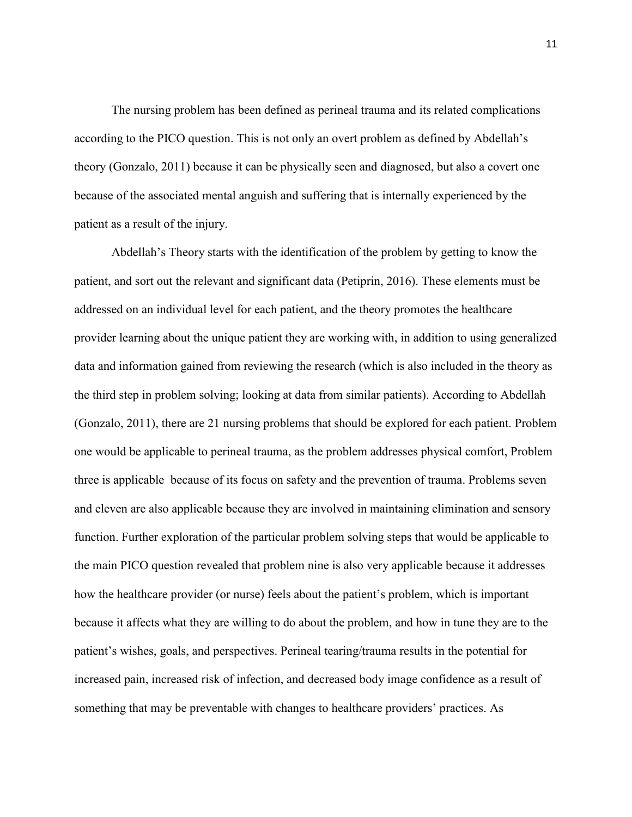The nursing problem has been defined as perineal trauma and its related complications according to the PICO question. This is not only an overt problem as defined by Abdellah's theory (Gonzalo, 2011) because it can be physically seen and diagnosed, but also a covert one because of the associated mental anguish and suffering that is internally experienced by the patient as a result of the injury.

Abdellah's Theory starts with the identification of the problem by getting to know the patient, and sort out the relevant and significant data (Petiprin, 2016). These elements must be addressed on an individual level for each patient, and the theory promotes the healthcare provider learning about the unique patient they are working with, in addition to using generalized data and information gained from reviewing the research (which is also included in the theory as the third step in problem solving; looking at data from similar patients). According to Abdellah (Gonzalo, 2011), there are 21 nursing problems that should be explored for each patient. Problem one would be applicable to perineal trauma, as the problem addresses physical comfort, Problem three is applicable because of its focus on safety and the prevention of trauma. Problems seven and eleven are also applicable because they are involved in maintaining elimination and sensory function. Further exploration of the particular problem solving steps that would be applicable to the main PICO question revealed that problem nine is also very applicable because it addresses how the healthcare provider (or nurse) feels about the patient's problem, which is important because it affects what they are willing to do about the problem, and how in tune they are to the patient's wishes, goals, and perspectives. Perineal tearing/trauma results in the potential for increased pain, increased risk of infection, and decreased body image confidence as a result of something that may be preventable with changes to healthcare providers' practices. As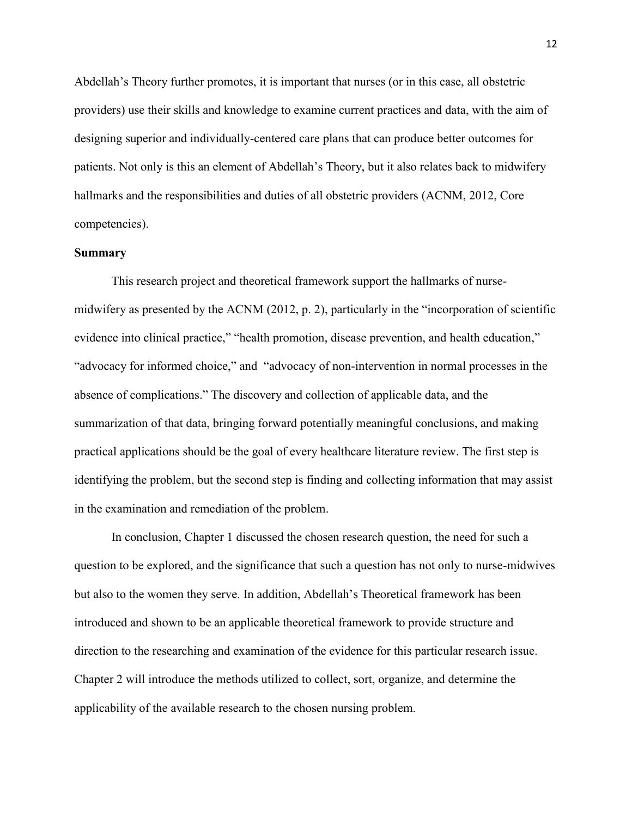Abdellah's Theory further promotes, it is important that nurses (or in this case, all obstetric providers) use their skills and knowledge to examine current practices and data, with the aim of designing superior and individually-centered care plans that can produce better outcomes for patients. Not only is this an element of Abdellah's Theory, but it also relates back to midwifery hallmarks and the responsibilities and duties of all obstetric providers (ACNM, 2012, Core competencies).

#### <span id="page-12-0"></span>**Summary**

This research project and theoretical framework support the hallmarks of nursemidwifery as presented by the ACNM (2012, p. 2), particularly in the "incorporation of scientific evidence into clinical practice," "health promotion, disease prevention, and health education," "advocacy for informed choice," and "advocacy of non-intervention in normal processes in the absence of complications." The discovery and collection of applicable data, and the summarization of that data, bringing forward potentially meaningful conclusions, and making practical applications should be the goal of every healthcare literature review. The first step is identifying the problem, but the second step is finding and collecting information that may assist in the examination and remediation of the problem.

In conclusion, Chapter 1 discussed the chosen research question, the need for such a question to be explored, and the significance that such a question has not only to nurse-midwives but also to the women they serve. In addition, Abdellah's Theoretical framework has been introduced and shown to be an applicable theoretical framework to provide structure and direction to the researching and examination of the evidence for this particular research issue. Chapter 2 will introduce the methods utilized to collect, sort, organize, and determine the applicability of the available research to the chosen nursing problem.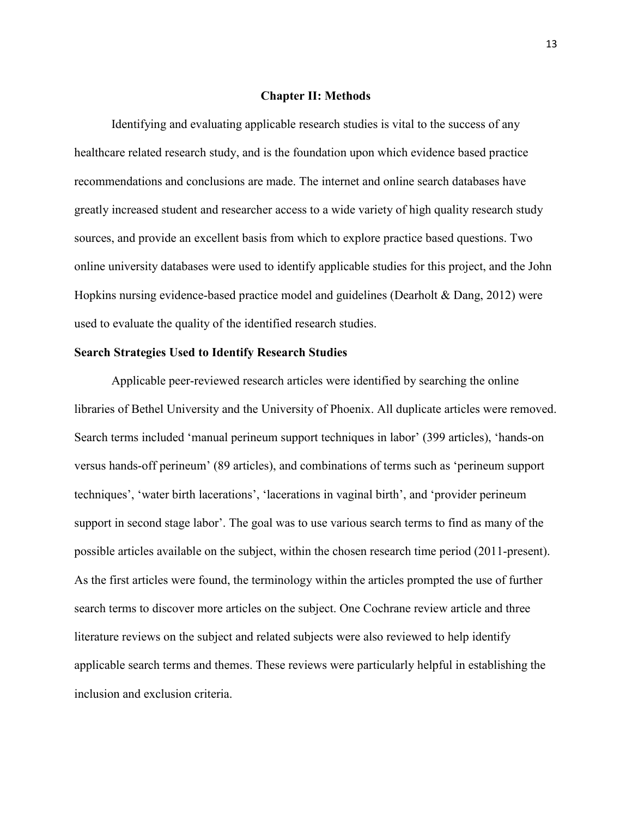#### **Chapter II: Methods**

<span id="page-13-0"></span>Identifying and evaluating applicable research studies is vital to the success of any healthcare related research study, and is the foundation upon which evidence based practice recommendations and conclusions are made. The internet and online search databases have greatly increased student and researcher access to a wide variety of high quality research study sources, and provide an excellent basis from which to explore practice based questions. Two online university databases were used to identify applicable studies for this project, and the John Hopkins nursing evidence-based practice model and guidelines (Dearholt & Dang, 2012) were used to evaluate the quality of the identified research studies.

#### <span id="page-13-1"></span>**Search Strategies Used to Identify Research Studies**

Applicable peer-reviewed research articles were identified by searching the online libraries of Bethel University and the University of Phoenix. All duplicate articles were removed. Search terms included 'manual perineum support techniques in labor' (399 articles), 'hands-on versus hands-off perineum' (89 articles), and combinations of terms such as 'perineum support techniques', 'water birth lacerations', 'lacerations in vaginal birth', and 'provider perineum support in second stage labor'. The goal was to use various search terms to find as many of the possible articles available on the subject, within the chosen research time period (2011-present). As the first articles were found, the terminology within the articles prompted the use of further search terms to discover more articles on the subject. One Cochrane review article and three literature reviews on the subject and related subjects were also reviewed to help identify applicable search terms and themes. These reviews were particularly helpful in establishing the inclusion and exclusion criteria.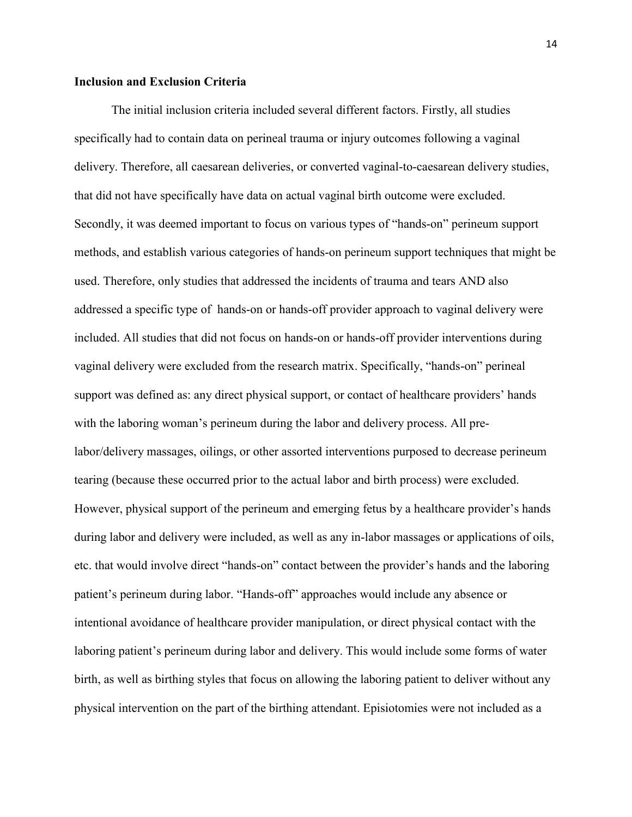#### <span id="page-14-0"></span>**Inclusion and Exclusion Criteria**

The initial inclusion criteria included several different factors. Firstly, all studies specifically had to contain data on perineal trauma or injury outcomes following a vaginal delivery. Therefore, all caesarean deliveries, or converted vaginal-to-caesarean delivery studies, that did not have specifically have data on actual vaginal birth outcome were excluded. Secondly, it was deemed important to focus on various types of "hands-on" perineum support methods, and establish various categories of hands-on perineum support techniques that might be used. Therefore, only studies that addressed the incidents of trauma and tears AND also addressed a specific type of hands-on or hands-off provider approach to vaginal delivery were included. All studies that did not focus on hands-on or hands-off provider interventions during vaginal delivery were excluded from the research matrix. Specifically, "hands-on" perineal support was defined as: any direct physical support, or contact of healthcare providers' hands with the laboring woman's perineum during the labor and delivery process. All prelabor/delivery massages, oilings, or other assorted interventions purposed to decrease perineum tearing (because these occurred prior to the actual labor and birth process) were excluded. However, physical support of the perineum and emerging fetus by a healthcare provider's hands during labor and delivery were included, as well as any in-labor massages or applications of oils, etc. that would involve direct "hands-on" contact between the provider's hands and the laboring patient's perineum during labor. "Hands-off" approaches would include any absence or intentional avoidance of healthcare provider manipulation, or direct physical contact with the laboring patient's perineum during labor and delivery. This would include some forms of water birth, as well as birthing styles that focus on allowing the laboring patient to deliver without any physical intervention on the part of the birthing attendant. Episiotomies were not included as a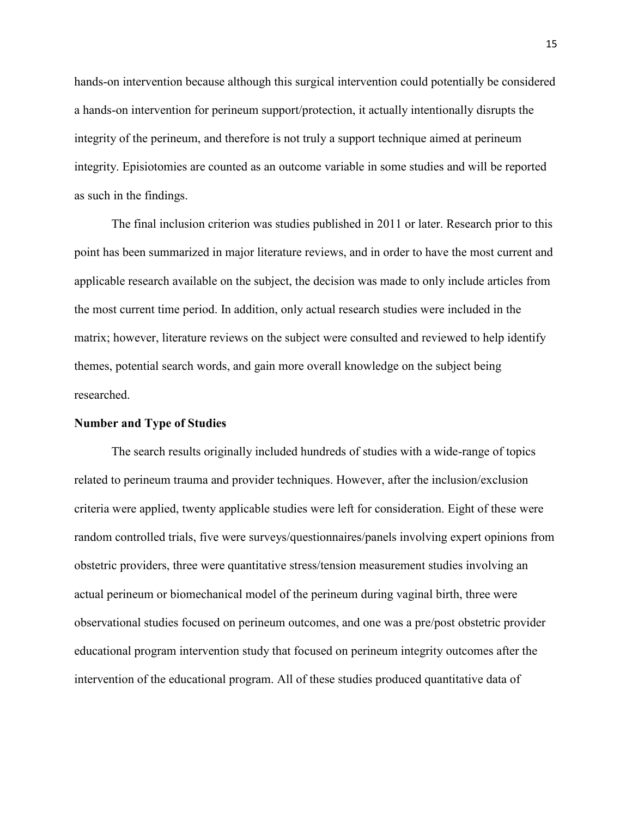hands-on intervention because although this surgical intervention could potentially be considered a hands-on intervention for perineum support/protection, it actually intentionally disrupts the integrity of the perineum, and therefore is not truly a support technique aimed at perineum integrity. Episiotomies are counted as an outcome variable in some studies and will be reported as such in the findings.

The final inclusion criterion was studies published in 2011 or later. Research prior to this point has been summarized in major literature reviews, and in order to have the most current and applicable research available on the subject, the decision was made to only include articles from the most current time period. In addition, only actual research studies were included in the matrix; however, literature reviews on the subject were consulted and reviewed to help identify themes, potential search words, and gain more overall knowledge on the subject being researched.

#### <span id="page-15-0"></span>**Number and Type of Studies**

The search results originally included hundreds of studies with a wide-range of topics related to perineum trauma and provider techniques. However, after the inclusion/exclusion criteria were applied, twenty applicable studies were left for consideration. Eight of these were random controlled trials, five were surveys/questionnaires/panels involving expert opinions from obstetric providers, three were quantitative stress/tension measurement studies involving an actual perineum or biomechanical model of the perineum during vaginal birth, three were observational studies focused on perineum outcomes, and one was a pre/post obstetric provider educational program intervention study that focused on perineum integrity outcomes after the intervention of the educational program. All of these studies produced quantitative data of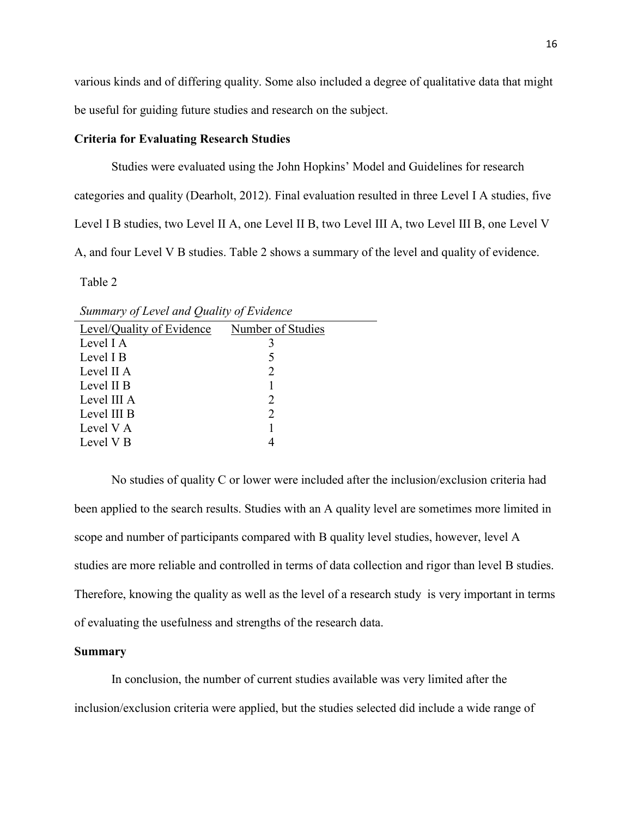various kinds and of differing quality. Some also included a degree of qualitative data that might be useful for guiding future studies and research on the subject.

#### <span id="page-16-0"></span>**Criteria for Evaluating Research Studies**

Studies were evaluated using the John Hopkins' Model and Guidelines for research categories and quality (Dearholt, 2012). Final evaluation resulted in three Level I A studies, five Level I B studies, two Level II A, one Level II B, two Level III A, two Level III B, one Level V A, and four Level V B studies. Table 2 shows a summary of the level and quality of evidence.

Table 2

*Summary of Level and Quality of Evidence*

| Level/Quality of Evidence | Number of Studies           |  |
|---------------------------|-----------------------------|--|
| Level I A                 |                             |  |
| Level I B                 |                             |  |
| Level II A                | 2                           |  |
| Level II B                |                             |  |
| Level III A               | $\mathcal{D}_{\mathcal{L}}$ |  |
| Level III B               | $\mathcal{D}_{\mathcal{L}}$ |  |
| Level V A                 |                             |  |
| Level V <sub>B</sub>      |                             |  |
|                           |                             |  |

No studies of quality C or lower were included after the inclusion/exclusion criteria had been applied to the search results. Studies with an A quality level are sometimes more limited in scope and number of participants compared with B quality level studies, however, level A studies are more reliable and controlled in terms of data collection and rigor than level B studies. Therefore, knowing the quality as well as the level of a research study is very important in terms of evaluating the usefulness and strengths of the research data.

#### <span id="page-16-1"></span>**Summary**

In conclusion, the number of current studies available was very limited after the inclusion/exclusion criteria were applied, but the studies selected did include a wide range of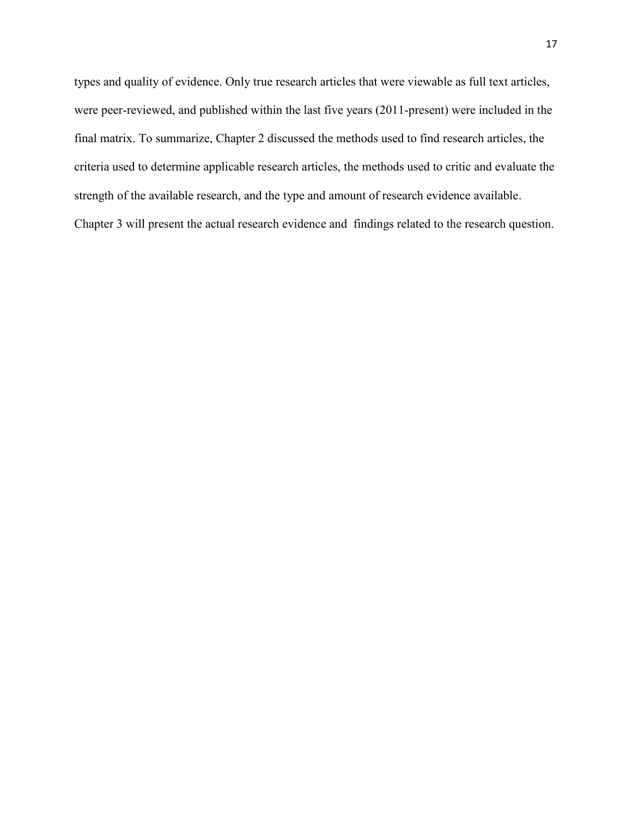types and quality of evidence. Only true research articles that were viewable as full text articles, were peer-reviewed, and published within the last five years (2011-present) were included in the final matrix. To summarize, Chapter 2 discussed the methods used to find research articles, the criteria used to determine applicable research articles, the methods used to critic and evaluate the strength of the available research, and the type and amount of research evidence available. Chapter 3 will present the actual research evidence and findings related to the research question.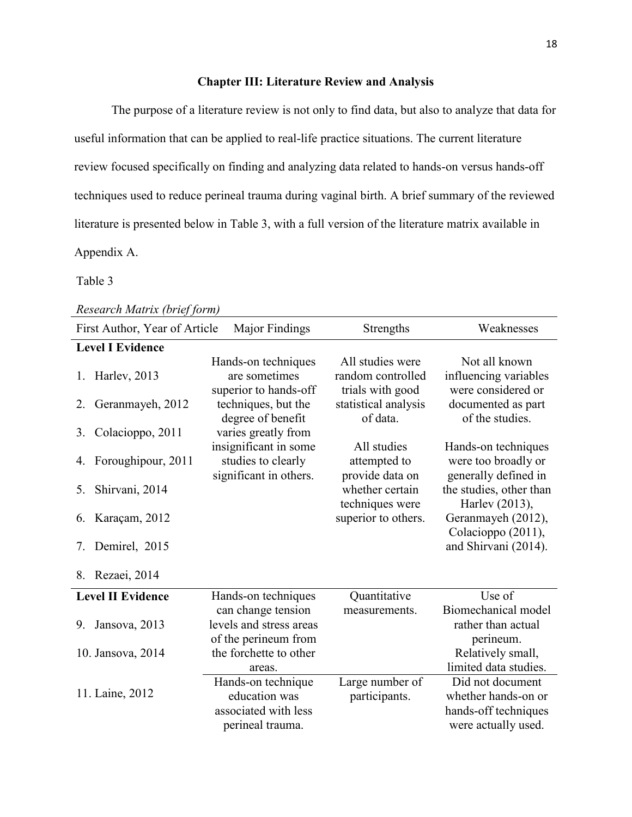#### **Chapter III: Literature Review and Analysis**

<span id="page-18-0"></span>The purpose of a literature review is not only to find data, but also to analyze that data for useful information that can be applied to real-life practice situations. The current literature review focused specifically on finding and analyzing data related to hands-on versus hands-off techniques used to reduce perineal trauma during vaginal birth. A brief summary of the reviewed literature is presented below in Table 3, with a full version of the literature matrix available in Appendix A.

#### Table 3

|    | First Author, Year of Article<br><b>Major Findings</b><br>Weaknesses<br>Strengths |                                                                                 |                                                           |                                                                                        |  |  |  |  |  |  |  |
|----|-----------------------------------------------------------------------------------|---------------------------------------------------------------------------------|-----------------------------------------------------------|----------------------------------------------------------------------------------------|--|--|--|--|--|--|--|
|    | <b>Level I Evidence</b>                                                           |                                                                                 |                                                           |                                                                                        |  |  |  |  |  |  |  |
| 1. | Harley, 2013                                                                      | Hands-on techniques<br>are sometimes<br>superior to hands-off                   | All studies were<br>random controlled<br>trials with good | Not all known<br>influencing variables<br>were considered or                           |  |  |  |  |  |  |  |
| 2. | Geranmayeh, 2012                                                                  | techniques, but the<br>degree of benefit                                        | statistical analysis<br>of data.                          | documented as part<br>of the studies.                                                  |  |  |  |  |  |  |  |
| 3. | Colacioppo, 2011                                                                  | varies greatly from                                                             |                                                           |                                                                                        |  |  |  |  |  |  |  |
| 4. | Foroughipour, 2011                                                                | insignificant in some<br>studies to clearly<br>significant in others.           | All studies<br>attempted to<br>provide data on            | Hands-on techniques<br>were too broadly or<br>generally defined in                     |  |  |  |  |  |  |  |
| 5. | Shirvani, 2014                                                                    |                                                                                 | whether certain<br>techniques were                        | the studies, other than<br>Harley (2013),                                              |  |  |  |  |  |  |  |
| 6. | Karaçam, 2012                                                                     |                                                                                 | superior to others.                                       | Geranmayeh (2012),<br>Colacioppo (2011),                                               |  |  |  |  |  |  |  |
| 7. | Demirel, 2015                                                                     |                                                                                 |                                                           | and Shirvani (2014).                                                                   |  |  |  |  |  |  |  |
|    | 8. Rezaei, 2014                                                                   |                                                                                 |                                                           |                                                                                        |  |  |  |  |  |  |  |
|    | <b>Level II Evidence</b>                                                          | Hands-on techniques                                                             | Quantitative                                              | Use of                                                                                 |  |  |  |  |  |  |  |
| 9. | Jansova, 2013                                                                     | can change tension<br>levels and stress areas<br>of the perineum from           | measurements.                                             | Biomechanical model<br>rather than actual<br>perineum.                                 |  |  |  |  |  |  |  |
|    | 10. Jansova, 2014                                                                 | the forchette to other<br>areas.                                                |                                                           | Relatively small,<br>limited data studies.                                             |  |  |  |  |  |  |  |
|    | 11. Laine, 2012                                                                   | Hands-on technique<br>education was<br>associated with less<br>perineal trauma. | Large number of<br>participants.                          | Did not document<br>whether hands-on or<br>hands-off techniques<br>were actually used. |  |  |  |  |  |  |  |

### *Research Matrix (brief form)*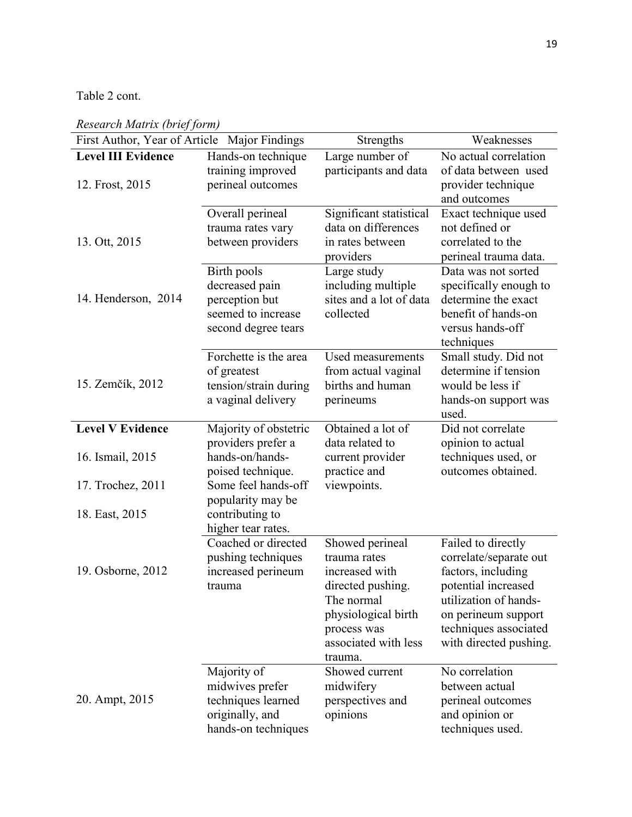Table 2 cont.

| First Author, Year of Article Major Findings |                                                                                                | Strengths                                                                                                                                                     | Weaknesses                                                                                                                                                                                   |
|----------------------------------------------|------------------------------------------------------------------------------------------------|---------------------------------------------------------------------------------------------------------------------------------------------------------------|----------------------------------------------------------------------------------------------------------------------------------------------------------------------------------------------|
| <b>Level III Evidence</b><br>12. Frost, 2015 | Hands-on technique<br>training improved<br>perineal outcomes                                   | Large number of<br>participants and data                                                                                                                      | No actual correlation<br>of data between used<br>provider technique<br>and outcomes                                                                                                          |
| 13. Ott, 2015                                | Overall perineal<br>trauma rates vary<br>between providers                                     | Significant statistical<br>data on differences<br>in rates between<br>providers                                                                               | Exact technique used<br>not defined or<br>correlated to the<br>perineal trauma data.                                                                                                         |
| 14. Henderson, 2014                          | Birth pools<br>decreased pain<br>perception but<br>seemed to increase<br>second degree tears   | Large study<br>including multiple<br>sites and a lot of data<br>collected                                                                                     | Data was not sorted<br>specifically enough to<br>determine the exact<br>benefit of hands-on<br>versus hands-off<br>techniques                                                                |
| 15. Zemčík, 2012                             | Forchette is the area<br>of greatest<br>tension/strain during<br>a vaginal delivery            | Used measurements<br>from actual vaginal<br>births and human<br>perineums                                                                                     | Small study. Did not<br>determine if tension<br>would be less if<br>hands-on support was<br>used.                                                                                            |
| <b>Level V Evidence</b>                      | Majority of obstetric                                                                          | Obtained a lot of                                                                                                                                             | Did not correlate                                                                                                                                                                            |
| 16. Ismail, 2015                             | providers prefer a<br>hands-on/hands-<br>poised technique.                                     | data related to<br>current provider<br>practice and                                                                                                           | opinion to actual<br>techniques used, or<br>outcomes obtained.                                                                                                                               |
| 17. Trochez, 2011                            | Some feel hands-off                                                                            | viewpoints.                                                                                                                                                   |                                                                                                                                                                                              |
| 18. East, 2015                               | popularity may be<br>contributing to<br>higher tear rates.                                     |                                                                                                                                                               |                                                                                                                                                                                              |
| 19. Osborne, 2012                            | Coached or directed<br>pushing techniques<br>increased perineum<br>trauma                      | Showed perineal<br>trauma rates<br>increased with<br>directed pushing.<br>The normal<br>physiological birth<br>process was<br>associated with less<br>trauma. | Failed to directly<br>correlate/separate out<br>factors, including<br>potential increased<br>utilization of hands-<br>on perineum support<br>techniques associated<br>with directed pushing. |
| 20. Ampt, 2015                               | Majority of<br>midwives prefer<br>techniques learned<br>originally, and<br>hands-on techniques | Showed current<br>midwifery<br>perspectives and<br>opinions                                                                                                   | No correlation<br>between actual<br>perineal outcomes<br>and opinion or<br>techniques used.                                                                                                  |

*Research Matrix (brief form)*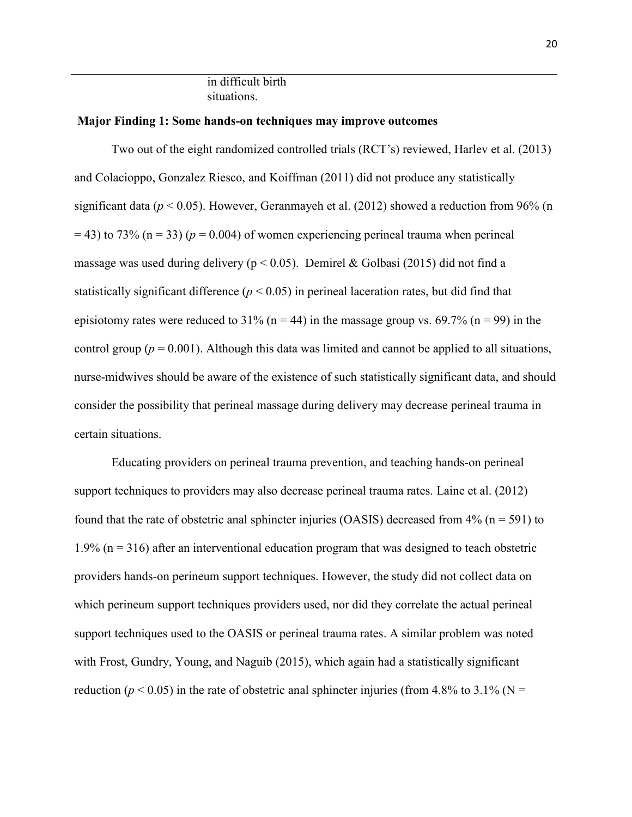in difficult birth situations.

#### <span id="page-20-0"></span>**Major Finding 1: Some hands-on techniques may improve outcomes**

Two out of the eight randomized controlled trials (RCT's) reviewed, Harlev et al. (2013) and Colacioppo, Gonzalez Riesco, and Koiffman (2011) did not produce any statistically significant data (*p* < 0.05). However, Geranmayeh et al. (2012) showed a reduction from 96% (n  $=$  43) to 73% ( $n = 33$ ) ( $p = 0.004$ ) of women experiencing perineal trauma when perineal massage was used during delivery ( $p < 0.05$ ). Demirel & Golbasi (2015) did not find a statistically significant difference  $(p < 0.05)$  in perineal laceration rates, but did find that episiotomy rates were reduced to  $31\%$  (n = 44) in the massage group vs. 69.7% (n = 99) in the control group ( $p = 0.001$ ). Although this data was limited and cannot be applied to all situations, nurse-midwives should be aware of the existence of such statistically significant data, and should consider the possibility that perineal massage during delivery may decrease perineal trauma in certain situations.

Educating providers on perineal trauma prevention, and teaching hands-on perineal support techniques to providers may also decrease perineal trauma rates. Laine et al. (2012) found that the rate of obstetric anal sphincter injuries (OASIS) decreased from  $4\%$  (n = 591) to 1.9% ( $n = 316$ ) after an interventional education program that was designed to teach obstetric providers hands-on perineum support techniques. However, the study did not collect data on which perineum support techniques providers used, nor did they correlate the actual perineal support techniques used to the OASIS or perineal trauma rates. A similar problem was noted with Frost, Gundry, Young, and Naguib (2015), which again had a statistically significant reduction ( $p < 0.05$ ) in the rate of obstetric anal sphincter injuries (from 4.8% to 3.1% (N =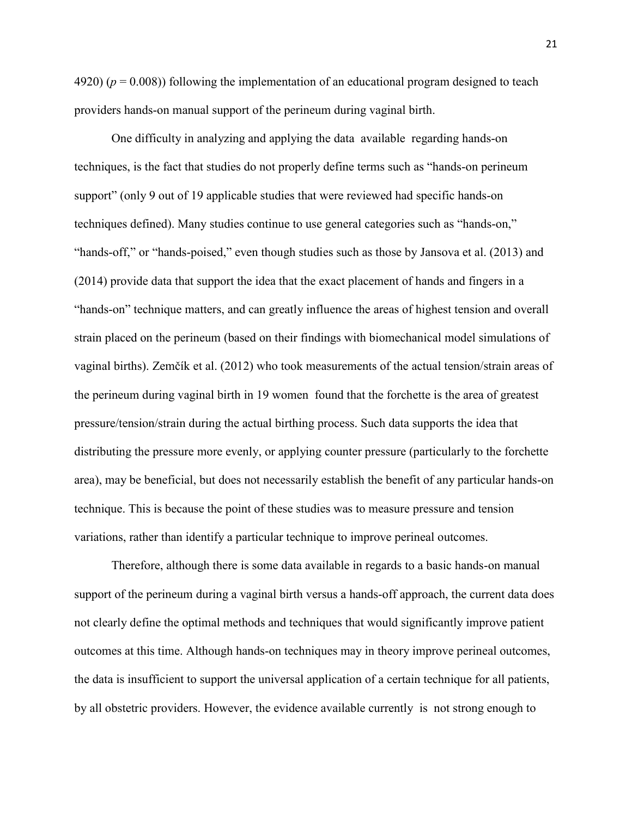$(4920)$  ( $p = 0.008$ )) following the implementation of an educational program designed to teach providers hands-on manual support of the perineum during vaginal birth.

One difficulty in analyzing and applying the data available regarding hands-on techniques, is the fact that studies do not properly define terms such as "hands-on perineum support" (only 9 out of 19 applicable studies that were reviewed had specific hands-on techniques defined). Many studies continue to use general categories such as "hands-on," "hands-off," or "hands-poised," even though studies such as those by Jansova et al. (2013) and (2014) provide data that support the idea that the exact placement of hands and fingers in a "hands-on" technique matters, and can greatly influence the areas of highest tension and overall strain placed on the perineum (based on their findings with biomechanical model simulations of vaginal births). Zemčík et al. (2012) who took measurements of the actual tension/strain areas of the perineum during vaginal birth in 19 women found that the forchette is the area of greatest pressure/tension/strain during the actual birthing process. Such data supports the idea that distributing the pressure more evenly, or applying counter pressure (particularly to the forchette area), may be beneficial, but does not necessarily establish the benefit of any particular hands-on technique. This is because the point of these studies was to measure pressure and tension variations, rather than identify a particular technique to improve perineal outcomes.

Therefore, although there is some data available in regards to a basic hands-on manual support of the perineum during a vaginal birth versus a hands-off approach, the current data does not clearly define the optimal methods and techniques that would significantly improve patient outcomes at this time. Although hands-on techniques may in theory improve perineal outcomes, the data is insufficient to support the universal application of a certain technique for all patients, by all obstetric providers. However, the evidence available currently is not strong enough to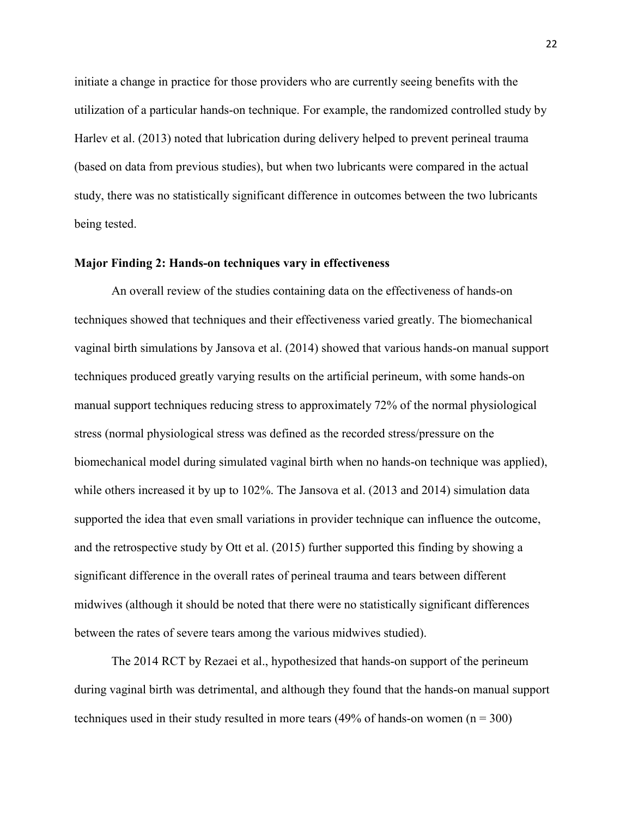initiate a change in practice for those providers who are currently seeing benefits with the utilization of a particular hands-on technique. For example, the randomized controlled study by Harlev et al. (2013) noted that lubrication during delivery helped to prevent perineal trauma (based on data from previous studies), but when two lubricants were compared in the actual study, there was no statistically significant difference in outcomes between the two lubricants being tested.

#### <span id="page-22-0"></span>**Major Finding 2: Hands-on techniques vary in effectiveness**

An overall review of the studies containing data on the effectiveness of hands-on techniques showed that techniques and their effectiveness varied greatly. The biomechanical vaginal birth simulations by Jansova et al. (2014) showed that various hands-on manual support techniques produced greatly varying results on the artificial perineum, with some hands-on manual support techniques reducing stress to approximately 72% of the normal physiological stress (normal physiological stress was defined as the recorded stress/pressure on the biomechanical model during simulated vaginal birth when no hands-on technique was applied), while others increased it by up to 102%. The Jansova et al. (2013 and 2014) simulation data supported the idea that even small variations in provider technique can influence the outcome, and the retrospective study by Ott et al. (2015) further supported this finding by showing a significant difference in the overall rates of perineal trauma and tears between different midwives (although it should be noted that there were no statistically significant differences between the rates of severe tears among the various midwives studied).

The 2014 RCT by Rezaei et al., hypothesized that hands-on support of the perineum during vaginal birth was detrimental, and although they found that the hands-on manual support techniques used in their study resulted in more tears  $(49\% \text{ of hands-on women } (n = 300)$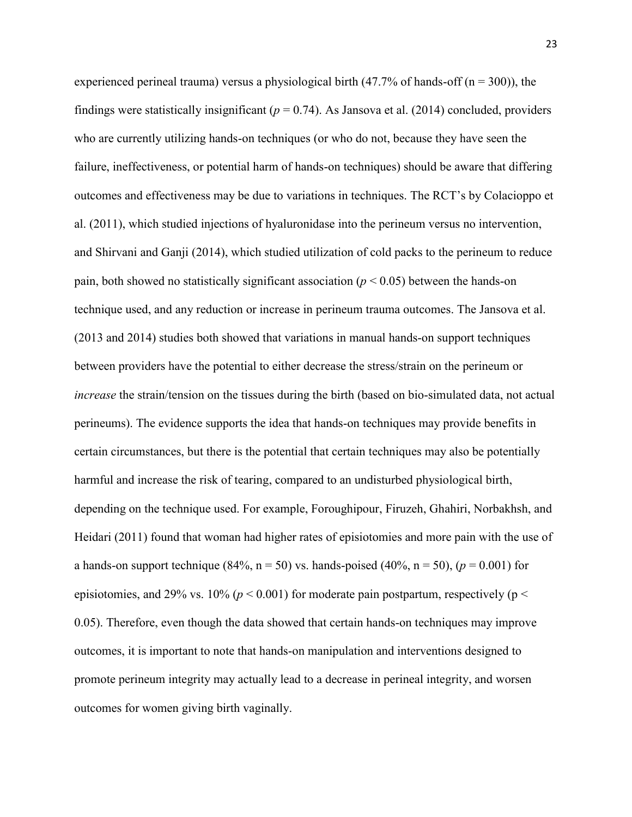experienced perineal trauma) versus a physiological birth  $(47.7%$  of hands-off  $(n = 300)$ , the findings were statistically insignificant ( $p = 0.74$ ). As Jansova et al. (2014) concluded, providers who are currently utilizing hands-on techniques (or who do not, because they have seen the failure, ineffectiveness, or potential harm of hands-on techniques) should be aware that differing outcomes and effectiveness may be due to variations in techniques. The RCT's by Colacioppo et al. (2011), which studied injections of hyaluronidase into the perineum versus no intervention, and Shirvani and Ganji (2014), which studied utilization of cold packs to the perineum to reduce pain, both showed no statistically significant association ( $p < 0.05$ ) between the hands-on technique used, and any reduction or increase in perineum trauma outcomes. The Jansova et al. (2013 and 2014) studies both showed that variations in manual hands-on support techniques between providers have the potential to either decrease the stress/strain on the perineum or *increase* the strain/tension on the tissues during the birth (based on bio-simulated data, not actual perineums). The evidence supports the idea that hands-on techniques may provide benefits in certain circumstances, but there is the potential that certain techniques may also be potentially harmful and increase the risk of tearing, compared to an undisturbed physiological birth, depending on the technique used. For example, Foroughipour, Firuzeh, Ghahiri, Norbakhsh, and Heidari (2011) found that woman had higher rates of episiotomies and more pain with the use of a hands-on support technique (84%,  $n = 50$ ) vs. hands-poised (40%,  $n = 50$ ), ( $p = 0.001$ ) for episiotomies, and 29% vs. 10% ( $p < 0.001$ ) for moderate pain postpartum, respectively ( $p <$ 0.05). Therefore, even though the data showed that certain hands-on techniques may improve outcomes, it is important to note that hands-on manipulation and interventions designed to promote perineum integrity may actually lead to a decrease in perineal integrity, and worsen outcomes for women giving birth vaginally.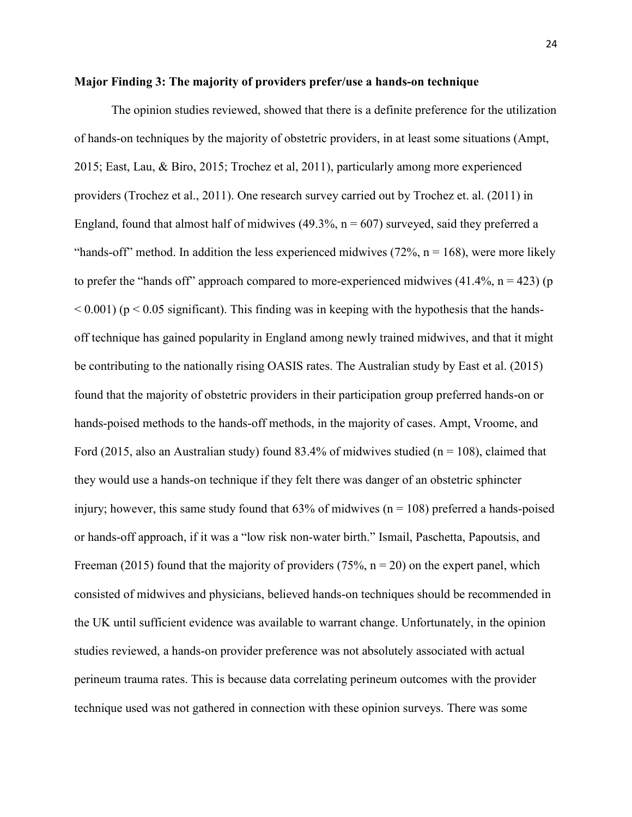#### <span id="page-24-0"></span>**Major Finding 3: The majority of providers prefer/use a hands-on technique**

The opinion studies reviewed, showed that there is a definite preference for the utilization of hands-on techniques by the majority of obstetric providers, in at least some situations (Ampt, 2015; East, Lau, & Biro, 2015; Trochez et al, 2011), particularly among more experienced providers (Trochez et al., 2011). One research survey carried out by Trochez et. al. (2011) in England, found that almost half of midwives  $(49.3\%$ ,  $n = 607)$  surveyed, said they preferred a "hands-off" method. In addition the less experienced midwives  $(72\%$ ,  $n = 168)$ , were more likely to prefer the "hands off" approach compared to more-experienced midwives  $(41.4\%, n = 423)$  (p  $\leq$  0.001) (p $\leq$  0.05 significant). This finding was in keeping with the hypothesis that the handsoff technique has gained popularity in England among newly trained midwives, and that it might be contributing to the nationally rising OASIS rates. The Australian study by East et al. (2015) found that the majority of obstetric providers in their participation group preferred hands-on or hands-poised methods to the hands-off methods, in the majority of cases. Ampt, Vroome, and Ford (2015, also an Australian study) found 83.4% of midwives studied ( $n = 108$ ), claimed that they would use a hands-on technique if they felt there was danger of an obstetric sphincter injury; however, this same study found that  $63\%$  of midwives ( $n = 108$ ) preferred a hands-poised or hands-off approach, if it was a "low risk non-water birth." Ismail, Paschetta, Papoutsis, and Freeman (2015) found that the majority of providers (75%,  $n = 20$ ) on the expert panel, which consisted of midwives and physicians, believed hands-on techniques should be recommended in the UK until sufficient evidence was available to warrant change. Unfortunately, in the opinion studies reviewed, a hands-on provider preference was not absolutely associated with actual perineum trauma rates. This is because data correlating perineum outcomes with the provider technique used was not gathered in connection with these opinion surveys. There was some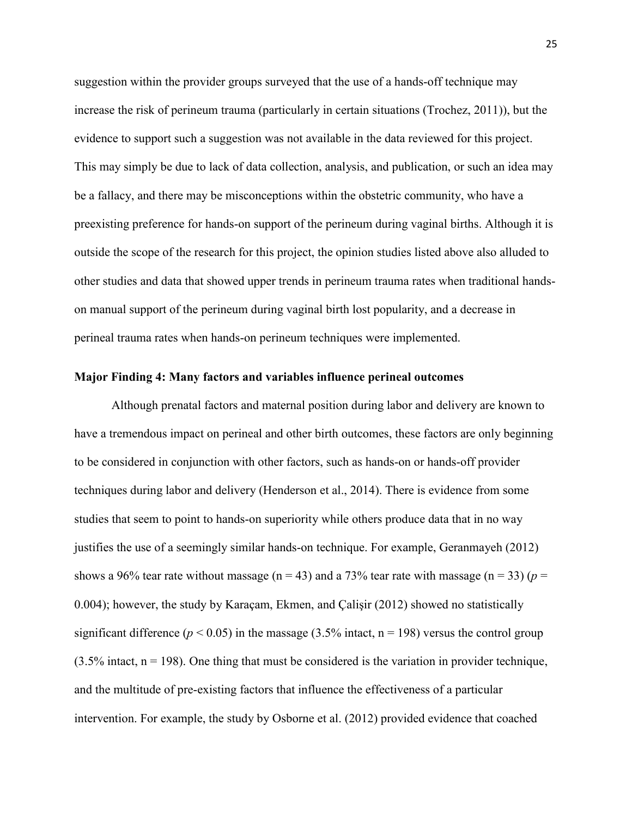suggestion within the provider groups surveyed that the use of a hands-off technique may increase the risk of perineum trauma (particularly in certain situations (Trochez, 2011)), but the evidence to support such a suggestion was not available in the data reviewed for this project. This may simply be due to lack of data collection, analysis, and publication, or such an idea may be a fallacy, and there may be misconceptions within the obstetric community, who have a preexisting preference for hands-on support of the perineum during vaginal births. Although it is outside the scope of the research for this project, the opinion studies listed above also alluded to other studies and data that showed upper trends in perineum trauma rates when traditional handson manual support of the perineum during vaginal birth lost popularity, and a decrease in perineal trauma rates when hands-on perineum techniques were implemented.

#### <span id="page-25-0"></span>**Major Finding 4: Many factors and variables influence perineal outcomes**

Although prenatal factors and maternal position during labor and delivery are known to have a tremendous impact on perineal and other birth outcomes, these factors are only beginning to be considered in conjunction with other factors, such as hands-on or hands-off provider techniques during labor and delivery (Henderson et al., 2014). There is evidence from some studies that seem to point to hands-on superiority while others produce data that in no way justifies the use of a seemingly similar hands-on technique. For example, Geranmayeh (2012) shows a 96% tear rate without massage ( $n = 43$ ) and a 73% tear rate with massage ( $n = 33$ ) ( $p =$ 0.004); however, the study by Karaçam, Ekmen, and Çalişir (2012) showed no statistically significant difference ( $p < 0.05$ ) in the massage (3.5% intact,  $n = 198$ ) versus the control group  $(3.5\% \text{ intact}, n = 198)$ . One thing that must be considered is the variation in provider technique, and the multitude of pre-existing factors that influence the effectiveness of a particular intervention. For example, the study by Osborne et al. (2012) provided evidence that coached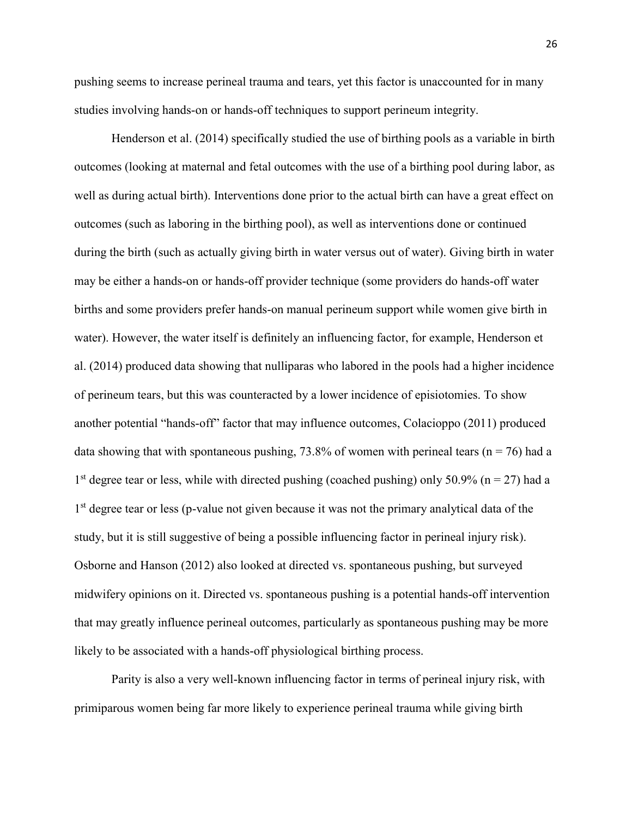pushing seems to increase perineal trauma and tears, yet this factor is unaccounted for in many studies involving hands-on or hands-off techniques to support perineum integrity.

Henderson et al. (2014) specifically studied the use of birthing pools as a variable in birth outcomes (looking at maternal and fetal outcomes with the use of a birthing pool during labor, as well as during actual birth). Interventions done prior to the actual birth can have a great effect on outcomes (such as laboring in the birthing pool), as well as interventions done or continued during the birth (such as actually giving birth in water versus out of water). Giving birth in water may be either a hands-on or hands-off provider technique (some providers do hands-off water births and some providers prefer hands-on manual perineum support while women give birth in water). However, the water itself is definitely an influencing factor, for example, Henderson et al. (2014) produced data showing that nulliparas who labored in the pools had a higher incidence of perineum tears, but this was counteracted by a lower incidence of episiotomies. To show another potential "hands-off" factor that may influence outcomes, Colacioppo (2011) produced data showing that with spontaneous pushing, 73.8% of women with perineal tears ( $n = 76$ ) had a 1<sup>st</sup> degree tear or less, while with directed pushing (coached pushing) only 50.9% ( $n = 27$ ) had a 1<sup>st</sup> degree tear or less (p-value not given because it was not the primary analytical data of the study, but it is still suggestive of being a possible influencing factor in perineal injury risk). Osborne and Hanson (2012) also looked at directed vs. spontaneous pushing, but surveyed midwifery opinions on it. Directed vs. spontaneous pushing is a potential hands-off intervention that may greatly influence perineal outcomes, particularly as spontaneous pushing may be more likely to be associated with a hands-off physiological birthing process.

Parity is also a very well-known influencing factor in terms of perineal injury risk, with primiparous women being far more likely to experience perineal trauma while giving birth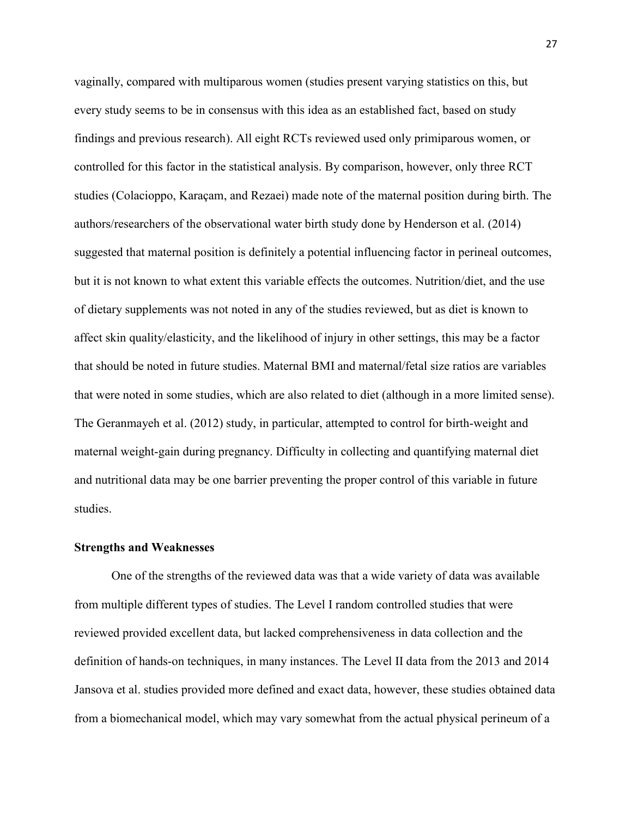vaginally, compared with multiparous women (studies present varying statistics on this, but every study seems to be in consensus with this idea as an established fact, based on study findings and previous research). All eight RCTs reviewed used only primiparous women, or controlled for this factor in the statistical analysis. By comparison, however, only three RCT studies (Colacioppo, Karaçam, and Rezaei) made note of the maternal position during birth. The authors/researchers of the observational water birth study done by Henderson et al. (2014) suggested that maternal position is definitely a potential influencing factor in perineal outcomes, but it is not known to what extent this variable effects the outcomes. Nutrition/diet, and the use of dietary supplements was not noted in any of the studies reviewed, but as diet is known to affect skin quality/elasticity, and the likelihood of injury in other settings, this may be a factor that should be noted in future studies. Maternal BMI and maternal/fetal size ratios are variables that were noted in some studies, which are also related to diet (although in a more limited sense). The Geranmayeh et al. (2012) study, in particular, attempted to control for birth-weight and maternal weight-gain during pregnancy. Difficulty in collecting and quantifying maternal diet and nutritional data may be one barrier preventing the proper control of this variable in future studies.

#### <span id="page-27-0"></span>**Strengths and Weaknesses**

One of the strengths of the reviewed data was that a wide variety of data was available from multiple different types of studies. The Level I random controlled studies that were reviewed provided excellent data, but lacked comprehensiveness in data collection and the definition of hands-on techniques, in many instances. The Level II data from the 2013 and 2014 Jansova et al. studies provided more defined and exact data, however, these studies obtained data from a biomechanical model, which may vary somewhat from the actual physical perineum of a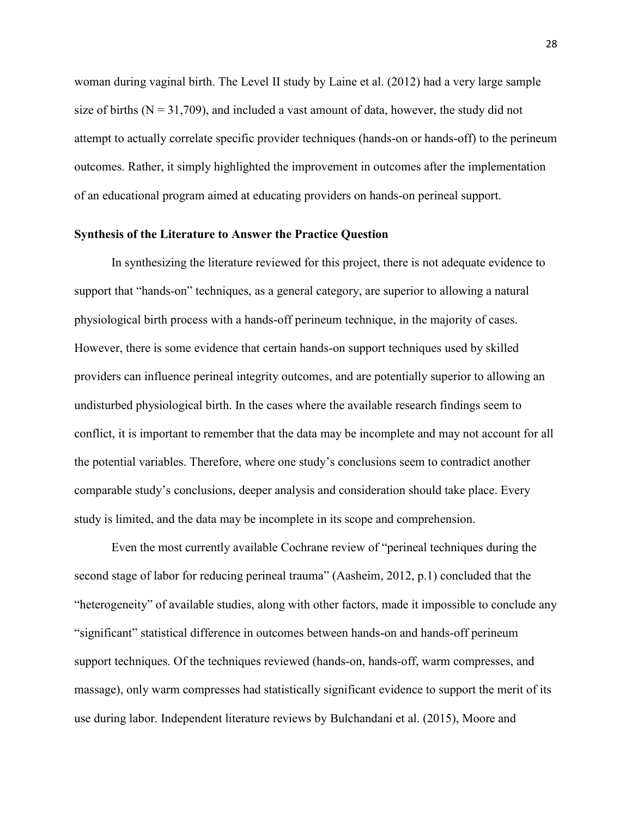woman during vaginal birth. The Level II study by Laine et al. (2012) had a very large sample size of births ( $N = 31,709$ ), and included a vast amount of data, however, the study did not attempt to actually correlate specific provider techniques (hands-on or hands-off) to the perineum outcomes. Rather, it simply highlighted the improvement in outcomes after the implementation of an educational program aimed at educating providers on hands-on perineal support.

#### <span id="page-28-0"></span>**Synthesis of the Literature to Answer the Practice Question**

In synthesizing the literature reviewed for this project, there is not adequate evidence to support that "hands-on" techniques, as a general category, are superior to allowing a natural physiological birth process with a hands-off perineum technique, in the majority of cases. However, there is some evidence that certain hands-on support techniques used by skilled providers can influence perineal integrity outcomes, and are potentially superior to allowing an undisturbed physiological birth. In the cases where the available research findings seem to conflict, it is important to remember that the data may be incomplete and may not account for all the potential variables. Therefore, where one study's conclusions seem to contradict another comparable study's conclusions, deeper analysis and consideration should take place. Every study is limited, and the data may be incomplete in its scope and comprehension.

Even the most currently available Cochrane review of "perineal techniques during the second stage of labor for reducing perineal trauma" (Aasheim, 2012, p.1) concluded that the "heterogeneity" of available studies, along with other factors, made it impossible to conclude any "significant" statistical difference in outcomes between hands-on and hands-off perineum support techniques. Of the techniques reviewed (hands-on, hands-off, warm compresses, and massage), only warm compresses had statistically significant evidence to support the merit of its use during labor. Independent literature reviews by Bulchandani et al. (2015), Moore and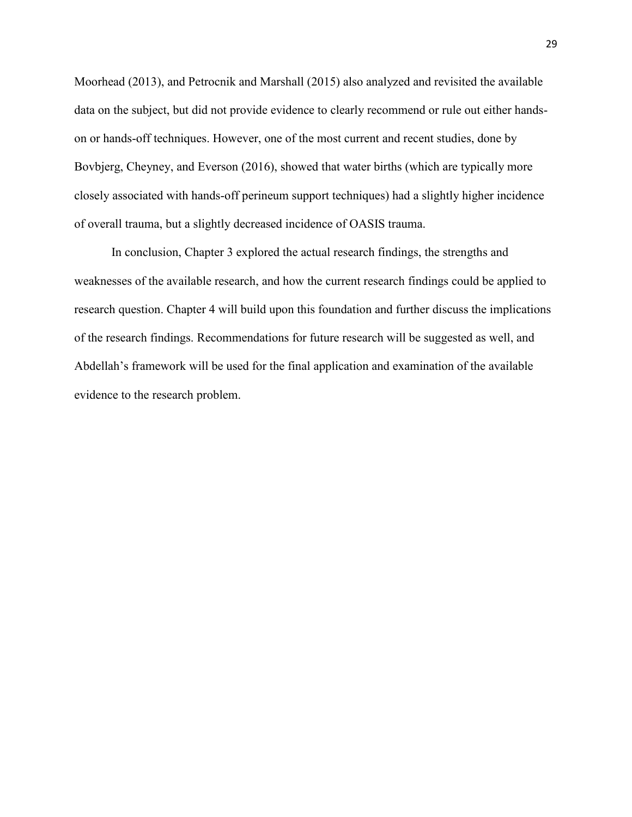Moorhead (2013), and Petrocnik and Marshall (2015) also analyzed and revisited the available data on the subject, but did not provide evidence to clearly recommend or rule out either handson or hands-off techniques. However, one of the most current and recent studies, done by Bovbjerg, Cheyney, and Everson (2016), showed that water births (which are typically more closely associated with hands-off perineum support techniques) had a slightly higher incidence of overall trauma, but a slightly decreased incidence of OASIS trauma.

In conclusion, Chapter 3 explored the actual research findings, the strengths and weaknesses of the available research, and how the current research findings could be applied to research question. Chapter 4 will build upon this foundation and further discuss the implications of the research findings. Recommendations for future research will be suggested as well, and Abdellah's framework will be used for the final application and examination of the available evidence to the research problem.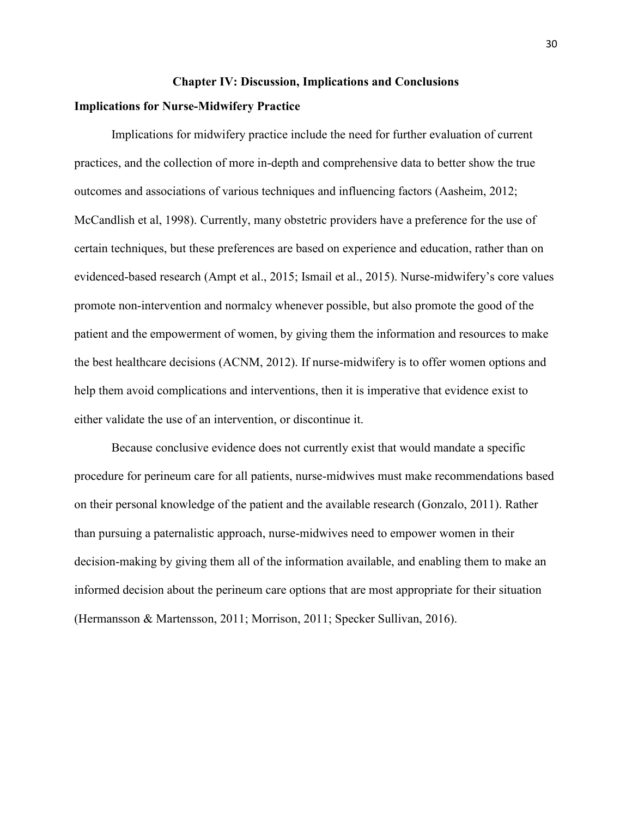#### **Chapter IV: Discussion, Implications and Conclusions**

#### <span id="page-30-1"></span><span id="page-30-0"></span>**Implications for Nurse-Midwifery Practice**

Implications for midwifery practice include the need for further evaluation of current practices, and the collection of more in-depth and comprehensive data to better show the true outcomes and associations of various techniques and influencing factors (Aasheim, 2012; McCandlish et al, 1998). Currently, many obstetric providers have a preference for the use of certain techniques, but these preferences are based on experience and education, rather than on evidenced-based research (Ampt et al., 2015; Ismail et al., 2015). Nurse-midwifery's core values promote non-intervention and normalcy whenever possible, but also promote the good of the patient and the empowerment of women, by giving them the information and resources to make the best healthcare decisions (ACNM, 2012). If nurse-midwifery is to offer women options and help them avoid complications and interventions, then it is imperative that evidence exist to either validate the use of an intervention, or discontinue it.

Because conclusive evidence does not currently exist that would mandate a specific procedure for perineum care for all patients, nurse-midwives must make recommendations based on their personal knowledge of the patient and the available research (Gonzalo, 2011). Rather than pursuing a paternalistic approach, nurse-midwives need to empower women in their decision-making by giving them all of the information available, and enabling them to make an informed decision about the perineum care options that are most appropriate for their situation (Hermansson & Martensson, 2011; Morrison, 2011; Specker Sullivan, 2016).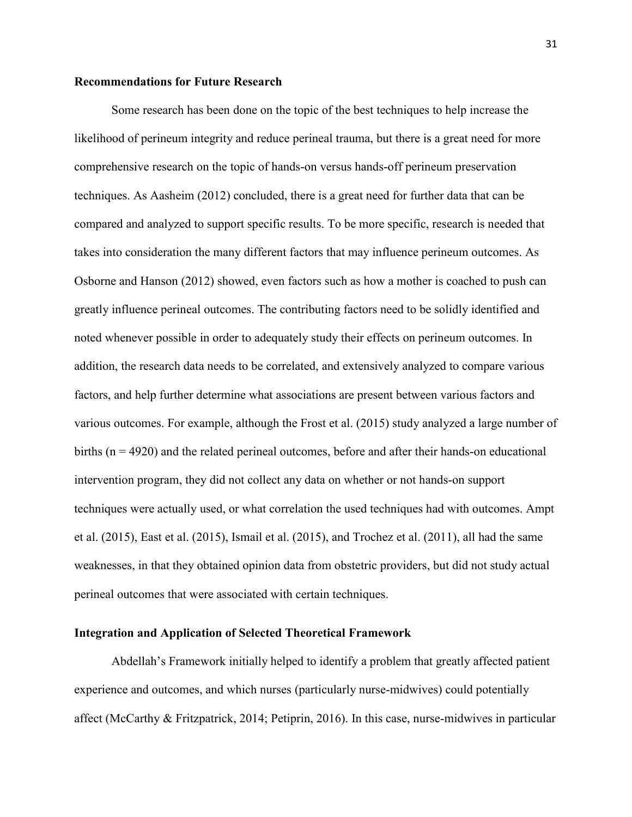#### <span id="page-31-0"></span>**Recommendations for Future Research**

Some research has been done on the topic of the best techniques to help increase the likelihood of perineum integrity and reduce perineal trauma, but there is a great need for more comprehensive research on the topic of hands-on versus hands-off perineum preservation techniques. As Aasheim (2012) concluded, there is a great need for further data that can be compared and analyzed to support specific results. To be more specific, research is needed that takes into consideration the many different factors that may influence perineum outcomes. As Osborne and Hanson (2012) showed, even factors such as how a mother is coached to push can greatly influence perineal outcomes. The contributing factors need to be solidly identified and noted whenever possible in order to adequately study their effects on perineum outcomes. In addition, the research data needs to be correlated, and extensively analyzed to compare various factors, and help further determine what associations are present between various factors and various outcomes. For example, although the Frost et al. (2015) study analyzed a large number of births (n = 4920) and the related perineal outcomes, before and after their hands-on educational intervention program, they did not collect any data on whether or not hands-on support techniques were actually used, or what correlation the used techniques had with outcomes. Ampt et al. (2015), East et al. (2015), Ismail et al. (2015), and Trochez et al. (2011), all had the same weaknesses, in that they obtained opinion data from obstetric providers, but did not study actual perineal outcomes that were associated with certain techniques.

#### <span id="page-31-1"></span>**Integration and Application of Selected Theoretical Framework**

Abdellah's Framework initially helped to identify a problem that greatly affected patient experience and outcomes, and which nurses (particularly nurse-midwives) could potentially affect (McCarthy & Fritzpatrick, 2014; Petiprin, 2016). In this case, nurse-midwives in particular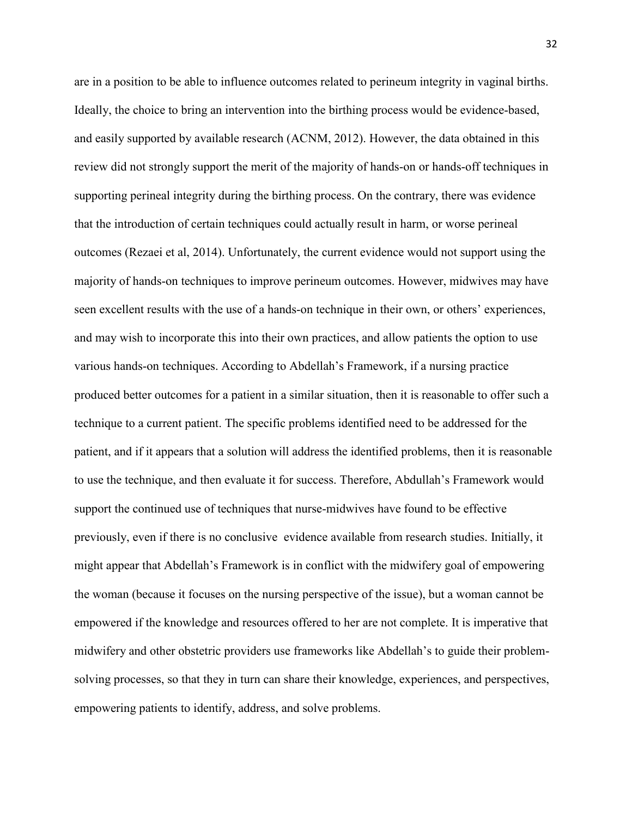are in a position to be able to influence outcomes related to perineum integrity in vaginal births. Ideally, the choice to bring an intervention into the birthing process would be evidence-based, and easily supported by available research (ACNM, 2012). However, the data obtained in this review did not strongly support the merit of the majority of hands-on or hands-off techniques in supporting perineal integrity during the birthing process. On the contrary, there was evidence that the introduction of certain techniques could actually result in harm, or worse perineal outcomes (Rezaei et al, 2014). Unfortunately, the current evidence would not support using the majority of hands-on techniques to improve perineum outcomes. However, midwives may have seen excellent results with the use of a hands-on technique in their own, or others' experiences, and may wish to incorporate this into their own practices, and allow patients the option to use various hands-on techniques. According to Abdellah's Framework, if a nursing practice produced better outcomes for a patient in a similar situation, then it is reasonable to offer such a technique to a current patient. The specific problems identified need to be addressed for the patient, and if it appears that a solution will address the identified problems, then it is reasonable to use the technique, and then evaluate it for success. Therefore, Abdullah's Framework would support the continued use of techniques that nurse-midwives have found to be effective previously, even if there is no conclusive evidence available from research studies. Initially, it might appear that Abdellah's Framework is in conflict with the midwifery goal of empowering the woman (because it focuses on the nursing perspective of the issue), but a woman cannot be empowered if the knowledge and resources offered to her are not complete. It is imperative that midwifery and other obstetric providers use frameworks like Abdellah's to guide their problemsolving processes, so that they in turn can share their knowledge, experiences, and perspectives, empowering patients to identify, address, and solve problems.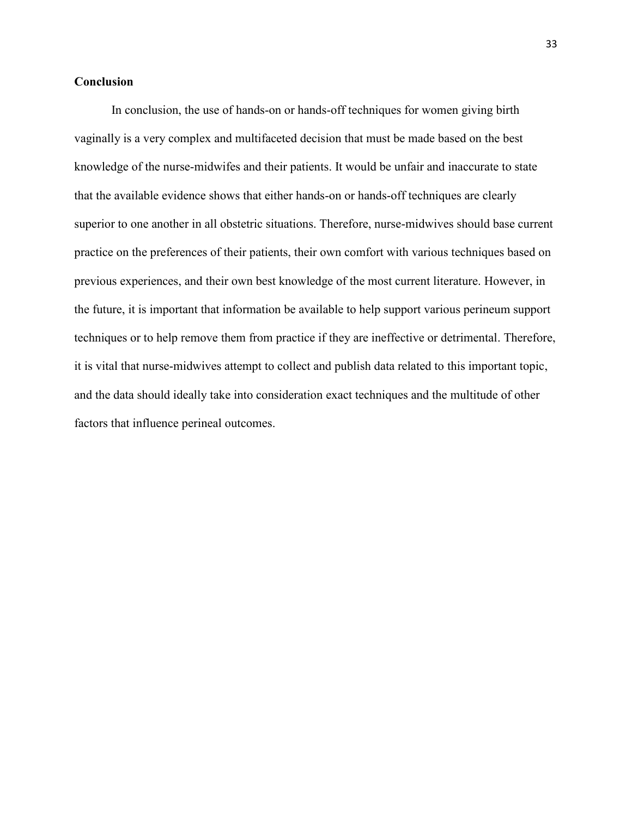#### <span id="page-33-0"></span>**Conclusion**

In conclusion, the use of hands-on or hands-off techniques for women giving birth vaginally is a very complex and multifaceted decision that must be made based on the best knowledge of the nurse-midwifes and their patients. It would be unfair and inaccurate to state that the available evidence shows that either hands-on or hands-off techniques are clearly superior to one another in all obstetric situations. Therefore, nurse-midwives should base current practice on the preferences of their patients, their own comfort with various techniques based on previous experiences, and their own best knowledge of the most current literature. However, in the future, it is important that information be available to help support various perineum support techniques or to help remove them from practice if they are ineffective or detrimental. Therefore, it is vital that nurse-midwives attempt to collect and publish data related to this important topic, and the data should ideally take into consideration exact techniques and the multitude of other factors that influence perineal outcomes.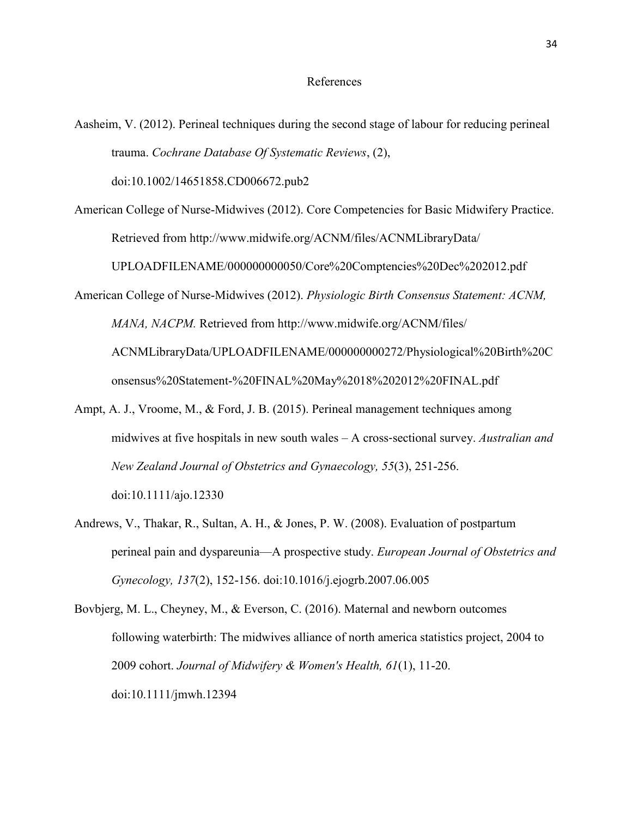#### References

- Aasheim, V. (2012). Perineal techniques during the second stage of labour for reducing perineal trauma. *Cochrane Database Of Systematic Reviews*, (2), doi:10.1002/14651858.CD006672.pub2
- American College of Nurse-Midwives (2012). Core Competencies for Basic Midwifery Practice. Retrieved from http://www.midwife.org/ACNM/files/ACNMLibraryData/ UPLOADFILENAME/000000000050/Core%20Comptencies%20Dec%202012.pdf
- American College of Nurse-Midwives (2012). *Physiologic Birth Consensus Statement: ACNM, MANA, NACPM.* Retrieved from http://www.midwife.org/ACNM/files/ ACNMLibraryData/UPLOADFILENAME/000000000272/Physiological%20Birth%20C onsensus%20Statement-%20FINAL%20May%2018%202012%20FINAL.pdf
- Ampt, A. J., Vroome, M., & Ford, J. B. (2015). Perineal management techniques among midwives at five hospitals in new south wales – A cross‐sectional survey. *Australian and New Zealand Journal of Obstetrics and Gynaecology, 55*(3), 251-256. doi:10.1111/ajo.12330
- Andrews, V., Thakar, R., Sultan, A. H., & Jones, P. W. (2008). Evaluation of postpartum perineal pain and dyspareunia—A prospective study. *European Journal of Obstetrics and Gynecology, 137*(2), 152-156. doi:10.1016/j.ejogrb.2007.06.005
- Bovbjerg, M. L., Cheyney, M., & Everson, C. (2016). Maternal and newborn outcomes following waterbirth: The midwives alliance of north america statistics project, 2004 to 2009 cohort. *Journal of Midwifery & Women's Health, 61*(1), 11-20. doi:10.1111/jmwh.12394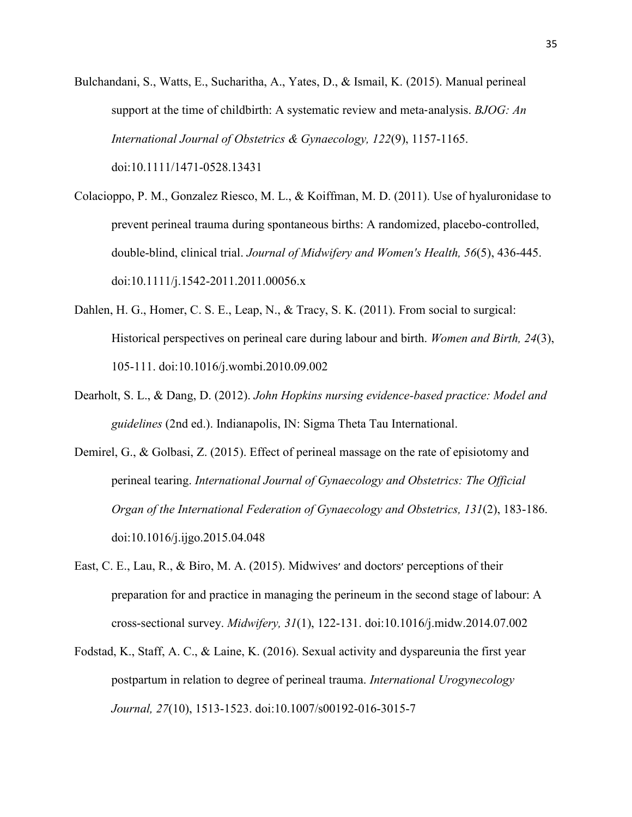- Bulchandani, S., Watts, E., Sucharitha, A., Yates, D., & Ismail, K. (2015). Manual perineal support at the time of childbirth: A systematic review and meta‐analysis. *BJOG: An International Journal of Obstetrics & Gynaecology, 122*(9), 1157-1165. doi:10.1111/1471-0528.13431
- Colacioppo, P. M., Gonzalez Riesco, M. L., & Koiffman, M. D. (2011). Use of hyaluronidase to prevent perineal trauma during spontaneous births: A randomized, placebo-controlled, double-blind, clinical trial. *Journal of Midwifery and Women's Health, 56*(5), 436-445. doi:10.1111/j.1542-2011.2011.00056.x
- Dahlen, H. G., Homer, C. S. E., Leap, N., & Tracy, S. K. (2011). From social to surgical: Historical perspectives on perineal care during labour and birth. *Women and Birth, 24*(3), 105-111. doi:10.1016/j.wombi.2010.09.002
- Dearholt, S. L., & Dang, D. (2012). *John Hopkins nursing evidence-based practice: Model and guidelines* (2nd ed.). Indianapolis, IN: Sigma Theta Tau International.
- Demirel, G., & Golbasi, Z. (2015). Effect of perineal massage on the rate of episiotomy and perineal tearing. *International Journal of Gynaecology and Obstetrics: The Official Organ of the International Federation of Gynaecology and Obstetrics, 131*(2), 183-186. doi:10.1016/j.ijgo.2015.04.048
- East, C. E., Lau, R., & Biro, M. A. (2015). Midwives׳ and doctors׳ perceptions of their preparation for and practice in managing the perineum in the second stage of labour: A cross-sectional survey. *Midwifery, 31*(1), 122-131. doi:10.1016/j.midw.2014.07.002
- Fodstad, K., Staff, A. C., & Laine, K. (2016). Sexual activity and dyspareunia the first year postpartum in relation to degree of perineal trauma. *International Urogynecology Journal, 27*(10), 1513-1523. doi:10.1007/s00192-016-3015-7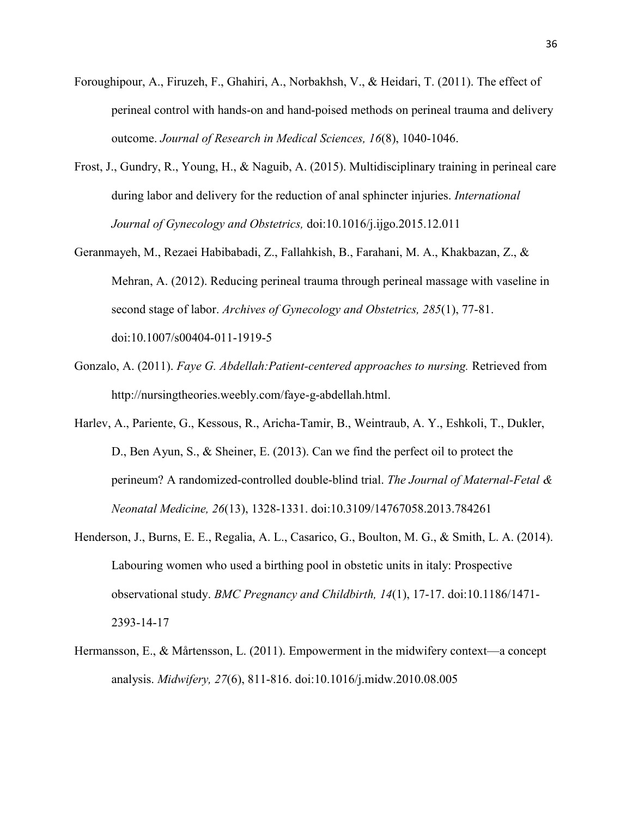- Foroughipour, A., Firuzeh, F., Ghahiri, A., Norbakhsh, V., & Heidari, T. (2011). The effect of perineal control with hands-on and hand-poised methods on perineal trauma and delivery outcome. *Journal of Research in Medical Sciences, 16*(8), 1040-1046.
- Frost, J., Gundry, R., Young, H., & Naguib, A. (2015). Multidisciplinary training in perineal care during labor and delivery for the reduction of anal sphincter injuries. *International Journal of Gynecology and Obstetrics,* doi:10.1016/j.ijgo.2015.12.011
- Geranmayeh, M., Rezaei Habibabadi, Z., Fallahkish, B., Farahani, M. A., Khakbazan, Z., & Mehran, A. (2012). Reducing perineal trauma through perineal massage with vaseline in second stage of labor. *Archives of Gynecology and Obstetrics, 285*(1), 77-81. doi:10.1007/s00404-011-1919-5
- Gonzalo, A. (2011). *Faye G. Abdellah:Patient-centered approaches to nursing.* Retrieved from http://nursingtheories.weebly.com/faye-g-abdellah.html.
- Harlev, A., Pariente, G., Kessous, R., Aricha-Tamir, B., Weintraub, A. Y., Eshkoli, T., Dukler, D., Ben Ayun, S., & Sheiner, E. (2013). Can we find the perfect oil to protect the perineum? A randomized-controlled double-blind trial. *The Journal of Maternal-Fetal & Neonatal Medicine, 26*(13), 1328-1331. doi:10.3109/14767058.2013.784261
- Henderson, J., Burns, E. E., Regalia, A. L., Casarico, G., Boulton, M. G., & Smith, L. A. (2014). Labouring women who used a birthing pool in obstetic units in italy: Prospective observational study. *BMC Pregnancy and Childbirth, 14*(1), 17-17. doi:10.1186/1471- 2393-14-17
- Hermansson, E., & Mårtensson, L. (2011). Empowerment in the midwifery context—a concept analysis. *Midwifery, 27*(6), 811-816. doi:10.1016/j.midw.2010.08.005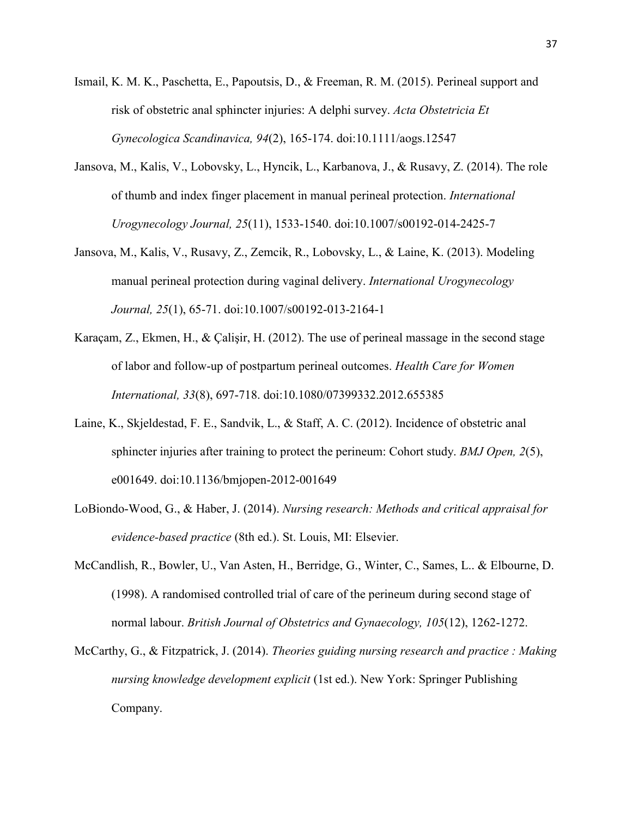- Ismail, K. M. K., Paschetta, E., Papoutsis, D., & Freeman, R. M. (2015). Perineal support and risk of obstetric anal sphincter injuries: A delphi survey. *Acta Obstetricia Et Gynecologica Scandinavica, 94*(2), 165-174. doi:10.1111/aogs.12547
- Jansova, M., Kalis, V., Lobovsky, L., Hyncik, L., Karbanova, J., & Rusavy, Z. (2014). The role of thumb and index finger placement in manual perineal protection. *International Urogynecology Journal, 25*(11), 1533-1540. doi:10.1007/s00192-014-2425-7
- Jansova, M., Kalis, V., Rusavy, Z., Zemcik, R., Lobovsky, L., & Laine, K. (2013). Modeling manual perineal protection during vaginal delivery. *International Urogynecology Journal, 25*(1), 65-71. doi:10.1007/s00192-013-2164-1
- Karaçam, Z., Ekmen, H., & Çalişir, H. (2012). The use of perineal massage in the second stage of labor and follow-up of postpartum perineal outcomes. *Health Care for Women International, 33*(8), 697-718. doi:10.1080/07399332.2012.655385
- Laine, K., Skjeldestad, F. E., Sandvik, L., & Staff, A. C. (2012). Incidence of obstetric anal sphincter injuries after training to protect the perineum: Cohort study. *BMJ Open, 2*(5), e001649. doi:10.1136/bmjopen-2012-001649
- LoBiondo-Wood, G., & Haber, J. (2014). *Nursing research: Methods and critical appraisal for evidence-based practice* (8th ed.). St. Louis, MI: Elsevier.
- McCandlish, R., Bowler, U., Van Asten, H., Berridge, G., Winter, C., Sames, L.. & Elbourne, D. (1998). A randomised controlled trial of care of the perineum during second stage of normal labour. *British Journal of Obstetrics and Gynaecology, 105*(12), 1262-1272.
- McCarthy, G., & Fitzpatrick, J. (2014). *Theories guiding nursing research and practice : Making nursing knowledge development explicit* (1st ed.). New York: Springer Publishing Company.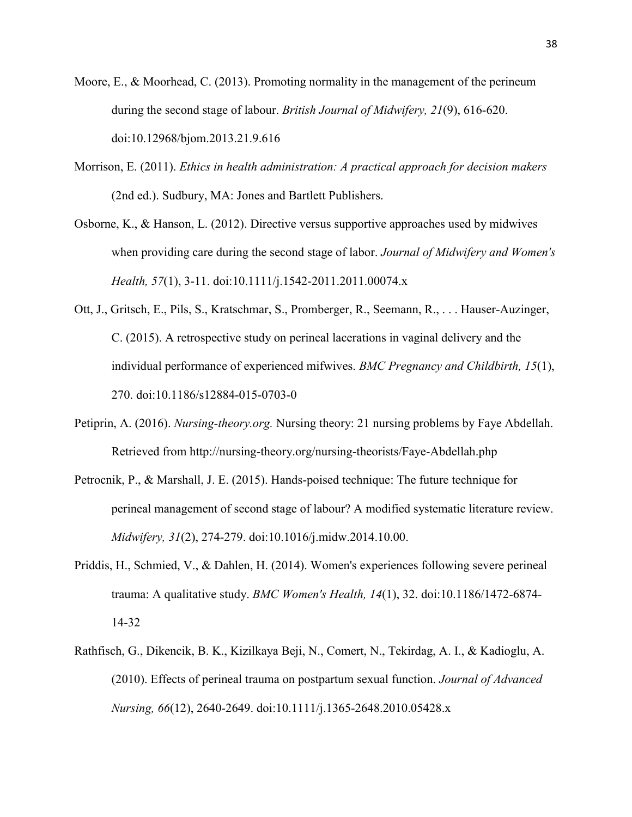- Moore, E., & Moorhead, C. (2013). Promoting normality in the management of the perineum during the second stage of labour. *British Journal of Midwifery, 21*(9), 616-620. doi:10.12968/bjom.2013.21.9.616
- Morrison, E. (2011). *Ethics in health administration: A practical approach for decision makers*  (2nd ed.). Sudbury, MA: Jones and Bartlett Publishers.
- Osborne, K., & Hanson, L. (2012). Directive versus supportive approaches used by midwives when providing care during the second stage of labor. *Journal of Midwifery and Women's Health, 57*(1), 3-11. doi:10.1111/j.1542-2011.2011.00074.x
- Ott, J., Gritsch, E., Pils, S., Kratschmar, S., Promberger, R., Seemann, R., . . . Hauser-Auzinger, C. (2015). A retrospective study on perineal lacerations in vaginal delivery and the individual performance of experienced mifwives. *BMC Pregnancy and Childbirth, 15*(1), 270. doi:10.1186/s12884-015-0703-0
- Petiprin, A. (2016). *Nursing-theory.org.* Nursing theory: 21 nursing problems by Faye Abdellah. Retrieved from http://nursing-theory.org/nursing-theorists/Faye-Abdellah.php
- Petrocnik, P., & Marshall, J. E. (2015). Hands-poised technique: The future technique for perineal management of second stage of labour? A modified systematic literature review. *Midwifery, 31*(2), 274-279. doi:10.1016/j.midw.2014.10.00.
- Priddis, H., Schmied, V., & Dahlen, H. (2014). Women's experiences following severe perineal trauma: A qualitative study. *BMC Women's Health, 14*(1), 32. doi:10.1186/1472-6874- 14-32
- Rathfisch, G., Dikencik, B. K., Kizilkaya Beji, N., Comert, N., Tekirdag, A. I., & Kadioglu, A. (2010). Effects of perineal trauma on postpartum sexual function. *Journal of Advanced Nursing, 66*(12), 2640-2649. doi:10.1111/j.1365-2648.2010.05428.x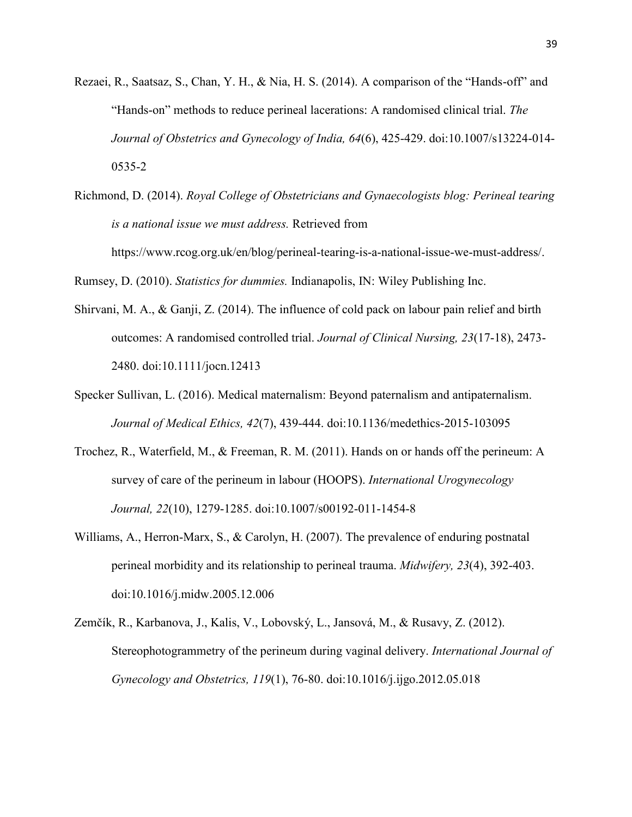- Rezaei, R., Saatsaz, S., Chan, Y. H., & Nia, H. S. (2014). A comparison of the "Hands-off" and "Hands-on" methods to reduce perineal lacerations: A randomised clinical trial. *The Journal of Obstetrics and Gynecology of India, 64*(6), 425-429. doi:10.1007/s13224-014- 0535-2
- Richmond, D. (2014). *Royal College of Obstetricians and Gynaecologists blog: Perineal tearing is a national issue we must address.* Retrieved from https://www.rcog.org.uk/en/blog/perineal-tearing-is-a-national-issue-we-must-address/.

Rumsey, D. (2010). *Statistics for dummies.* Indianapolis, IN: Wiley Publishing Inc.

- Shirvani, M. A., & Ganji, Z. (2014). The influence of cold pack on labour pain relief and birth outcomes: A randomised controlled trial. *Journal of Clinical Nursing, 23*(17-18), 2473- 2480. doi:10.1111/jocn.12413
- Specker Sullivan, L. (2016). Medical maternalism: Beyond paternalism and antipaternalism. *Journal of Medical Ethics, 42*(7), 439-444. doi:10.1136/medethics-2015-103095
- Trochez, R., Waterfield, M., & Freeman, R. M. (2011). Hands on or hands off the perineum: A survey of care of the perineum in labour (HOOPS). *International Urogynecology Journal, 22*(10), 1279-1285. doi:10.1007/s00192-011-1454-8
- Williams, A., Herron-Marx, S., & Carolyn, H. (2007). The prevalence of enduring postnatal perineal morbidity and its relationship to perineal trauma. *Midwifery, 23*(4), 392-403. doi:10.1016/j.midw.2005.12.006
- Zemčík, R., Karbanova, J., Kalis, V., Lobovský, L., Jansová, M., & Rusavy, Z. (2012). Stereophotogrammetry of the perineum during vaginal delivery. *International Journal of Gynecology and Obstetrics, 119*(1), 76-80. doi:10.1016/j.ijgo.2012.05.018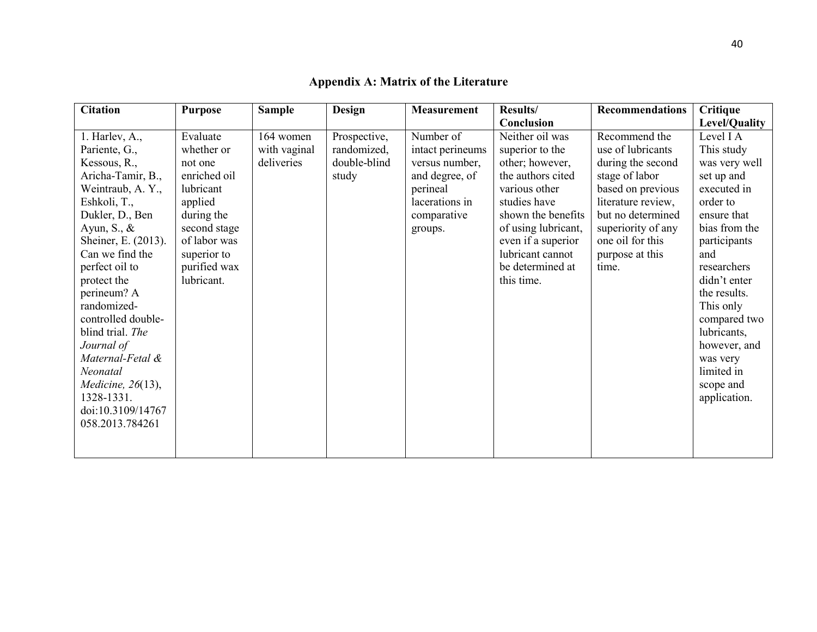<span id="page-40-0"></span>

| <b>Citation</b>                                                                                                                                                                                                                                                                                                       | <b>Purpose</b>                                                                          | <b>Sample</b> | Design       | <b>Measurement</b> | Results/                                                                                                              | <b>Recommendations</b>                                                                  | Critique                                                                                                                                                                                                              |
|-----------------------------------------------------------------------------------------------------------------------------------------------------------------------------------------------------------------------------------------------------------------------------------------------------------------------|-----------------------------------------------------------------------------------------|---------------|--------------|--------------------|-----------------------------------------------------------------------------------------------------------------------|-----------------------------------------------------------------------------------------|-----------------------------------------------------------------------------------------------------------------------------------------------------------------------------------------------------------------------|
|                                                                                                                                                                                                                                                                                                                       |                                                                                         |               |              |                    | Conclusion                                                                                                            |                                                                                         | Level/Quality                                                                                                                                                                                                         |
| $1.$ Harlev, A.,                                                                                                                                                                                                                                                                                                      | Evaluate                                                                                | 164 women     | Prospective, | Number of          | Neither oil was                                                                                                       | Recommend the                                                                           | Level I A                                                                                                                                                                                                             |
| Pariente, G.,                                                                                                                                                                                                                                                                                                         | whether or                                                                              | with vaginal  | randomized,  | intact perineums   | superior to the                                                                                                       | use of lubricants                                                                       | This study                                                                                                                                                                                                            |
| Kessous, R.,                                                                                                                                                                                                                                                                                                          | not one                                                                                 | deliveries    | double-blind | versus number,     | other; however,                                                                                                       | during the second                                                                       | was very well                                                                                                                                                                                                         |
| Aricha-Tamir, B.,                                                                                                                                                                                                                                                                                                     | enriched oil                                                                            |               | study        | and degree, of     | the authors cited                                                                                                     | stage of labor                                                                          | set up and                                                                                                                                                                                                            |
| Weintraub, A. Y.,                                                                                                                                                                                                                                                                                                     | lubricant                                                                               |               |              | perineal           | various other                                                                                                         | based on previous                                                                       | executed in                                                                                                                                                                                                           |
| Eshkoli, T.,                                                                                                                                                                                                                                                                                                          | applied                                                                                 |               |              | lacerations in     | studies have                                                                                                          | literature review,                                                                      | order to                                                                                                                                                                                                              |
|                                                                                                                                                                                                                                                                                                                       |                                                                                         |               |              | comparative        |                                                                                                                       |                                                                                         |                                                                                                                                                                                                                       |
|                                                                                                                                                                                                                                                                                                                       |                                                                                         |               |              | groups.            |                                                                                                                       |                                                                                         |                                                                                                                                                                                                                       |
|                                                                                                                                                                                                                                                                                                                       |                                                                                         |               |              |                    |                                                                                                                       |                                                                                         |                                                                                                                                                                                                                       |
|                                                                                                                                                                                                                                                                                                                       |                                                                                         |               |              |                    |                                                                                                                       |                                                                                         |                                                                                                                                                                                                                       |
|                                                                                                                                                                                                                                                                                                                       |                                                                                         |               |              |                    |                                                                                                                       |                                                                                         |                                                                                                                                                                                                                       |
|                                                                                                                                                                                                                                                                                                                       |                                                                                         |               |              |                    |                                                                                                                       |                                                                                         |                                                                                                                                                                                                                       |
|                                                                                                                                                                                                                                                                                                                       |                                                                                         |               |              |                    |                                                                                                                       |                                                                                         |                                                                                                                                                                                                                       |
|                                                                                                                                                                                                                                                                                                                       |                                                                                         |               |              |                    |                                                                                                                       |                                                                                         |                                                                                                                                                                                                                       |
|                                                                                                                                                                                                                                                                                                                       |                                                                                         |               |              |                    |                                                                                                                       |                                                                                         |                                                                                                                                                                                                                       |
|                                                                                                                                                                                                                                                                                                                       |                                                                                         |               |              |                    |                                                                                                                       |                                                                                         |                                                                                                                                                                                                                       |
|                                                                                                                                                                                                                                                                                                                       |                                                                                         |               |              |                    |                                                                                                                       |                                                                                         |                                                                                                                                                                                                                       |
|                                                                                                                                                                                                                                                                                                                       |                                                                                         |               |              |                    |                                                                                                                       |                                                                                         |                                                                                                                                                                                                                       |
|                                                                                                                                                                                                                                                                                                                       |                                                                                         |               |              |                    |                                                                                                                       |                                                                                         |                                                                                                                                                                                                                       |
|                                                                                                                                                                                                                                                                                                                       |                                                                                         |               |              |                    |                                                                                                                       |                                                                                         |                                                                                                                                                                                                                       |
|                                                                                                                                                                                                                                                                                                                       |                                                                                         |               |              |                    |                                                                                                                       |                                                                                         |                                                                                                                                                                                                                       |
|                                                                                                                                                                                                                                                                                                                       |                                                                                         |               |              |                    |                                                                                                                       |                                                                                         |                                                                                                                                                                                                                       |
|                                                                                                                                                                                                                                                                                                                       |                                                                                         |               |              |                    |                                                                                                                       |                                                                                         |                                                                                                                                                                                                                       |
|                                                                                                                                                                                                                                                                                                                       |                                                                                         |               |              |                    |                                                                                                                       |                                                                                         |                                                                                                                                                                                                                       |
| Dukler, D., Ben<br>Ayun, S., $\&$<br>Sheiner, E. (2013).<br>Can we find the<br>perfect oil to<br>protect the<br>perineum? A<br>randomized-<br>controlled double-<br>blind trial. The<br>Journal of<br>Maternal-Fetal &<br>Neonatal<br><i>Medicine</i> , 26(13),<br>1328-1331.<br>doi:10.3109/14767<br>058.2013.784261 | during the<br>second stage<br>of labor was<br>superior to<br>purified wax<br>lubricant. |               |              |                    | shown the benefits<br>of using lubricant,<br>even if a superior<br>lubricant cannot<br>be determined at<br>this time. | but no determined<br>superiority of any<br>one oil for this<br>purpose at this<br>time. | ensure that<br>bias from the<br>participants<br>and<br>researchers<br>didn't enter<br>the results.<br>This only<br>compared two<br>lubricants,<br>however, and<br>was very<br>limited in<br>scope and<br>application. |

## **Appendix A: Matrix of the Literature**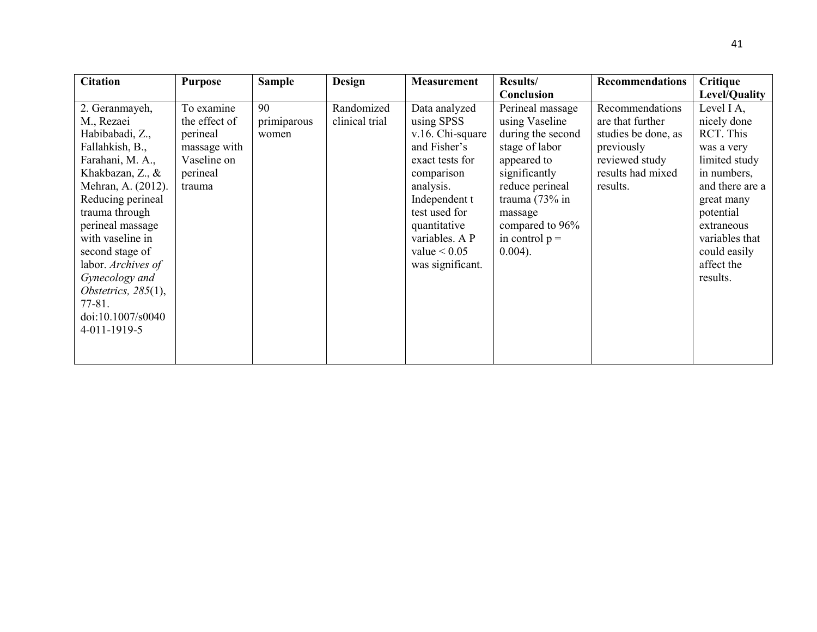| <b>Citation</b>                                                                                                                                                                                                                                                                                                                                         | <b>Purpose</b>                                                                               | <b>Sample</b>              | Design                       | <b>Measurement</b>                                                                                                                                                                                                      | <b>Results/</b>                                                                                                                                                                                                   | <b>Recommendations</b>                                                                                                      | <b>Critique</b>                                                                                                                                                                                              |
|---------------------------------------------------------------------------------------------------------------------------------------------------------------------------------------------------------------------------------------------------------------------------------------------------------------------------------------------------------|----------------------------------------------------------------------------------------------|----------------------------|------------------------------|-------------------------------------------------------------------------------------------------------------------------------------------------------------------------------------------------------------------------|-------------------------------------------------------------------------------------------------------------------------------------------------------------------------------------------------------------------|-----------------------------------------------------------------------------------------------------------------------------|--------------------------------------------------------------------------------------------------------------------------------------------------------------------------------------------------------------|
|                                                                                                                                                                                                                                                                                                                                                         |                                                                                              |                            |                              |                                                                                                                                                                                                                         | Conclusion                                                                                                                                                                                                        |                                                                                                                             | Level/Quality                                                                                                                                                                                                |
| 2. Geranmayeh,<br>M., Rezaei<br>Habibabadi, Z.,<br>Fallahkish, B.,<br>Farahani, M. A.,<br>Khakbazan, Z., &<br>Mehran, A. (2012).<br>Reducing perineal<br>trauma through<br>perineal massage<br>with vaseline in<br>second stage of<br>labor. Archives of<br>Gynecology and<br>Obstetrics, $285(1)$ ,<br>$77 - 81.$<br>doi:10.1007/s0040<br>4-011-1919-5 | To examine<br>the effect of<br>perineal<br>massage with<br>Vaseline on<br>perineal<br>trauma | 90<br>primiparous<br>women | Randomized<br>clinical trial | Data analyzed<br>using SPSS<br>v.16. Chi-square<br>and Fisher's<br>exact tests for<br>comparison<br>analysis.<br>Independent t<br>test used for<br>quantitative<br>variables. A P<br>value $< 0.05$<br>was significant. | Perineal massage<br>using Vaseline<br>during the second<br>stage of labor<br>appeared to<br>significantly<br>reduce perineal<br>trauma $(73\%$ in<br>massage<br>compared to 96%<br>in control $p =$<br>$0.004$ ). | Recommendations<br>are that further<br>studies be done, as<br>previously<br>reviewed study<br>results had mixed<br>results. | Level I A,<br>nicely done<br>RCT. This<br>was a very<br>limited study<br>in numbers,<br>and there are a<br>great many<br>potential<br>extraneous<br>variables that<br>could easily<br>affect the<br>results. |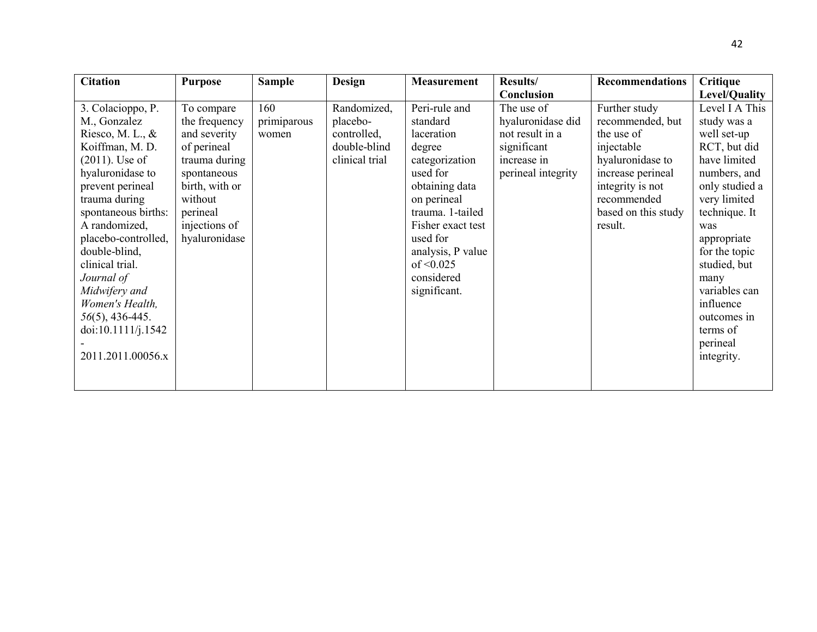| <b>Citation</b>     | <b>Purpose</b> | <b>Sample</b> | <b>Design</b>  | <b>Measurement</b> | <b>Results/</b>    | <b>Recommendations</b> | Critique       |
|---------------------|----------------|---------------|----------------|--------------------|--------------------|------------------------|----------------|
|                     |                |               |                |                    | Conclusion         |                        | Level/Quality  |
| 3. Colacioppo, P.   | To compare     | 160           | Randomized,    | Peri-rule and      | The use of         | Further study          | Level I A This |
| M., Gonzalez        | the frequency  | primiparous   | placebo-       | standard           | hyaluronidase did  | recommended, but       | study was a    |
| Riesco, M. L., $\&$ | and severity   | women         | controlled,    | laceration         | not result in a    | the use of             | well set-up    |
| Koiffman, M. D.     | of perineal    |               | double-blind   | degree             | significant        | injectable             | RCT, but did   |
| $(2011)$ . Use of   | trauma during  |               | clinical trial | categorization     | increase in        | hyaluronidase to       | have limited   |
| hyaluronidase to    | spontaneous    |               |                | used for           | perineal integrity | increase perineal      | numbers, and   |
| prevent perineal    | birth, with or |               |                | obtaining data     |                    | integrity is not       | only studied a |
| trauma during       | without        |               |                | on perineal        |                    | recommended            | very limited   |
| spontaneous births: | perineal       |               |                | trauma. 1-tailed   |                    | based on this study    | technique. It  |
| A randomized,       | injections of  |               |                | Fisher exact test  |                    | result.                | was            |
| placebo-controlled, | hyaluronidase  |               |                | used for           |                    |                        | appropriate    |
| double-blind,       |                |               |                | analysis, P value  |                    |                        | for the topic  |
| clinical trial.     |                |               |                | of $\leq 0.025$    |                    |                        | studied, but   |
| Journal of          |                |               |                | considered         |                    |                        | many           |
| Midwifery and       |                |               |                | significant.       |                    |                        | variables can  |
| Women's Health,     |                |               |                |                    |                    |                        | influence      |
| $56(5)$ , 436-445.  |                |               |                |                    |                    |                        | outcomes in    |
| doi:10.1111/j.1542  |                |               |                |                    |                    |                        | terms of       |
|                     |                |               |                |                    |                    |                        | perineal       |
| 2011.2011.00056.x   |                |               |                |                    |                    |                        | integrity.     |
|                     |                |               |                |                    |                    |                        |                |
|                     |                |               |                |                    |                    |                        |                |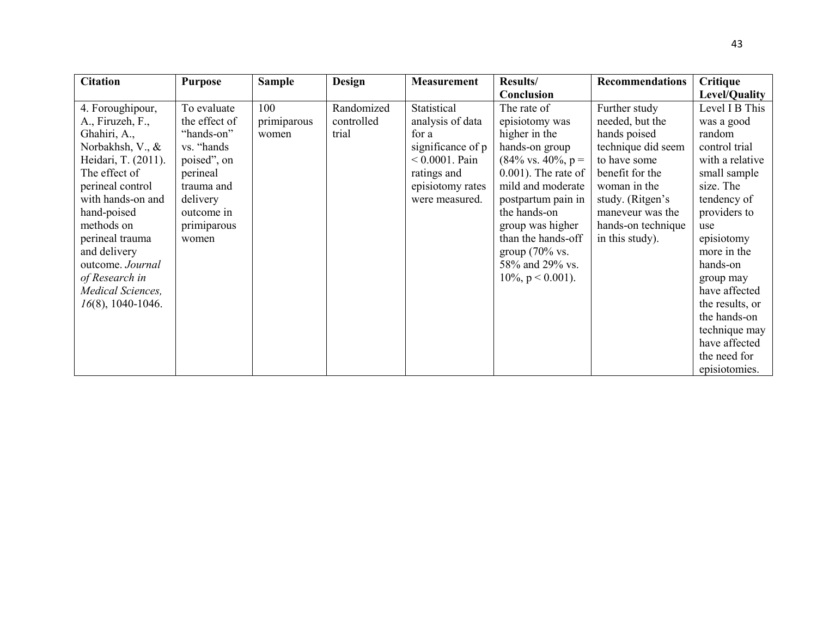| <b>Citation</b>                                                                                                                                                                                                                                                                                              | <b>Purpose</b>                                                                                                                                       | <b>Sample</b>               | <b>Design</b>                     | <b>Measurement</b>                                                                                                                      | <b>Results/</b>                                                                                                                                                                                                                                                                                                    | <b>Recommendations</b>                                                                                                                                                                                     | Critique                                                                                                                                                                                                                                                                                                                   |
|--------------------------------------------------------------------------------------------------------------------------------------------------------------------------------------------------------------------------------------------------------------------------------------------------------------|------------------------------------------------------------------------------------------------------------------------------------------------------|-----------------------------|-----------------------------------|-----------------------------------------------------------------------------------------------------------------------------------------|--------------------------------------------------------------------------------------------------------------------------------------------------------------------------------------------------------------------------------------------------------------------------------------------------------------------|------------------------------------------------------------------------------------------------------------------------------------------------------------------------------------------------------------|----------------------------------------------------------------------------------------------------------------------------------------------------------------------------------------------------------------------------------------------------------------------------------------------------------------------------|
|                                                                                                                                                                                                                                                                                                              |                                                                                                                                                      |                             |                                   |                                                                                                                                         | Conclusion                                                                                                                                                                                                                                                                                                         |                                                                                                                                                                                                            | Level/Quality                                                                                                                                                                                                                                                                                                              |
| 4. Foroughipour,<br>A., Firuzeh, F.,<br>Ghahiri, A.,<br>Norbakhsh, V., &<br>Heidari, T. (2011).<br>The effect of<br>perineal control<br>with hands-on and<br>hand-poised<br>methods on<br>perineal trauma<br>and delivery<br>outcome. Journal<br>of Research in<br>Medical Sciences,<br>$16(8)$ , 1040-1046. | To evaluate<br>the effect of<br>"hands-on"<br>vs. "hands"<br>poised", on<br>perineal<br>trauma and<br>delivery<br>outcome in<br>primiparous<br>women | 100<br>primiparous<br>women | Randomized<br>controlled<br>trial | Statistical<br>analysis of data<br>for a<br>significance of p<br>$< 0.0001$ . Pain<br>ratings and<br>episiotomy rates<br>were measured. | The rate of<br>episiotomy was<br>higher in the<br>hands-on group<br>$(84\% \text{ vs. } 40\%, \text{ p} =$<br>$0.001$ ). The rate of<br>mild and moderate<br>postpartum pain in<br>the hands-on<br>group was higher<br>than the hands-off<br>group $(70\% \text{ vs.})$<br>58% and 29% vs.<br>$10\%, p < 0.001$ ). | Further study<br>needed, but the<br>hands poised<br>technique did seem<br>to have some<br>benefit for the<br>woman in the<br>study. (Ritgen's<br>maneveur was the<br>hands-on technique<br>in this study). | Level I B This<br>was a good<br>random<br>control trial<br>with a relative<br>small sample<br>size. The<br>tendency of<br>providers to<br>use<br>episiotomy<br>more in the<br>hands-on<br>group may<br>have affected<br>the results, or<br>the hands-on<br>technique may<br>have affected<br>the need for<br>episiotomies. |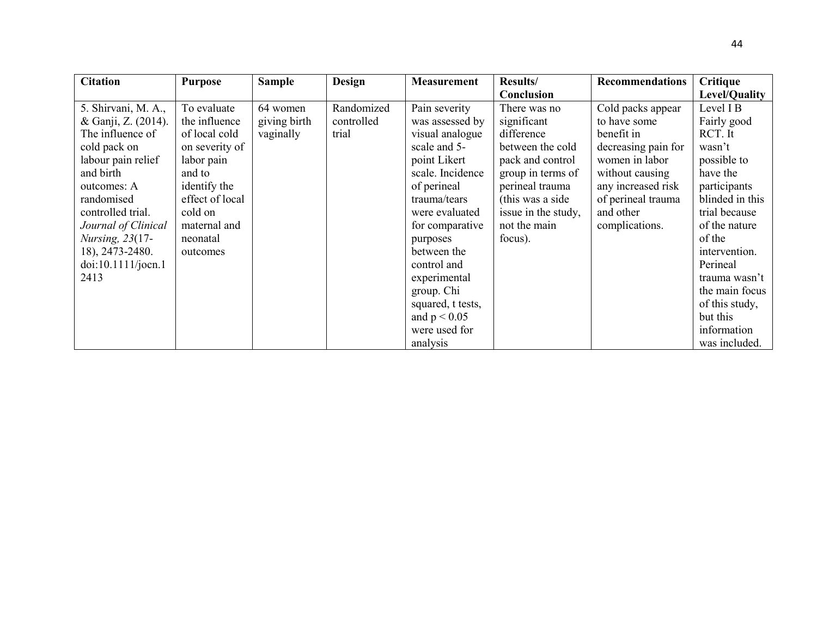| <b>Citation</b>     | <b>Purpose</b>  | <b>Sample</b> | Design     | <b>Measurement</b> | <b>Results/</b>     | <b>Recommendations</b> | <b>Critique</b> |
|---------------------|-----------------|---------------|------------|--------------------|---------------------|------------------------|-----------------|
|                     |                 |               |            |                    | Conclusion          |                        | Level/Quality   |
| 5. Shirvani, M. A., | To evaluate     | 64 women      | Randomized | Pain severity      | There was no        | Cold packs appear      | Level I B       |
| & Ganji, Z. (2014). | the influence   | giving birth  | controlled | was assessed by    | significant         | to have some           | Fairly good     |
| The influence of    | of local cold   | vaginally     | trial      | visual analogue    | difference          | benefit in             | RCT. It         |
| cold pack on        | on severity of  |               |            | scale and 5-       | between the cold    | decreasing pain for    | wasn't          |
| labour pain relief  | labor pain      |               |            | point Likert       | pack and control    | women in labor         | possible to     |
| and birth           | and to          |               |            | scale. Incidence   | group in terms of   | without causing        | have the        |
| outcomes: A         | identify the    |               |            | of perineal        | perineal trauma     | any increased risk     | participants    |
| randomised          | effect of local |               |            | trauma/tears       | (this was a side)   | of perineal trauma     | blinded in this |
| controlled trial.   | cold on         |               |            | were evaluated     | issue in the study, | and other              | trial because   |
| Journal of Clinical | maternal and    |               |            | for comparative    | not the main        | complications.         | of the nature   |
| Nursing, 23(17-     | neonatal        |               |            | purposes           | focus).             |                        | of the          |
| 18), 2473-2480.     | outcomes        |               |            | between the        |                     |                        | intervention.   |
| doi:10.1111/jocn.1  |                 |               |            | control and        |                     |                        | Perineal        |
| 2413                |                 |               |            | experimental       |                     |                        | trauma wasn't   |
|                     |                 |               |            | group. Chi         |                     |                        | the main focus  |
|                     |                 |               |            | squared, t tests,  |                     |                        | of this study,  |
|                     |                 |               |            | and $p < 0.05$     |                     |                        | but this        |
|                     |                 |               |            | were used for      |                     |                        | information     |
|                     |                 |               |            | analysis           |                     |                        | was included.   |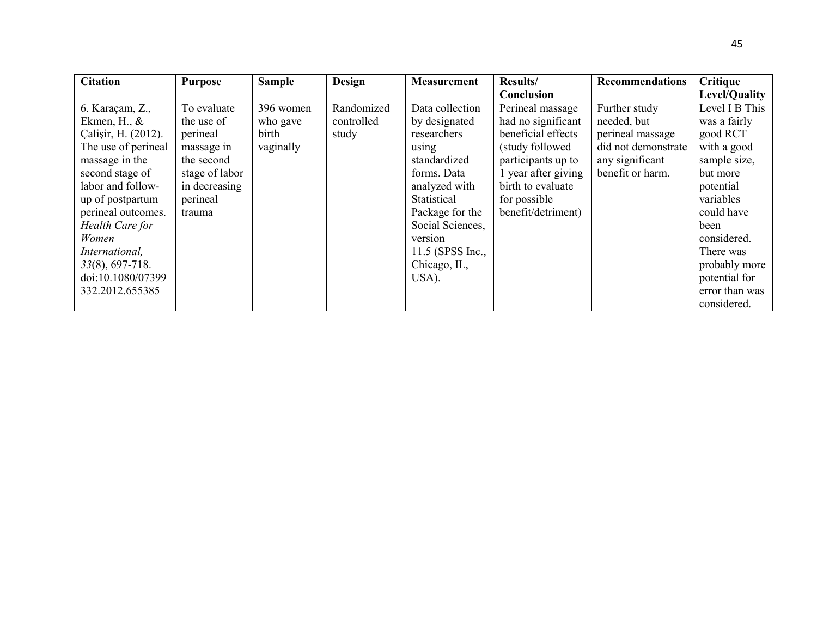| <b>Citation</b>     | <b>Purpose</b> | <b>Sample</b> | Design     | <b>Measurement</b> | Results/            | <b>Recommendations</b> | <b>Critique</b> |
|---------------------|----------------|---------------|------------|--------------------|---------------------|------------------------|-----------------|
|                     |                |               |            |                    | Conclusion          |                        | Level/Quality   |
| 6. Karaçam, Z.,     | To evaluate    | 396 women     | Randomized | Data collection    | Perineal massage    | Further study          | Level I B This  |
| Ekmen, H., $\&$     | the use of     | who gave      | controlled | by designated      | had no significant  | needed, but            | was a fairly    |
| Calişir, H. (2012). | perineal       | birth         | study      | researchers        | beneficial effects  | perineal massage       | good RCT        |
| The use of perineal | massage in     | vaginally     |            | using              | (study followed)    | did not demonstrate    | with a good     |
| massage in the      | the second     |               |            | standardized       | participants up to  | any significant        | sample size,    |
| second stage of     | stage of labor |               |            | forms. Data        | 1 year after giving | benefit or harm.       | but more        |
| labor and follow-   | in decreasing  |               |            | analyzed with      | birth to evaluate   |                        | potential       |
| up of postpartum    | perineal       |               |            | Statistical        | for possible        |                        | variables       |
| perineal outcomes.  | trauma         |               |            | Package for the    | benefit/detriment)  |                        | could have      |
| Health Care for     |                |               |            | Social Sciences,   |                     |                        | been            |
| Women               |                |               |            | version            |                     |                        | considered.     |
| International,      |                |               |            | $11.5$ (SPSS Inc., |                     |                        | There was       |
| $33(8), 697-718.$   |                |               |            | Chicago, IL,       |                     |                        | probably more   |
| doi:10.1080/07399   |                |               |            | USA).              |                     |                        | potential for   |
| 332.2012.655385     |                |               |            |                    |                     |                        | error than was  |
|                     |                |               |            |                    |                     |                        | considered.     |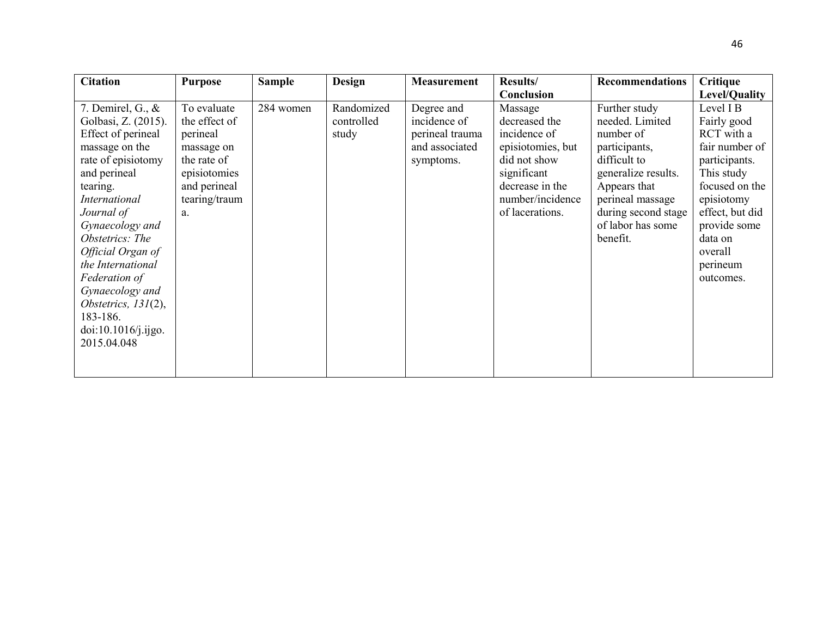| <b>Citation</b>                                                                                                                                                                                                                                                                                                                                                             | <b>Purpose</b>                                                                                                               | <b>Sample</b> | <b>Design</b>                     | <b>Measurement</b>                                                           | <b>Results/</b>                                                                                                                                        | <b>Recommendations</b>                                                                                                                                                                            | Critique                                                                                                                                                                                                  |
|-----------------------------------------------------------------------------------------------------------------------------------------------------------------------------------------------------------------------------------------------------------------------------------------------------------------------------------------------------------------------------|------------------------------------------------------------------------------------------------------------------------------|---------------|-----------------------------------|------------------------------------------------------------------------------|--------------------------------------------------------------------------------------------------------------------------------------------------------|---------------------------------------------------------------------------------------------------------------------------------------------------------------------------------------------------|-----------------------------------------------------------------------------------------------------------------------------------------------------------------------------------------------------------|
|                                                                                                                                                                                                                                                                                                                                                                             |                                                                                                                              |               |                                   |                                                                              | Conclusion                                                                                                                                             |                                                                                                                                                                                                   | Level/Quality                                                                                                                                                                                             |
| 7. Demirel, G., $\&$<br>Golbasi, Z. (2015).<br>Effect of perineal<br>massage on the<br>rate of episiotomy<br>and perineal<br>tearing.<br><i>International</i><br>Journal of<br>Gynaecology and<br>Obstetrics: The<br>Official Organ of<br>the International<br>Federation of<br>Gynaecology and<br>Obstetrics, $131(2)$ ,<br>183-186.<br>doi:10.1016/j.ijgo.<br>2015.04.048 | To evaluate<br>the effect of<br>perineal<br>massage on<br>the rate of<br>episiotomies<br>and perineal<br>tearing/traum<br>a. | 284 women     | Randomized<br>controlled<br>study | Degree and<br>incidence of<br>perineal trauma<br>and associated<br>symptoms. | Massage<br>decreased the<br>incidence of<br>episiotomies, but<br>did not show<br>significant<br>decrease in the<br>number/incidence<br>of lacerations. | Further study<br>needed. Limited<br>number of<br>participants,<br>difficult to<br>generalize results.<br>Appears that<br>perineal massage<br>during second stage<br>of labor has some<br>benefit. | Level I B<br>Fairly good<br>RCT with a<br>fair number of<br>participants.<br>This study<br>focused on the<br>episiotomy<br>effect, but did<br>provide some<br>data on<br>overall<br>perineum<br>outcomes. |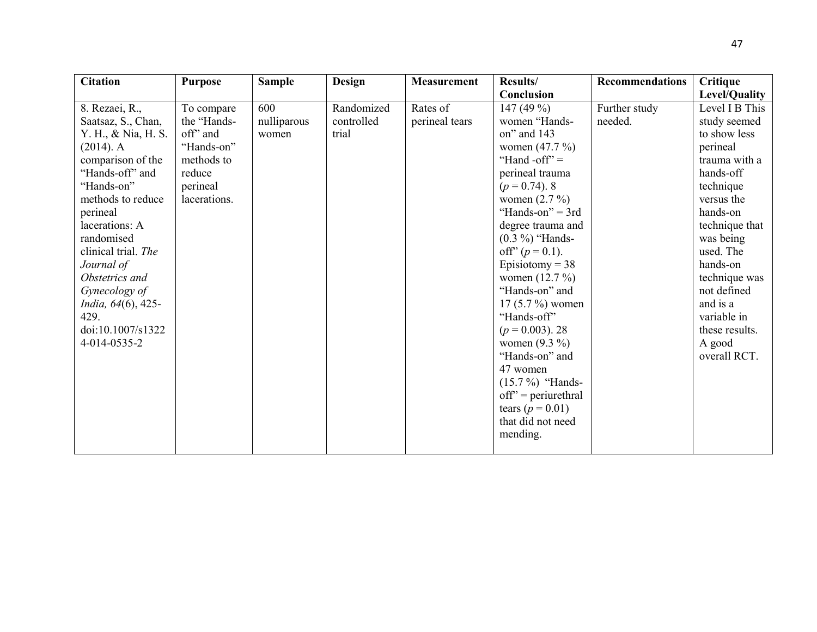| <b>Citation</b>     | <b>Purpose</b> | <b>Sample</b> | <b>Design</b> | <b>Measurement</b> | Results/              | <b>Recommendations</b> | Critique       |
|---------------------|----------------|---------------|---------------|--------------------|-----------------------|------------------------|----------------|
|                     |                |               |               |                    | Conclusion            |                        | Level/Quality  |
| 8. Rezaei, R.,      | To compare     | 600           | Randomized    | Rates of           | 147 $(49\%)$          | Further study          | Level I B This |
| Saatsaz, S., Chan,  | the "Hands-    | nulliparous   | controlled    | perineal tears     | women "Hands-         | needed.                | study seemed   |
| Y. H., & Nia, H. S. | off" and       | women         | trial         |                    | on" and 143           |                        | to show less   |
| $(2014)$ . A        | "Hands-on"     |               |               |                    | women $(47.7\%)$      |                        | perineal       |
| comparison of the   | methods to     |               |               |                    | "Hand -off" $=$       |                        | trauma with a  |
| "Hands-off" and     | reduce         |               |               |                    | perineal trauma       |                        | hands-off      |
| "Hands-on"          | perineal       |               |               |                    | $(p = 0.74)$ . 8      |                        | technique      |
| methods to reduce   | lacerations.   |               |               |                    | women $(2.7\%)$       |                        | versus the     |
| perineal            |                |               |               |                    | "Hands-on" = $3rd$    |                        | hands-on       |
| lacerations: A      |                |               |               |                    | degree trauma and     |                        | technique that |
| randomised          |                |               |               |                    | $(0.3\%)$ "Hands-     |                        | was being      |
| clinical trial. The |                |               |               |                    | off" $(p = 0.1)$ .    |                        | used. The      |
| Journal of          |                |               |               |                    | Episiotomy = $38$     |                        | hands-on       |
| Obstetrics and      |                |               |               |                    | women $(12.7\%)$      |                        | technique was  |
| Gynecology of       |                |               |               |                    | "Hands-on" and        |                        | not defined    |
| India, 64(6), 425-  |                |               |               |                    | $17(5.7\%)$ women     |                        | and is a       |
| 429.                |                |               |               |                    | "Hands-off"           |                        | variable in    |
| doi:10.1007/s1322   |                |               |               |                    | $(p = 0.003)$ . 28    |                        | these results. |
| 4-014-0535-2        |                |               |               |                    | women $(9.3\%)$       |                        | A good         |
|                     |                |               |               |                    | "Hands-on" and        |                        | overall RCT.   |
|                     |                |               |               |                    | 47 women              |                        |                |
|                     |                |               |               |                    | $(15.7\%)$ "Hands-    |                        |                |
|                     |                |               |               |                    | $off'$ = periurethral |                        |                |
|                     |                |               |               |                    | tears ( $p = 0.01$ )  |                        |                |
|                     |                |               |               |                    | that did not need     |                        |                |
|                     |                |               |               |                    | mending.              |                        |                |
|                     |                |               |               |                    |                       |                        |                |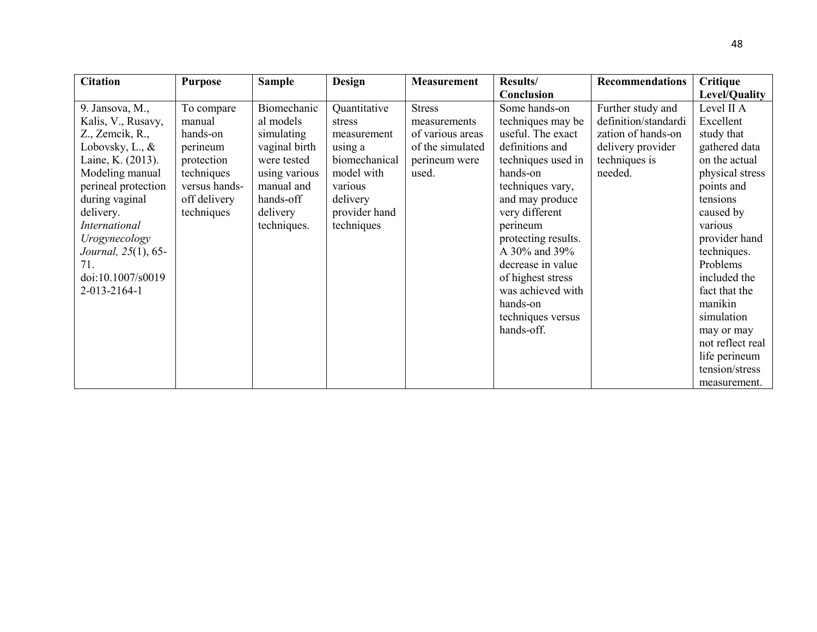| <b>Citation</b>      | <b>Purpose</b> | <b>Sample</b> | <b>Design</b> | <b>Measurement</b> | Results/            | <b>Recommendations</b> | Critique         |
|----------------------|----------------|---------------|---------------|--------------------|---------------------|------------------------|------------------|
|                      |                |               |               |                    | Conclusion          |                        | Level/Quality    |
| 9. Jansova, M.,      | To compare     | Biomechanic   | Quantitative  | <b>Stress</b>      | Some hands-on       | Further study and      | Level II A       |
| Kalis, V., Rusavy,   | manual         | al models     | stress        | measurements       | techniques may be   | definition/standardi   | Excellent        |
| Z., Zemcik, R.,      | hands-on       | simulating    | measurement   | of various areas   | useful. The exact   | zation of hands-on     | study that       |
| Lobovsky, L., $\&$   | perineum       | vaginal birth | using a       | of the simulated   | definitions and     | delivery provider      | gathered data    |
| Laine, K. (2013).    | protection     | were tested   | biomechanical | perineum were      | techniques used in  | techniques is          | on the actual    |
| Modeling manual      | techniques     | using various | model with    | used.              | hands-on            | needed.                | physical stress  |
| perineal protection  | versus hands-  | manual and    | various       |                    | techniques vary,    |                        | points and       |
| during vaginal       | off delivery   | hands-off     | delivery      |                    | and may produce     |                        | tensions         |
| delivery.            | techniques     | delivery      | provider hand |                    | very different      |                        | caused by        |
| <b>International</b> |                | techniques.   | techniques    |                    | perineum            |                        | various          |
| Urogynecology        |                |               |               |                    | protecting results. |                        | provider hand    |
| Journal, 25(1), 65-  |                |               |               |                    | A 30% and 39%       |                        | techniques.      |
| 71.                  |                |               |               |                    | decrease in value   |                        | Problems         |
| doi:10.1007/s0019    |                |               |               |                    | of highest stress   |                        | included the     |
| 2-013-2164-1         |                |               |               |                    | was achieved with   |                        | fact that the    |
|                      |                |               |               |                    | hands-on            |                        | manikin          |
|                      |                |               |               |                    | techniques versus   |                        | simulation       |
|                      |                |               |               |                    | hands-off.          |                        | may or may       |
|                      |                |               |               |                    |                     |                        | not reflect real |
|                      |                |               |               |                    |                     |                        | life perineum    |
|                      |                |               |               |                    |                     |                        | tension/stress   |
|                      |                |               |               |                    |                     |                        | measurement.     |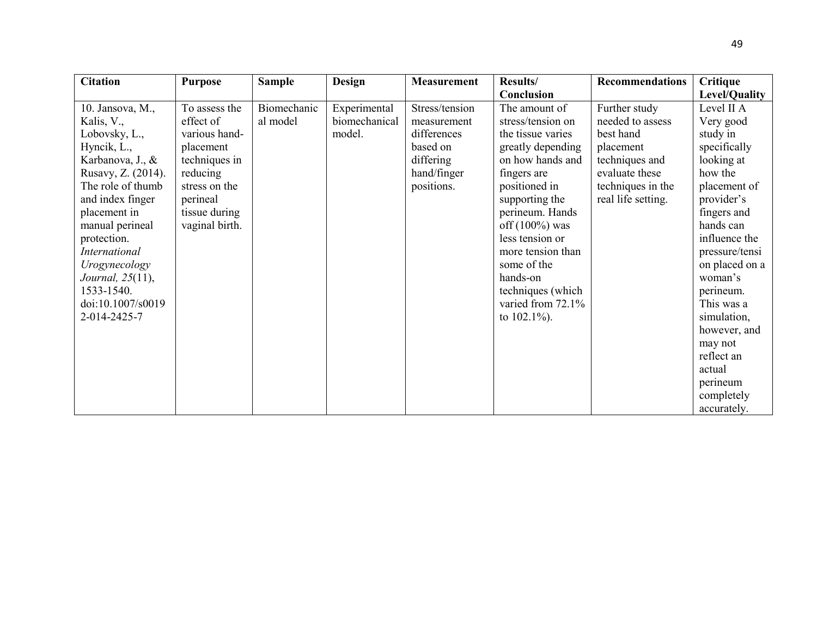| <b>Citation</b>                                                                                                                                                                                                                                                                                                             | <b>Purpose</b>                                                                                                                                        | <b>Sample</b>           | <b>Design</b>                           | <b>Measurement</b>                                                                                 | Results/                                                                                                                                                                                                                                                                                                                   | <b>Recommendations</b>                                                                                                                     | Critique                                                                                                                                                                                                                                                                                                                      |
|-----------------------------------------------------------------------------------------------------------------------------------------------------------------------------------------------------------------------------------------------------------------------------------------------------------------------------|-------------------------------------------------------------------------------------------------------------------------------------------------------|-------------------------|-----------------------------------------|----------------------------------------------------------------------------------------------------|----------------------------------------------------------------------------------------------------------------------------------------------------------------------------------------------------------------------------------------------------------------------------------------------------------------------------|--------------------------------------------------------------------------------------------------------------------------------------------|-------------------------------------------------------------------------------------------------------------------------------------------------------------------------------------------------------------------------------------------------------------------------------------------------------------------------------|
|                                                                                                                                                                                                                                                                                                                             |                                                                                                                                                       |                         |                                         |                                                                                                    | Conclusion                                                                                                                                                                                                                                                                                                                 |                                                                                                                                            | Level/Quality                                                                                                                                                                                                                                                                                                                 |
| 10. Jansova, M.,<br>Kalis, V.,<br>Lobovsky, L.,<br>Hyncik, L.,<br>Karbanova, J., &<br>Rusavy, Z. (2014).<br>The role of thumb<br>and index finger<br>placement in<br>manual perineal<br>protection.<br><b>International</b><br>Urogynecology<br><i>Journal</i> , 25(11),<br>1533-1540.<br>doi:10.1007/s0019<br>2-014-2425-7 | To assess the<br>effect of<br>various hand-<br>placement<br>techniques in<br>reducing<br>stress on the<br>perineal<br>tissue during<br>vaginal birth. | Biomechanic<br>al model | Experimental<br>biomechanical<br>model. | Stress/tension<br>measurement<br>differences<br>based on<br>differing<br>hand/finger<br>positions. | The amount of<br>stress/tension on<br>the tissue varies<br>greatly depending<br>on how hands and<br>fingers are<br>positioned in<br>supporting the<br>perineum. Hands<br>off $(100\%)$ was<br>less tension or<br>more tension than<br>some of the<br>hands-on<br>techniques (which<br>varied from 72.1%<br>to $102.1\%$ ). | Further study<br>needed to assess<br>best hand<br>placement<br>techniques and<br>evaluate these<br>techniques in the<br>real life setting. | Level II A<br>Very good<br>study in<br>specifically<br>looking at<br>how the<br>placement of<br>provider's<br>fingers and<br>hands can<br>influence the<br>pressure/tensi<br>on placed on a<br>woman's<br>perineum.<br>This was a<br>simulation,<br>however, and<br>may not<br>reflect an<br>actual<br>perineum<br>completely |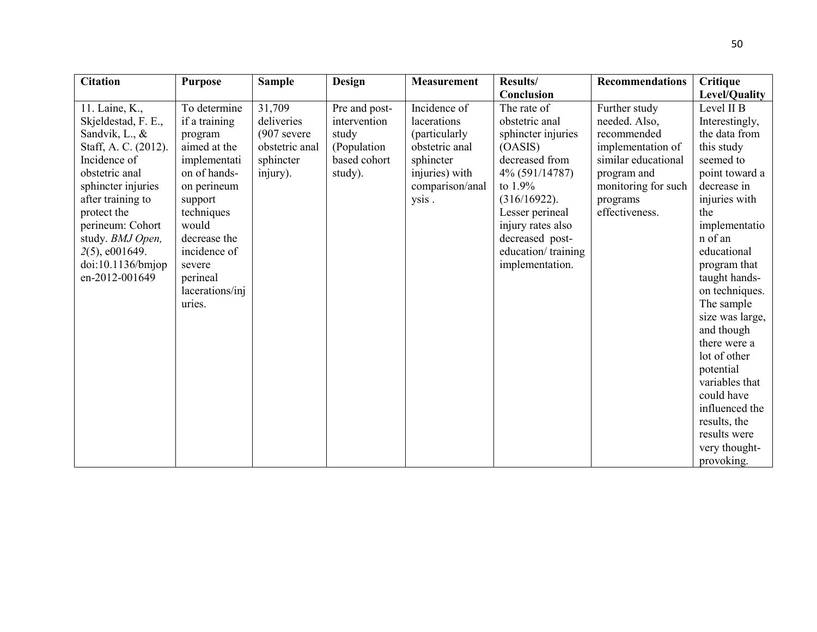| <b>Citation</b>      | <b>Purpose</b>  | <b>Sample</b>  | <b>Design</b> | <b>Measurement</b> | Results/           | <b>Recommendations</b> | <b>Critique</b> |
|----------------------|-----------------|----------------|---------------|--------------------|--------------------|------------------------|-----------------|
|                      |                 |                |               |                    | Conclusion         |                        | Level/Quality   |
| 11. Laine, K.,       | To determine    | 31,709         | Pre and post- | Incidence of       | The rate of        | Further study          | Level II B      |
| Skjeldestad, F. E.,  | if a training   | deliveries     | intervention  | lacerations        | obstetric anal     | needed. Also,          | Interestingly,  |
| Sandvik, L., &       | program         | $(907)$ severe | study         | (particularly      | sphincter injuries | recommended            | the data from   |
| Staff, A. C. (2012). | aimed at the    | obstetric anal | (Population   | obstetric anal     | (OASIS)            | implementation of      | this study      |
| Incidence of         | implementati    | sphincter      | based cohort  | sphincter          | decreased from     | similar educational    | seemed to       |
| obstetric anal       | on of hands-    | injury).       | study).       | injuries) with     | 4% (591/14787)     | program and            | point toward a  |
| sphincter injuries   | on perineum     |                |               | comparison/anal    | to $1.9\%$         | monitoring for such    | decrease in     |
| after training to    | support         |                |               | ysis.              | $(316/16922)$ .    | programs               | injuries with   |
| protect the          | techniques      |                |               |                    | Lesser perineal    | effectiveness.         | the             |
| perineum: Cohort     | would           |                |               |                    | injury rates also  |                        | implementatio   |
| study. BMJ Open,     | decrease the    |                |               |                    | decreased post-    |                        | n of an         |
| $2(5)$ , e001649.    | incidence of    |                |               |                    | education/training |                        | educational     |
| doi:10.1136/bm       | severe          |                |               |                    | implementation.    |                        | program that    |
| en-2012-001649       | perineal        |                |               |                    |                    |                        | taught hands-   |
|                      | lacerations/inj |                |               |                    |                    |                        | on techniques.  |
|                      | uries.          |                |               |                    |                    |                        | The sample      |
|                      |                 |                |               |                    |                    |                        | size was large, |
|                      |                 |                |               |                    |                    |                        | and though      |
|                      |                 |                |               |                    |                    |                        | there were a    |
|                      |                 |                |               |                    |                    |                        | lot of other    |
|                      |                 |                |               |                    |                    |                        | potential       |
|                      |                 |                |               |                    |                    |                        | variables that  |
|                      |                 |                |               |                    |                    |                        | could have      |
|                      |                 |                |               |                    |                    |                        | influenced the  |
|                      |                 |                |               |                    |                    |                        | results, the    |
|                      |                 |                |               |                    |                    |                        | results were    |
|                      |                 |                |               |                    |                    |                        | very thought-   |
|                      |                 |                |               |                    |                    |                        | provoking.      |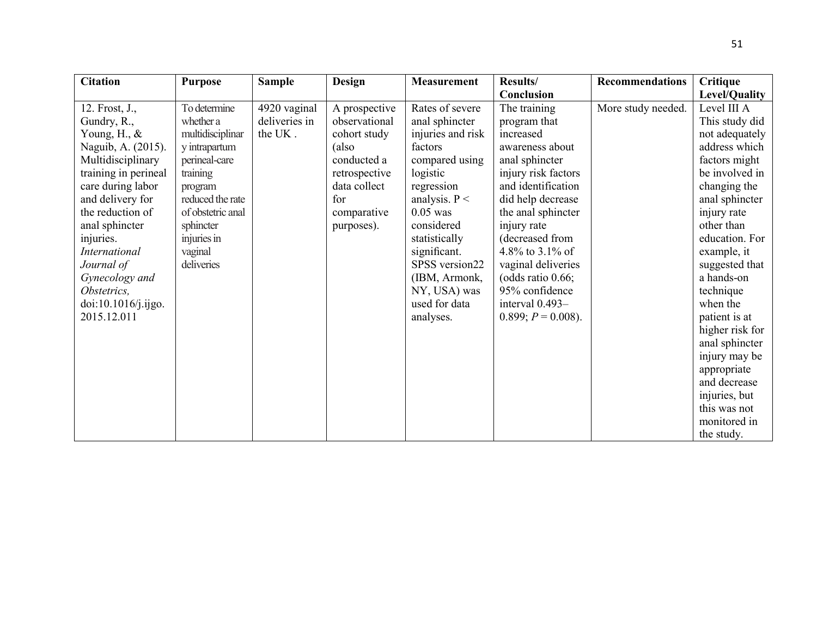| <b>Citation</b>      | <b>Purpose</b>    | <b>Sample</b> | Design        | <b>Measurement</b> | <b>Results/</b>       | <b>Recommendations</b> | Critique        |
|----------------------|-------------------|---------------|---------------|--------------------|-----------------------|------------------------|-----------------|
|                      |                   |               |               |                    | Conclusion            |                        | Level/Quality   |
| 12. Frost, J.,       | To determine      | 4920 vaginal  | A prospective | Rates of severe    | The training          | More study needed.     | Level III A     |
| Gundry, R.,          | whether a         | deliveries in | observational | anal sphincter     | program that          |                        | This study did  |
| Young, H., $\&$      | multidisciplinar  | the UK.       | cohort study  | injuries and risk  | increased             |                        | not adequately  |
| Naguib, A. (2015).   | y intrapartum     |               | (also         | factors            | awareness about       |                        | address which   |
| Multidisciplinary    | perineal-care     |               | conducted a   | compared using     | anal sphincter        |                        | factors might   |
| training in perineal | training          |               | retrospective | logistic           | injury risk factors   |                        | be involved in  |
| care during labor    | program           |               | data collect  | regression         | and identification    |                        | changing the    |
| and delivery for     | reduced the rate  |               | for           | analysis. $P <$    | did help decrease     |                        | anal sphincter  |
| the reduction of     | of obstetric anal |               | comparative   | $0.05$ was         | the anal sphincter    |                        | injury rate     |
| anal sphincter       | sphincter         |               | purposes).    | considered         | injury rate           |                        | other than      |
| injuries.            | injuries in       |               |               | statistically      | (decreased from       |                        | education. For  |
| <i>International</i> | vaginal           |               |               | significant.       | 4.8% to 3.1% of       |                        | example, it     |
| Journal of           | deliveries        |               |               | SPSS version22     | vaginal deliveries    |                        | suggested that  |
| Gynecology and       |                   |               |               | (IBM, Armonk,      | (odds ratio $0.66$ ;  |                        | a hands-on      |
| Obstetrics,          |                   |               |               | NY, USA) was       | 95% confidence        |                        | technique       |
| doi:10.1016/j.ijgo.  |                   |               |               | used for data      | interval 0.493-       |                        | when the        |
| 2015.12.011          |                   |               |               | analyses.          | $0.899; P = 0.008$ ). |                        | patient is at   |
|                      |                   |               |               |                    |                       |                        | higher risk for |
|                      |                   |               |               |                    |                       |                        | anal sphincter  |
|                      |                   |               |               |                    |                       |                        | injury may be   |
|                      |                   |               |               |                    |                       |                        | appropriate     |
|                      |                   |               |               |                    |                       |                        | and decrease    |
|                      |                   |               |               |                    |                       |                        | injuries, but   |
|                      |                   |               |               |                    |                       |                        | this was not    |
|                      |                   |               |               |                    |                       |                        | monitored in    |
|                      |                   |               |               |                    |                       |                        | the study.      |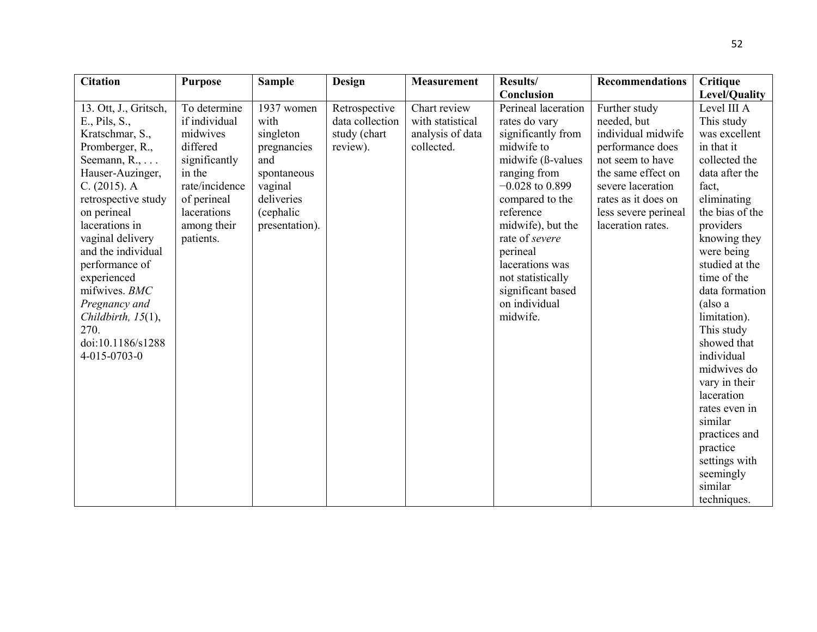| <b>Citation</b>                                                                                                                                                                                                                                                                                                                                                                                   | <b>Purpose</b>                                                                                                                                               | <b>Sample</b>                                                                                                                | <b>Design</b>                                                | <b>Measurement</b>                                                 | <b>Results/</b>                                                                                                                                                                                                                                                                                                 | <b>Recommendations</b>                                                                                                                                                                                    | Critique                                                                                                                                                                                                                                                                                                                                                                                                                                                   |
|---------------------------------------------------------------------------------------------------------------------------------------------------------------------------------------------------------------------------------------------------------------------------------------------------------------------------------------------------------------------------------------------------|--------------------------------------------------------------------------------------------------------------------------------------------------------------|------------------------------------------------------------------------------------------------------------------------------|--------------------------------------------------------------|--------------------------------------------------------------------|-----------------------------------------------------------------------------------------------------------------------------------------------------------------------------------------------------------------------------------------------------------------------------------------------------------------|-----------------------------------------------------------------------------------------------------------------------------------------------------------------------------------------------------------|------------------------------------------------------------------------------------------------------------------------------------------------------------------------------------------------------------------------------------------------------------------------------------------------------------------------------------------------------------------------------------------------------------------------------------------------------------|
|                                                                                                                                                                                                                                                                                                                                                                                                   |                                                                                                                                                              |                                                                                                                              |                                                              |                                                                    | Conclusion                                                                                                                                                                                                                                                                                                      |                                                                                                                                                                                                           | Level/Quality                                                                                                                                                                                                                                                                                                                                                                                                                                              |
| 13. Ott, J., Gritsch,<br>$E_{.}$ , Pils, $S_{.}$<br>Kratschmar, S.,<br>Promberger, R.,<br>Seemann, $R_{1}, \ldots$<br>Hauser-Auzinger,<br>C. (2015). A<br>retrospective study<br>on perineal<br>lacerations in<br>vaginal delivery<br>and the individual<br>performance of<br>experienced<br>mifwives. BMC<br>Pregnancy and<br>Childbirth, $15(1)$ ,<br>270.<br>doi:10.1186/s1288<br>4-015-0703-0 | To determine<br>if individual<br>midwives<br>differed<br>significantly<br>in the<br>rate/incidence<br>of perineal<br>lacerations<br>among their<br>patients. | 1937 women<br>with<br>singleton<br>pregnancies<br>and<br>spontaneous<br>vaginal<br>deliveries<br>(cephalic<br>presentation). | Retrospective<br>data collection<br>study (chart<br>review). | Chart review<br>with statistical<br>analysis of data<br>collected. | Perineal laceration<br>rates do vary<br>significantly from<br>midwife to<br>midwife (ß-values<br>ranging from<br>$-0.028$ to 0.899<br>compared to the<br>reference<br>midwife), but the<br>rate of severe<br>perineal<br>lacerations was<br>not statistically<br>significant based<br>on individual<br>midwife. | Further study<br>needed, but<br>individual midwife<br>performance does<br>not seem to have<br>the same effect on<br>severe laceration<br>rates as it does on<br>less severe perineal<br>laceration rates. | Level III A<br>This study<br>was excellent<br>in that it<br>collected the<br>data after the<br>fact,<br>eliminating<br>the bias of the<br>providers<br>knowing they<br>were being<br>studied at the<br>time of the<br>data formation<br>(also a<br>limitation).<br>This study<br>showed that<br>individual<br>midwives do<br>vary in their<br>laceration<br>rates even in<br>similar<br>practices and<br>practice<br>settings with<br>seemingly<br>similar |
|                                                                                                                                                                                                                                                                                                                                                                                                   |                                                                                                                                                              |                                                                                                                              |                                                              |                                                                    |                                                                                                                                                                                                                                                                                                                 |                                                                                                                                                                                                           | techniques.                                                                                                                                                                                                                                                                                                                                                                                                                                                |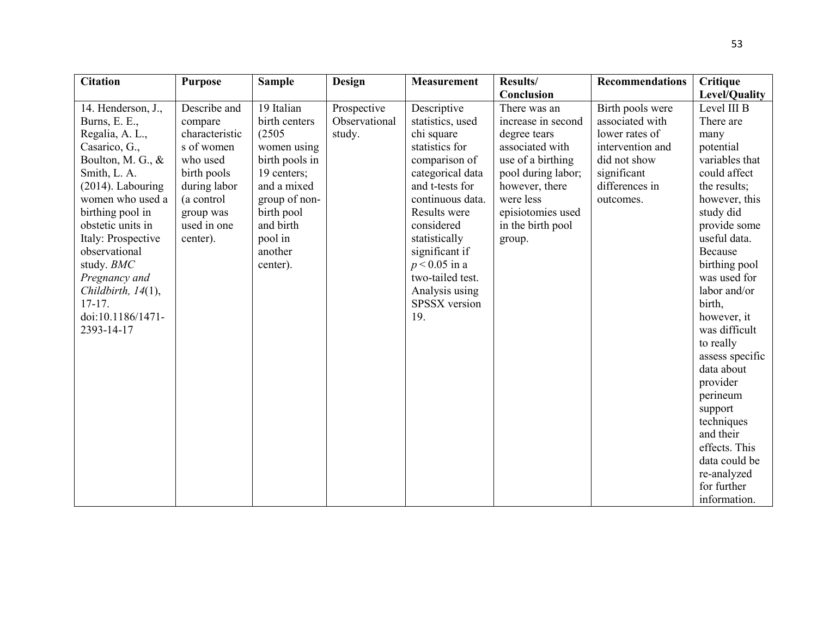| Conclusion<br>19 Italian<br>Descriptive<br>Describe and<br>Birth pools were<br>Level III B<br>14. Henderson, J.,<br>Prospective<br>There was an<br>birth centers<br>Observational<br>associated with<br>Burns, E. E.,<br>statistics, used<br>increase in second<br>There are<br>compare<br>Regalia, A. L.,<br>characteristic<br>(2505)<br>study.<br>chi square<br>lower rates of<br>degree tears<br>many<br>Casarico, G.,<br>s of women<br>statistics for<br>associated with<br>intervention and<br>potential<br>women using<br>birth pools in<br>use of a birthing<br>did not show<br>variables that<br>Boulton, M. G., &<br>who used<br>comparison of<br>significant<br>Smith, L. A.<br>birth pools<br>19 centers;<br>categorical data<br>pool during labor;<br>could affect<br>$(2014)$ . Labouring<br>during labor<br>and a mixed<br>and t-tests for<br>however, there<br>differences in<br>the results;<br>were less<br>women who used a<br>(a control<br>group of non-<br>continuous data.<br>however, this<br>outcomes.<br>birthing pool in<br>birth pool<br>Results were<br>episiotomies used<br>study did<br>group was<br>obstetic units in<br>used in one<br>considered<br>and birth<br>in the birth pool<br>provide some<br>useful data.<br>Italy: Prospective<br>pool in<br>statistically<br>center).<br>group.<br>Because<br>observational<br>another<br>significant if<br>study. BMC<br>$p < 0.05$ in a<br>birthing pool<br>center).<br>two-tailed test.<br>was used for<br>Pregnancy and<br>Analysis using<br>labor and/or<br>Childbirth, 14(1),<br>$17-17.$<br>SPSSX version<br>birth,<br>doi:10.1186/1471-<br>19.<br>however, it<br>was difficult<br>2393-14-17<br>to really | <b>Sample</b> | Design | <b>Measurement</b> | <b>Results/</b> | <b>Recommendations</b> | Critique        |
|-----------------------------------------------------------------------------------------------------------------------------------------------------------------------------------------------------------------------------------------------------------------------------------------------------------------------------------------------------------------------------------------------------------------------------------------------------------------------------------------------------------------------------------------------------------------------------------------------------------------------------------------------------------------------------------------------------------------------------------------------------------------------------------------------------------------------------------------------------------------------------------------------------------------------------------------------------------------------------------------------------------------------------------------------------------------------------------------------------------------------------------------------------------------------------------------------------------------------------------------------------------------------------------------------------------------------------------------------------------------------------------------------------------------------------------------------------------------------------------------------------------------------------------------------------------------------------------------------------------------------------------------------------------------------------------------------|---------------|--------|--------------------|-----------------|------------------------|-----------------|
|                                                                                                                                                                                                                                                                                                                                                                                                                                                                                                                                                                                                                                                                                                                                                                                                                                                                                                                                                                                                                                                                                                                                                                                                                                                                                                                                                                                                                                                                                                                                                                                                                                                                                               |               |        |                    |                 |                        | Level/Quality   |
| data about<br>provider<br>perineum<br>support<br>techniques<br>and their<br>effects. This<br>data could be                                                                                                                                                                                                                                                                                                                                                                                                                                                                                                                                                                                                                                                                                                                                                                                                                                                                                                                                                                                                                                                                                                                                                                                                                                                                                                                                                                                                                                                                                                                                                                                    |               |        |                    |                 |                        | assess specific |
|                                                                                                                                                                                                                                                                                                                                                                                                                                                                                                                                                                                                                                                                                                                                                                                                                                                                                                                                                                                                                                                                                                                                                                                                                                                                                                                                                                                                                                                                                                                                                                                                                                                                                               |               |        |                    |                 |                        |                 |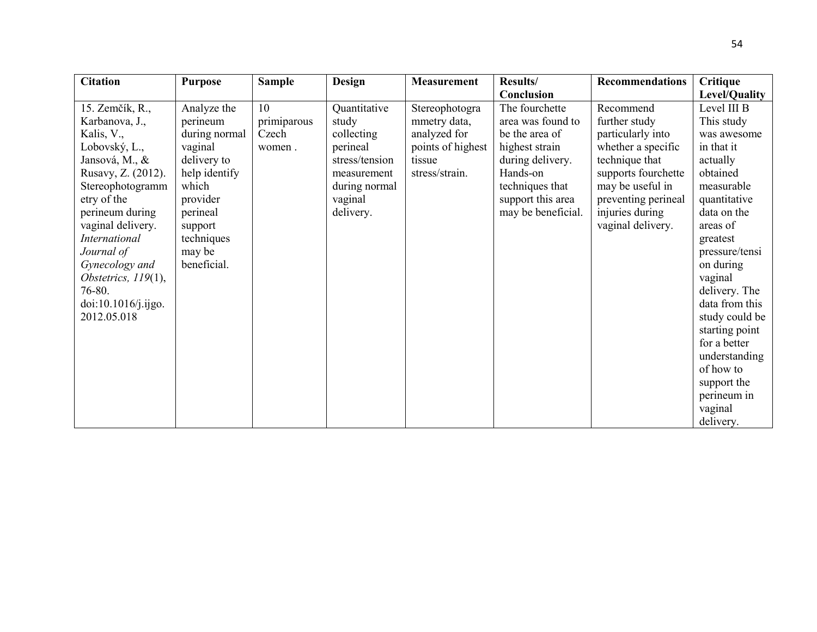| <b>Citation</b>        | <b>Purpose</b> | <b>Sample</b> | Design         | <b>Measurement</b> | Results/           | Recommendations     | <b>Critique</b> |
|------------------------|----------------|---------------|----------------|--------------------|--------------------|---------------------|-----------------|
|                        |                |               |                |                    | Conclusion         |                     | Level/Quality   |
| 15. Zemčík, R.,        | Analyze the    | 10            | Quantitative   | Stereophotogra     | The fourchette     | Recommend           | Level III B     |
| Karbanova, J.,         | perineum       | primiparous   | study          | mmetry data,       | area was found to  | further study       | This study      |
| Kalis, V.,             | during normal  | Czech         | collecting     | analyzed for       | be the area of     | particularly into   | was awesome     |
| Lobovský, L.,          | vaginal        | women.        | perineal       | points of highest  | highest strain     | whether a specific  | in that it      |
| Jansová, M., &         | delivery to    |               | stress/tension | tissue             | during delivery.   | technique that      | actually        |
| Rusavy, Z. (2012).     | help identify  |               | measurement    | stress/strain.     | Hands-on           | supports fourchette | obtained        |
| Stereophotogramm       | which          |               | during normal  |                    | techniques that    | may be useful in    | measurable      |
| etry of the            | provider       |               | vaginal        |                    | support this area  | preventing perineal | quantitative    |
| perineum during        | perineal       |               | delivery.      |                    | may be beneficial. | injuries during     | data on the     |
| vaginal delivery.      | support        |               |                |                    |                    | vaginal delivery.   | areas of        |
| <b>International</b>   | techniques     |               |                |                    |                    |                     | greatest        |
| Journal of             | may be         |               |                |                    |                    |                     | pressure/tensi  |
| Gynecology and         | beneficial.    |               |                |                    |                    |                     | on during       |
| Obstetrics, $119(1)$ , |                |               |                |                    |                    |                     | vaginal         |
| 76-80.                 |                |               |                |                    |                    |                     | delivery. The   |
| doi:10.1016/j.ijgo.    |                |               |                |                    |                    |                     | data from this  |
| 2012.05.018            |                |               |                |                    |                    |                     | study could be  |
|                        |                |               |                |                    |                    |                     | starting point  |
|                        |                |               |                |                    |                    |                     | for a better    |
|                        |                |               |                |                    |                    |                     | understanding   |
|                        |                |               |                |                    |                    |                     | of how to       |
|                        |                |               |                |                    |                    |                     | support the     |
|                        |                |               |                |                    |                    |                     | perineum in     |
|                        |                |               |                |                    |                    |                     | vaginal         |
|                        |                |               |                |                    |                    |                     | delivery.       |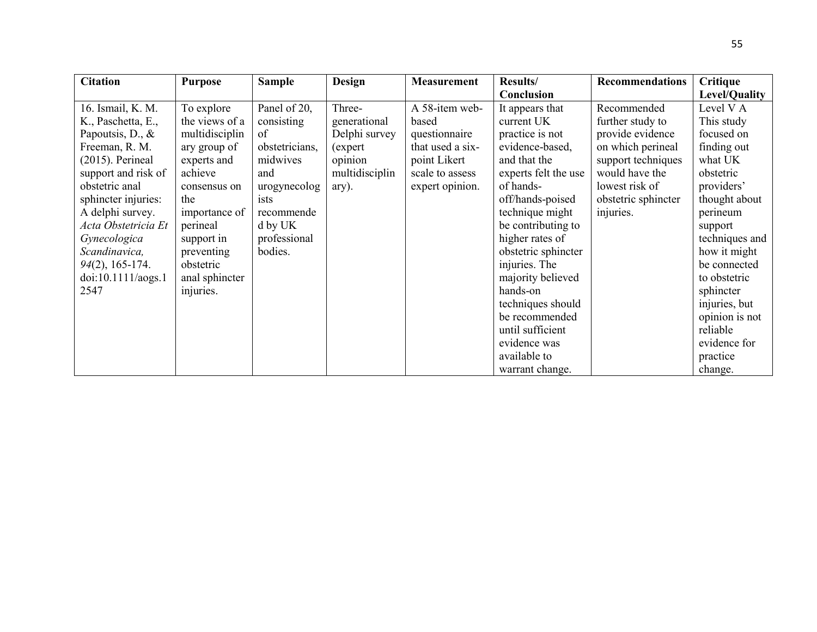| <b>Citation</b>     | <b>Purpose</b> | <b>Sample</b>  | <b>Design</b>  | <b>Measurement</b> | Results/             | <b>Recommendations</b> | Critique             |
|---------------------|----------------|----------------|----------------|--------------------|----------------------|------------------------|----------------------|
|                     |                |                |                |                    | Conclusion           |                        | <b>Level/Quality</b> |
| 16. Ismail, K. M.   | To explore     | Panel of 20,   | Three-         | A 58-item web-     | It appears that      | Recommended            | Level V A            |
| K., Paschetta, E.,  | the views of a | consisting     | generational   | based              | current UK           | further study to       | This study           |
| Papoutsis, D., &    | multidisciplin | of             | Delphi survey  | questionnaire      | practice is not      | provide evidence       | focused on           |
| Freeman, R. M.      | ary group of   | obstetricians, | (expert        | that used a six-   | evidence-based,      | on which perineal      | finding out          |
| $(2015)$ . Perineal | experts and    | midwives       | opinion        | point Likert       | and that the         | support techniques     | what UK              |
| support and risk of | achieve        | and            | multidisciplin | scale to assess    | experts felt the use | would have the         | obstetric            |
| obstetric anal      | consensus on   | urogynecolog   | ary).          | expert opinion.    | of hands-            | lowest risk of         | providers'           |
| sphincter injuries: | the            | ists           |                |                    | off/hands-poised     | obstetric sphincter    | thought about        |
| A delphi survey.    | importance of  | recommende     |                |                    | technique might      | injuries.              | perineum             |
| Acta Obstetricia Et | perineal       | d by UK        |                |                    | be contributing to   |                        | support              |
| Gynecologica        | support in     | professional   |                |                    | higher rates of      |                        | techniques and       |
| Scandinavica,       | preventing     | bodies.        |                |                    | obstetric sphincter  |                        | how it might         |
| $94(2)$ , 165-174.  | obstetric      |                |                |                    | injuries. The        |                        | be connected         |
| doi:10.1111/aogs.1  | anal sphincter |                |                |                    | majority believed    |                        | to obstetric         |
| 2547                | injuries.      |                |                |                    | hands-on             |                        | sphincter            |
|                     |                |                |                |                    | techniques should    |                        | injuries, but        |
|                     |                |                |                |                    | be recommended       |                        | opinion is not       |
|                     |                |                |                |                    | until sufficient     |                        | reliable             |
|                     |                |                |                |                    | evidence was         |                        | evidence for         |
|                     |                |                |                |                    | available to         |                        | practice             |
|                     |                |                |                |                    | warrant change.      |                        | change.              |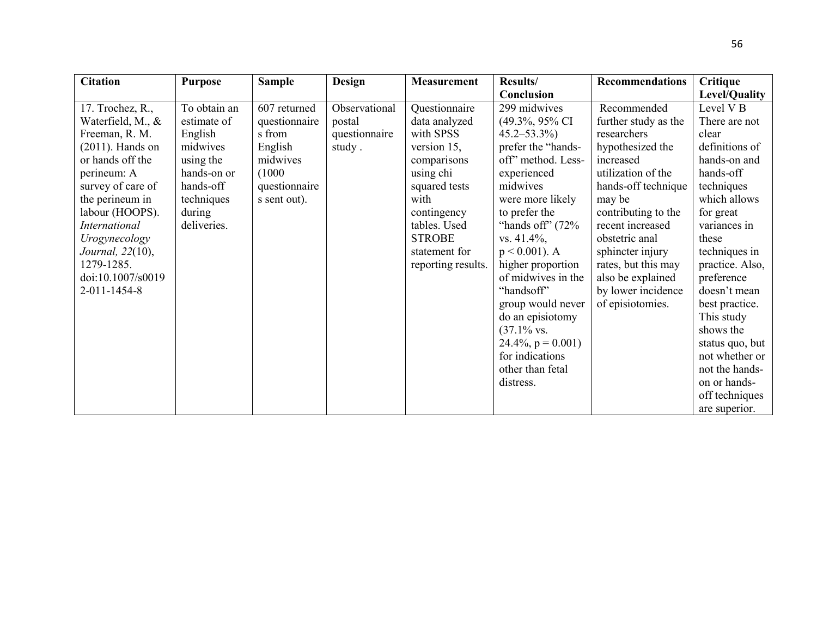| <b>Citation</b>      | <b>Purpose</b> | <b>Sample</b> | <b>Design</b> | <b>Measurement</b> | Results/                    | <b>Recommendations</b> | Critique             |
|----------------------|----------------|---------------|---------------|--------------------|-----------------------------|------------------------|----------------------|
|                      |                |               |               |                    | Conclusion                  |                        | Level/Quality        |
| 17. Trochez, R.,     | To obtain an   | 607 returned  | Observational | Questionnaire      | 299 midwives                | Recommended            | Level V <sub>B</sub> |
| Waterfield, M., &    | estimate of    | questionnaire | postal        | data analyzed      | $(49.3\%, 95\% \text{ CI})$ | further study as the   | There are not        |
| Freeman, R. M.       | English        | s from        | questionnaire | with SPSS          | $45.2 - 53.3\%$             | researchers            | clear                |
| $(2011)$ . Hands on  | midwives       | English       | study.        | version $15$ ,     | prefer the "hands-          | hypothesized the       | definitions of       |
| or hands off the     | using the      | midwives      |               | comparisons        | off" method. Less-          | increased              | hands-on and         |
| perineum: A          | hands-on or    | (1000)        |               | using chi          | experienced                 | utilization of the     | hands-off            |
| survey of care of    | hands-off      | questionnaire |               | squared tests      | midwives                    | hands-off technique    | techniques           |
| the perineum in      | techniques     | s sent out).  |               | with               | were more likely            | may be                 | which allows         |
| labour (HOOPS).      | during         |               |               | contingency        | to prefer the               | contributing to the    | for great            |
| <b>International</b> | deliveries.    |               |               | tables. Used       | "hands off" $(72\%$         | recent increased       | variances in         |
| Urogynecology        |                |               |               | <b>STROBE</b>      | $vs. 41.4\%,$               | obstetric anal         | these                |
| Journal, 22(10),     |                |               |               | statement for      | $p < 0.001$ ). A            | sphincter injury       | techniques in        |
| 1279-1285.           |                |               |               | reporting results. | higher proportion           | rates, but this may    | practice. Also,      |
| doi:10.1007/s0019    |                |               |               |                    | of midwives in the          | also be explained      | preference           |
| 2-011-1454-8         |                |               |               |                    | "handsoff"                  | by lower incidence     | doesn't mean         |
|                      |                |               |               |                    | group would never           | of episiotomies.       | best practice.       |
|                      |                |               |               |                    | do an episiotomy            |                        | This study           |
|                      |                |               |               |                    | $(37.1\%$ vs.               |                        | shows the            |
|                      |                |               |               |                    | $24.4\%, p = 0.001$         |                        | status quo, but      |
|                      |                |               |               |                    | for indications             |                        | not whether or       |
|                      |                |               |               |                    | other than fetal            |                        | not the hands-       |
|                      |                |               |               |                    | distress.                   |                        | on or hands-         |
|                      |                |               |               |                    |                             |                        | off techniques       |
|                      |                |               |               |                    |                             |                        | are superior.        |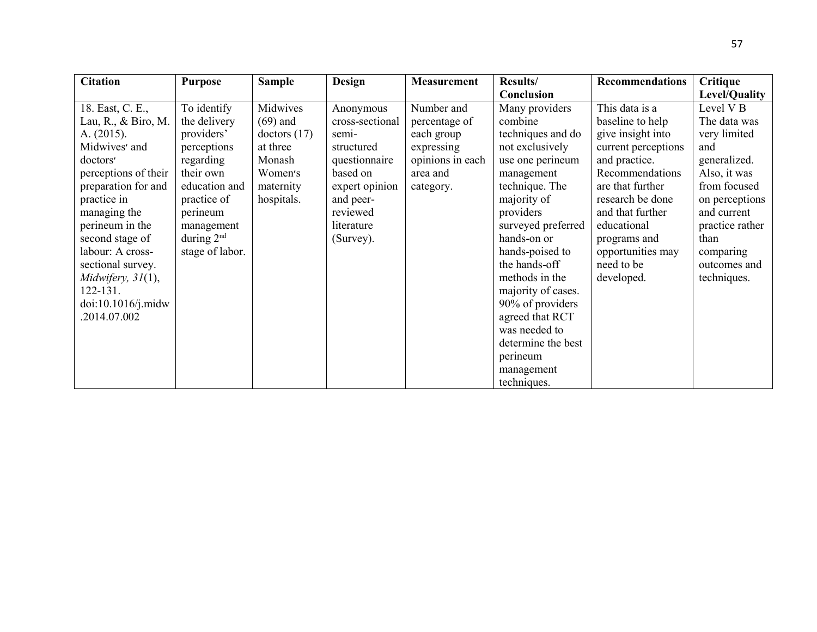| <b>Citation</b>        | <b>Purpose</b>  | <b>Sample</b>  | Design          | <b>Measurement</b> | <b>Results/</b>    | <b>Recommendations</b> | <b>Critique</b>      |
|------------------------|-----------------|----------------|-----------------|--------------------|--------------------|------------------------|----------------------|
|                        |                 |                |                 |                    | Conclusion         |                        | Level/Quality        |
| 18. East, C. E.,       | To identify     | Midwives       | Anonymous       | Number and         | Many providers     | This data is a         | Level V <sub>B</sub> |
| Lau, R., $\&$ Biro, M. | the delivery    | $(69)$ and     | cross-sectional | percentage of      | combine            | baseline to help       | The data was         |
| A. $(2015)$ .          | providers'      | doctors $(17)$ | semi-           | each group         | techniques and do  | give insight into      | very limited         |
| Midwives' and          | perceptions     | at three       | structured      | expressing         | not exclusively    | current perceptions    | and                  |
| doctors'               | regarding       | Monash         | questionnaire   | opinions in each   | use one perineum   | and practice.          | generalized.         |
| perceptions of their   | their own       | Women's        | based on        | area and           | management         | Recommendations        | Also, it was         |
| preparation for and    | education and   | maternity      | expert opinion  | category.          | technique. The     | are that further       | from focused         |
| practice in            | practice of     | hospitals.     | and peer-       |                    | majority of        | research be done       | on perceptions       |
| managing the           | perineum        |                | reviewed        |                    | providers          | and that further       | and current          |
| perineum in the        | management      |                | literature      |                    | surveyed preferred | educational            | practice rather      |
| second stage of        | during $2nd$    |                | (Survey).       |                    | hands-on or        | programs and           | than                 |
| labour: A cross-       | stage of labor. |                |                 |                    | hands-poised to    | opportunities may      | comparing            |
| sectional survey.      |                 |                |                 |                    | the hands-off      | need to be             | outcomes and         |
| Midwifery, $31(1)$ ,   |                 |                |                 |                    | methods in the     | developed.             | techniques.          |
| 122-131.               |                 |                |                 |                    | majority of cases. |                        |                      |
| doi:10.1016/j.midw     |                 |                |                 |                    | 90% of providers   |                        |                      |
| .2014.07.002           |                 |                |                 |                    | agreed that RCT    |                        |                      |
|                        |                 |                |                 |                    | was needed to      |                        |                      |
|                        |                 |                |                 |                    | determine the best |                        |                      |
|                        |                 |                |                 |                    | perineum           |                        |                      |
|                        |                 |                |                 |                    | management         |                        |                      |
|                        |                 |                |                 |                    | techniques.        |                        |                      |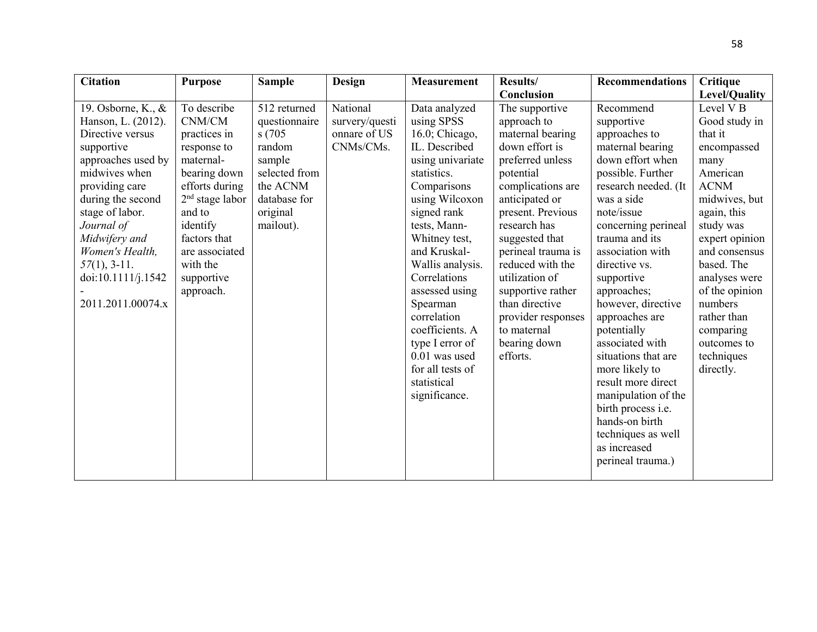| <b>Citation</b>    | <b>Purpose</b>             | <b>Sample</b> | <b>Design</b>  | <b>Measurement</b> | Results/           | <b>Recommendations</b>    | <b>Critique</b>      |
|--------------------|----------------------------|---------------|----------------|--------------------|--------------------|---------------------------|----------------------|
|                    |                            |               |                |                    | Conclusion         |                           | Level/Quality        |
| 19. Osborne, K., & | To describe                | 512 returned  | National       | Data analyzed      | The supportive     | Recommend                 | Level V <sub>B</sub> |
| Hanson, L. (2012). | $\mathbf{CNM}/\mathbf{CM}$ | questionnaire | survery/questi | using SPSS         | approach to        | supportive                | Good study in        |
| Directive versus   | practices in               | s(705)        | onnare of US   | 16.0; Chicago,     | maternal bearing   | approaches to             | that it              |
| supportive         | response to                | random        | CNMs/CMs.      | IL. Described      | down effort is     | maternal bearing          | encompassed          |
| approaches used by | maternal-                  | sample        |                | using univariate   | preferred unless   | down effort when          | many                 |
| midwives when      | bearing down               | selected from |                | statistics.        | potential          | possible. Further         | American             |
| providing care     | efforts during             | the ACNM      |                | Comparisons        | complications are  | research needed. (It      | <b>ACNM</b>          |
| during the second  | $2nd$ stage labor          | database for  |                | using Wilcoxon     | anticipated or     | was a side                | midwives, but        |
| stage of labor.    | and to                     | original      |                | signed rank        | present. Previous  | note/issue                | again, this          |
| Journal of         | identify                   | mailout).     |                | tests, Mann-       | research has       | concerning perineal       | study was            |
| Midwifery and      | factors that               |               |                | Whitney test,      | suggested that     | trauma and its            | expert opinion       |
| Women's Health,    | are associated             |               |                | and Kruskal-       | perineal trauma is | association with          | and consensus        |
| $57(1), 3-11.$     | with the                   |               |                | Wallis analysis.   | reduced with the   | directive vs.             | based. The           |
| doi:10.1111/j.1542 | supportive                 |               |                | Correlations       | utilization of     | supportive                | analyses were        |
|                    | approach.                  |               |                | assessed using     | supportive rather  | approaches;               | of the opinion       |
| 2011.2011.00074.x  |                            |               |                | Spearman           | than directive     | however, directive        | numbers              |
|                    |                            |               |                | correlation        | provider responses | approaches are            | rather than          |
|                    |                            |               |                | coefficients. A    | to maternal        | potentially               | comparing            |
|                    |                            |               |                | type I error of    | bearing down       | associated with           | outcomes to          |
|                    |                            |               |                | $0.01$ was used    | efforts.           | situations that are       | techniques           |
|                    |                            |               |                | for all tests of   |                    | more likely to            | directly.            |
|                    |                            |               |                | statistical        |                    | result more direct        |                      |
|                    |                            |               |                | significance.      |                    | manipulation of the       |                      |
|                    |                            |               |                |                    |                    | birth process <i>i.e.</i> |                      |
|                    |                            |               |                |                    |                    | hands-on birth            |                      |
|                    |                            |               |                |                    |                    | techniques as well        |                      |
|                    |                            |               |                |                    |                    | as increased              |                      |
|                    |                            |               |                |                    |                    | perineal trauma.)         |                      |
|                    |                            |               |                |                    |                    |                           |                      |